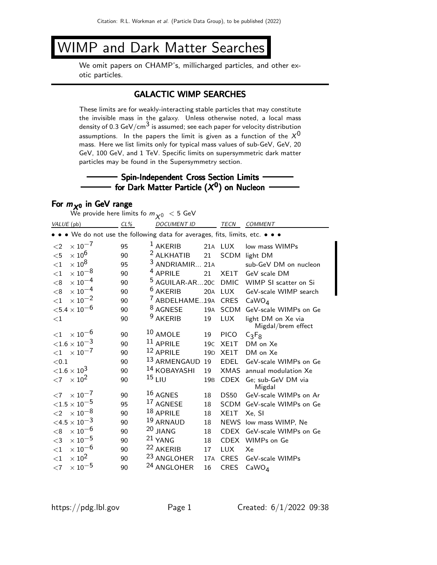# WIMP and Dark Matter Searches

We omit papers on CHAMP's, millicharged particles, and other exotic particles.

## GALACTIC WIMP SEARCHES

These limits are for weakly-interacting stable particles that may constitute the invisible mass in the galaxy. Unless otherwise noted, a local mass density of 0.3 GeV/cm<sup>3</sup> is assumed; see each paper for velocity distribution assumptions. In the papers the limit is given as a function of the  $X^0$ mass. Here we list limits only for typical mass values of sub-GeV, GeV, 20 GeV, 100 GeV, and 1 TeV. Specific limits on supersymmetric dark matter particles may be found in the Supersymmetry section.

## $-$  Spin-Independent Cross Section Limits  $$ for Dark Matter Particle  $(X^0)$  on Nucleon

## For  $m_{X^0}$  in GeV range

|            | We provide here limits fo $m_{\chi^0}~<$ 5 GeV                                |        |  |                            |                 |             |                                          |  |  |  |  |
|------------|-------------------------------------------------------------------------------|--------|--|----------------------------|-----------------|-------------|------------------------------------------|--|--|--|--|
| VALUE (pb) |                                                                               | $CL\%$ |  | <b>DOCUMENT ID</b>         |                 | <b>TECN</b> | <b>COMMENT</b>                           |  |  |  |  |
|            | • • • We do not use the following data for averages, fits, limits, etc. • • • |        |  |                            |                 |             |                                          |  |  |  |  |
| $\leq$ 2   | $\times$ 10 <sup>-7</sup>                                                     | 95     |  | $1$ AKERIB                 |                 | 21A LUX     | low mass WIMPs                           |  |  |  |  |
| $<$ 5      | $\times$ 10 <sup>6</sup>                                                      | 90     |  | <sup>2</sup> ALKHATIB      | 21              | SCDM        | light DM                                 |  |  |  |  |
| $<$ 1      | $\times$ 10 <sup>8</sup>                                                      | 95     |  | <sup>3</sup> ANDRIAMIR     | 21A             |             | sub-GeV DM on nucleon                    |  |  |  |  |
| $<$ 1      | $\times$ $10^{-8}$                                                            | 90     |  | <sup>4</sup> APRILE        | 21              | XE1T        | GeV scale DM                             |  |  |  |  |
| < 8        | $\times$ 10 $^{-4}$                                                           | 90     |  | <sup>5</sup> AGUILAR-AR20C |                 | <b>DMIC</b> | WIMP SI scatter on Si                    |  |  |  |  |
| < 8        | $\times$ 10 $^{-4}$                                                           | 90     |  | <sup>6</sup> AKERIB        | 20A             | <b>LUX</b>  | GeV-scale WIMP search                    |  |  |  |  |
| $<$ 1      | $\times$ 10 $^{-2}$                                                           | 90     |  | <sup>7</sup> ABDELHAME19A  |                 | <b>CRES</b> | CaWO <sub>4</sub>                        |  |  |  |  |
|            | ${<}5.4\times10^{-6}$                                                         | 90     |  | <sup>8</sup> AGNESE        | 19A             | <b>SCDM</b> | GeV-scale WIMPs on Ge                    |  |  |  |  |
| $<$ 1      |                                                                               | 90     |  | <sup>9</sup> AKERIB        | 19              | <b>LUX</b>  | light DM on Xe via<br>Migdal/brem effect |  |  |  |  |
| ${<}1$     | $\times$ 10 <sup>-6</sup>                                                     | 90     |  | $10$ AMOLE                 | 19              | <b>PICO</b> | $C_3F_8$                                 |  |  |  |  |
|            | ${<}1.6\times10^{-3}$                                                         | 90     |  | $11$ APRILE                | 19 <sub>C</sub> | XE1T        | DM on Xe                                 |  |  |  |  |
| $<$ 1      | $\times$ 10 <sup>-7</sup>                                                     | 90     |  | 12 APRILE                  | 19 <sub>D</sub> | XE1T        | DM on Xe                                 |  |  |  |  |
| ${<}0.1$   |                                                                               | 90     |  | 13 ARMENGAUD               | 19              | <b>EDEL</b> | GeV-scale WIMPs on Ge                    |  |  |  |  |
|            | ${<}1.6\times10^{3}$                                                          | 90     |  | <sup>14</sup> KOBAYASHI    | 19              | <b>XMAS</b> | annual modulation Xe                     |  |  |  |  |
| $<$ 7      | $\times 10^{2}$                                                               | 90     |  | $15$ LIU                   | 19 <sub>B</sub> | <b>CDEX</b> | Ge; sub-GeV DM via<br>Migdal             |  |  |  |  |
| ${<}7$     | $\times$ 10 <sup>-7</sup>                                                     | 90     |  | 16 AGNES                   | 18              | <b>DS50</b> | GeV-scale WIMPs on Ar                    |  |  |  |  |
|            | ${<}1.5\times10^{-5}$                                                         | 95     |  | <sup>17</sup> AGNESE       | 18              | <b>SCDM</b> | GeV-scale WIMPs on Ge                    |  |  |  |  |
| $\leq$ 2   | $\times$ 10 $^{-8}$                                                           | 90     |  | 18 APRILE                  | 18              | XE1T        | Xe, SI                                   |  |  |  |  |
|            | ${<}4.5\times10^{-3}$                                                         | 90     |  | 19 ARNAUD                  | 18              | <b>NEWS</b> | low mass WIMP, Ne                        |  |  |  |  |
| < 8        | $\times$ 10 <sup>-6</sup>                                                     | 90     |  | 20 JIANG                   | 18              | <b>CDEX</b> | GeV-scale WIMPs on Ge                    |  |  |  |  |
| $<$ 3      | $\times$ $10^{-5}$                                                            | 90     |  | 21 YANG                    | 18              | <b>CDEX</b> | WIMPs on Ge                              |  |  |  |  |
| $<$ 1      | $\times$ 10 $^{-6}$                                                           | 90     |  | <sup>22</sup> AKERIB       | 17              | <b>LUX</b>  | Xe                                       |  |  |  |  |
| $<$ 1      | $\times$ 10 <sup>2</sup>                                                      | 90     |  | <sup>23</sup> ANGLOHER     | 17A             | <b>CRES</b> | GeV-scale WIMPs                          |  |  |  |  |
| $<$ 7      | $\times$ 10 $^{-5}$                                                           | 90     |  | <sup>24</sup> ANGLOHER     | 16              | <b>CRES</b> | CaWO <sub>4</sub>                        |  |  |  |  |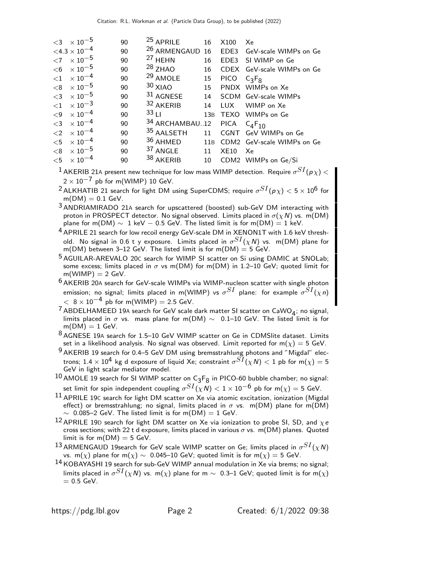|          | $<$ 3 $\times$ 10 <sup>-5</sup>        | 90 | <sup>25</sup> APRILE       | 16 | X100        | Xe                             |
|----------|----------------------------------------|----|----------------------------|----|-------------|--------------------------------|
|          | $<$ 4.3 $\times$ 10 $^{-4}$            | 90 | <sup>26</sup> ARMENGAUD 16 |    |             | EDE3 GeV-scale WIMPs on Ge     |
|          | $\langle 7 \ \times 10^{-5} \ \rangle$ | 90 | <sup>27</sup> HEHN         | 16 |             | EDE3 SI WIMP on Ge             |
|          | $< 6 \times 10^{-5}$                   | 90 | $28$ ZHAO                  | 16 |             | CDEX GeV-scale WIMPs on Ge     |
|          | $< 1 \times 10^{-4}$                   | 90 | <sup>29</sup> AMOLE        | 15 | <b>PICO</b> | $C_3F_8$                       |
|          | $< 8$ $\times 10^{-5}$                 | 90 | $30$ XIAO                  | 15 |             | PNDX WIMPs on Xe               |
| $<$ 3    | $\times$ 10 $^{-5}$                    | 90 | $31$ AGNESE                |    |             | 14 SCDM GeV-scale WIMPs        |
|          | $\langle 1 \ \times 10^{-3} \ \rangle$ | 90 | <sup>32</sup> AKERIB       |    |             | 14 LUX WIMP on Xe              |
| $\leq$ 9 | $\times$ 10 $^{-4}$                    | 90 | 33L                        |    |             | 13B TEXO WIMPs on Ge           |
| $\leq$ 3 | $\times$ 10 $^{-4}$                    | 90 | 34 ARCHAMBAU12             |    | PICA        | $C_{4}F_{10}$                  |
| $<$ 2    | $\times$ 10 $^{-4}$                    | 90 | 35 AALSETH                 | 11 |             | CGNT GeV WIMPs on Ge           |
|          | $< 5 \times 10^{-4}$                   | 90 | $36$ AHMED                 |    |             | 11B CDM2 GeV-scale WIMPs on Ge |
|          | $<$ 8 $\times10^{-5}$                  | 90 | <sup>37</sup> ANGLE        | 11 | <b>XE10</b> | Xe                             |
|          | ${<}5 \times 10^{-4}$                  | 90 | 38 AKERIB                  |    |             | 10 CDM2 WIMPs on Ge/Si         |

 $^1$  AKERIB 21A present new technique for low mass WIMP detection. Require  $\sigma^{SI}(\rho \chi) <$  $2 \times 10^{-7}$  pb for m(WIMP) 10 GeV.

 $^2$ ALKHATIB 21 search for light DM using SuperCDMS; require  $\sigma^{SI}({p\chi}) < 5\times10^6$  for  $m(DM) = 0.1$  GeV.

3 ANDRIAMIRADO 21A search for upscattered (boosted) sub-GeV DM interacting with proton in PROSPECT detector. No signal observed. Limits placed in  $\sigma(\chi N)$  vs. m(DM) plane for m(DM)  $\sim 1$  keV – 0.5 GeV. The listed limit is for m(DM) = 1 keV.

- 4 APRILE 21 search for low recoil energy GeV-scale DM in XENON1T with 1.6 keV threshold. No signal in 0.6 t y exposure. Limits placed in  $\sigma^{SI}(\chi N)$  vs. m(DM) plane for m(DM) between 3-12 GeV. The listed limit is for m(DM)  $=$  5 GeV.
- 5 AGUILAR-AREVALO 20<sup>C</sup> search for WIMP SI scatter on Si using DAMIC at SNOLab; some excess; limits placed in  $\sigma$  vs m(DM) for m(DM) in 1.2–10 GeV; quoted limit for  $m(WIMP) = 2 GeV.$
- $6$  AKERIB 20A search for GeV-scale WIMPs via WIMP-nucleon scatter with single photon emission; no signal; limits placed in m(WIMP) vs  $\sigma^{SI}$  plane: for example  $\sigma^{SI}(\chi n)$  $< 8 \times 10^{-4}$  pb for m(WIMP) = 2.5 GeV.
- <sup>7</sup> ABDELHAMEED 19A search for GeV scale dark matter SI scatter on CaWO<sub>4</sub>; no signal, limits placed in σ vs. mass plane for m(DM)  $\sim$  0.1–10 GeV. The listed limit is for  $m(DM) = 1$  GeV.

8 AGNESE 19<sup>A</sup> search for 1.5–10 GeV WIMP scatter on Ge in CDMSlite dataset. Limits set in a likelihood analysis. No signal was observed. Limit reported for  $m(\chi) = 5$  GeV.

- 9 AKERIB 19 search for 0.4–5 GeV DM using bremsstrahlung photons and "Migdal" electrons;  $1.4\times 10^4$  kg d exposure of liquid Xe; constraint  $\sigma^{SI}(\chi N) < 1$  pb for m $(\chi) = 5$ GeV in light scalar mediator model.
- $^{10}$  AMOLE 19 search for SI WIMP scatter on  $\mathsf{C}_3\mathsf{F}_8$  in PICO-60 bubble chamber; no signal: set limit for spin independent coupling  $\sigma^{SI}(\chi N)< 1\times 10^{-6}$  pb for m $(\chi)=5$  GeV.
- $11$  APRILE 19C search for light DM scatter on Xe via atomic excitation, ionization (Migdal effect) or bremsstrahlung; no signal, limits placed in  $\sigma$  vs. m(DM) plane for m(DM)  $\sim$  0.085–2 GeV. The listed limit is for m(DM) = 1 GeV.
- 12 APRILE 19D search for light DM scatter on Xe via ionization to probe SI, SD, and  $\chi e$ cross sections; with 22 t d exposure, limits placed in various  $\sigma$  vs. m(DM) planes. Quoted limit is for  $m(DM) = 5$  GeV.
- $^{13}$ ARMENGAUD 19search for GeV scale WIMP scatter on Ge; limits placed in  $\sigma^{SI}(\chi N)$ vs. m(x) plane for m(x) ~ 0.045–10 GeV; quoted limit is for m(x) = 5 GeV.
- 14 KOBAYASHI 19 search for sub-GeV WIMP annual modulation in Xe via brems; no signal; limits placed in  $\sigma^{SI}(\chi N)$  vs. m $(\chi)$  plane for m  $\sim$  0.3–1 GeV; quoted limit is for m $(\chi)$  $= 0.5$  GeV.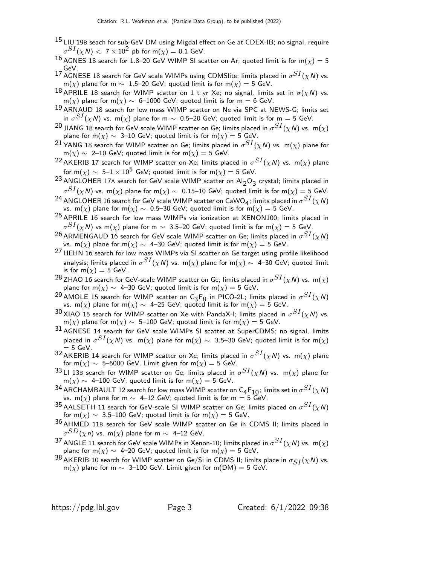- <sup>15</sup> LIU 19B seach for sub-GeV DM using Migdal effect on Ge at CDEX-IB; no signal, require  $\sigma^{SI}(\chi$ N)  $<~7\times10^2$  pb for m $(\chi)=$  0.1 GeV.
- 16 AGNES 18 search for 1.8–20 GeV WIMP SI scatter on Ar; quoted limit is for m( $\chi$ ) = 5 GeV.
- 17 AGNESE 18 search for GeV scale WIMPs using CDMSlite; limits placed in  $\sigma^{SI}(\chi N)$  vs. m(x) plane for m  $\sim 1.5-20$  GeV; quoted limit is for m(x) = 5 GeV.
- 18 APRILE 18 search for WIMP scatter on 1 t yr Xe; no signal, limits set in  $\sigma(\chi N)$  vs. m(x) plane for m(x)  $\sim$  6–1000 GeV; quoted limit is for m = 6 GeV.
- 19 ARNAUD 18 search for low mass WIMP scatter on Ne via SPC at NEWS-G; limits set in  $\sigma^{SI}(\chi N)$  vs. m $(\chi)$  plane for m  $\sim$  0.5–20 GeV; quoted limit is for m  $=$  5 GeV.
- $^{20}$  JIANG 18 search for GeV scale WIMP scatter on Ge; limits placed in  $\sigma^{SI}(\chi N)$  vs.  $\,$  m( $\chi)$ plane for m( $\chi$ ) ~ 3–10 GeV; quoted limit is for m( $\chi$ ) = 5 GeV.
- $^{21}$ YANG 18 search for WIMP scatter on Ge; limits placed in  $\sigma^{SI}(\chi N)$  vs. m $(\chi)$  plane for  $m(\chi) \sim 2$ –10 GeV; quoted limit is for  $m(\chi) = 5$  GeV.
- $^{22}$ AKERIB 17 search for WIMP scatter on Xe; limits placed in  $\sigma^{SI}(\chi N)$  vs. m $(\chi)$  plane for m( $\chi$ ) ~ 5–1 × 10<sup>5</sup> GeV; quoted limit is for m( $\chi$ ) = 5 GeV.
- $^{23}$  ANGLOHER 17A search for GeV scale WIMP scatter on Al $_2$ O $_3$  crystal; limits placed in  $\sigma^{SI}(\chi N)$  vs. m( $\chi)$  plane for m( $\chi) \sim~$  0.15–10 GeV; quoted limit is for m( $\chi) =$  5 GeV.
- <sup>24</sup> ANGLOHER 16 search for GeV scale WIMP scatter on CaWO<sub>4</sub>; limits placed in  $\sigma^{SI}(\chi N)$ vs. m(x) plane for m(x) ~ 0.5–30 GeV; quoted limit is for  $m(\chi) = 5$  GeV.
- $25$  APRILE 16 search for low mass WIMPs via ionization at XENON100; limits placed in  $\sigma^{SI}(\chi N)$  vs m $(\chi)$  plane for m  $\sim$  3.5–20 GeV; quoted limit is for m $(\chi)=$  5 GeV.
- $^{26}$ ARMENGAUD 16 search for GeV scale WIMP scatter on Ge; limits placed in  $\sigma^{SI}(\chi N)$ vs. m(x) plane for m(x)  $\sim$  4–30 GeV; quoted limit is for m(x) = 5 GeV.
- 27 HEHN 16 search for low mass WIMPs via SI scatter on Ge target using profile likelihood analysis; limits placed in  $\sigma^{SI}(\chi N)$  vs. m $(\chi)$  plane for m $(\chi)\sim\;$  4–30 GeV; quoted limit is for  $m(\chi) = 5$  GeV.
- $^{28}$ ZHAO 16 search for GeV-scale WIMP scatter on Ge; limits placed in  $\sigma^{SI}(\chi N)$  vs.  $\,$  m( $\chi)$ plane for m( $\chi$ )  $\sim$  4–30 GeV; quoted limit is for m( $\chi$ ) = 5 GeV.
- <sup>29</sup> AMOLE 15 search for WIMP scatter on C<sub>3</sub>F<sub>8</sub> in PICO-2L; limits placed in  $\sigma^{SI}(\chi N)$ vs. m(x) plane for m(x) ~ 4–25 GeV; quoted limit is for m(x) = 5 GeV.
- $^{30}$ XIAO 15 search for WIMP scatter on Xe with PandaX-I; limits placed in  $\sigma^{SI}(\chi N)$  vs. m(x) plane for m(x) ~ 5–100 GeV; quoted limit is for m(x) = 5 GeV.
- $31$  AGNESE 14 search for GeV scale WIMPs SI scatter at SuperCDMS; no signal, limits placed in  $\sigma^{SI}(\chi N)$  vs.  $\,$  m( $\chi)$  plane for m( $\chi) \sim \,$  3.5–30 GeV; quoted limit is for m( $\chi)$  $= 5$  GeV.
- $^{32}$  AKERIB 14 search for WIMP scatter on Xe; limits placed in  $\sigma^{SI}(\chi N)$  vs. m $(\chi)$  plane for m( $\chi$ ) ~ 5–5000 GeV. Limit given for m( $\chi$ ) = 5 GeV.
- $^{33}$ LI 13B search for WIMP scatter on Ge; limits placed in  $\sigma^{SI}(\chi N)$  vs.  $\,$  m( $\chi)$  plane for  $m(\chi) \sim 4$ –100 GeV; quoted limit is for  $m(\chi) = 5$  GeV.
- <sup>34</sup> ARCHAMBAULT 12 search for low mass WIMP scatter on C<sub>4</sub>F<sub>10</sub>; limits set in  $\sigma^{SI}(\chi N)$ vs. m(x) plane for m  $\sim$  4–12 GeV; quoted limit is for m = 5 GeV.
- $^{35}$ AALSETH 11 search for GeV-scale SI WIMP scatter on Ge; limits placed on  $\sigma^{SI}(\chi N)$ for m( $\chi$ ) ~ 3.5–100 GeV; quoted limit is for m( $\chi$ ) = 5 GeV.
- 36 AHMED 11B search for GeV scale WIMP scatter on Ge in CDMS II; limits placed in  $\sigma^{SD}(\chi\, n)$  vs. m $(\chi)$  plane for m  $\sim$  4–12 GeV.
- $^{37}$  ANGLE 11 search for GeV scale WIMPs in Xenon-10; limits placed in  $\sigma^{SI}(\chi N)$  vs.  $\,$  m( $\chi)$ plane for m( $\chi$ ) ~ 4–20 GeV; quoted limit is for m( $\chi$ ) = 5 GeV.
- 38 AKERIB 10 search for WIMP scatter on Ge/Si in CDMS II; limits place in  $\sigma_{SI}(\chi N)$  vs. m(x) plane for m  $\sim$  3–100 GeV. Limit given for m(DM) = 5 GeV.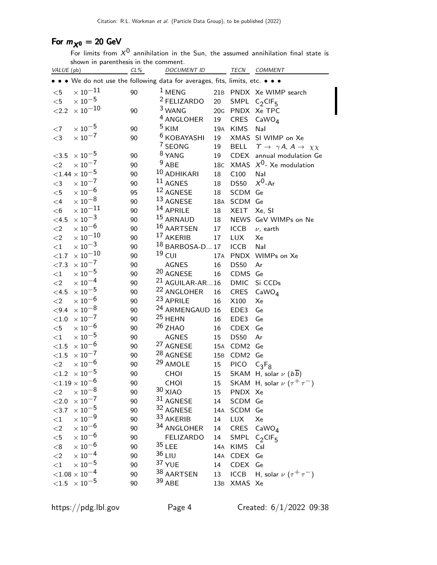## For  $m_{\chi^0} = 20$  GeV

For limits from  $X^0$  annihilation in the Sun, the assumed annihilation final state is shown in parenthesis in the comment.

| VALUE (pb)   |                                                                               | $CL\%$ | <b>DOCUMENT ID</b>         |     |                  | TECN COMMENT                                                   |
|--------------|-------------------------------------------------------------------------------|--------|----------------------------|-----|------------------|----------------------------------------------------------------|
|              | • • • We do not use the following data for averages, fits, limits, etc. • • • |        |                            |     |                  |                                                                |
| $<$ 5        | $\times$ 10 $^{-11}$                                                          | 90     | $1$ MENG                   |     |                  | 21B PNDX Xe WIMP search                                        |
| $<$ 5        | $\times$ 10 $^{-5}$                                                           |        | <sup>2</sup> FELIZARDO     | 20  |                  | SMPL $C_2CIF_5$                                                |
| < 2.2        | $\times$ 10 $^{-10}$                                                          | 90     | <sup>3</sup> WANG          | 20G |                  | PNDX Xe TPC                                                    |
|              |                                                                               |        | <sup>4</sup> ANGLOHER      | 19  | CRES             | CaWO <sub>4</sub>                                              |
| $<$ 7        | $\times$ $10^{-5}$                                                            | 90     | <sup>5</sup> KIM           | 19A | <b>KIMS</b>      | Nal                                                            |
| $<$ 3        | $\times$ $10^{-7}$                                                            | 90     | <sup>6</sup> KOBAYASHI     | 19  |                  | XMAS SI WIMP on Xe                                             |
|              |                                                                               |        | 7 SEONG                    | 19  |                  | BELL $\gamma \rightarrow \gamma A$ , $A \rightarrow \chi \chi$ |
| $<3.5$       | $\times$ 10 $^{-5}$                                                           | 90     | <sup>8</sup> YANG          | 19  |                  | CDEX annual modulation Ge                                      |
| $\leq$ 2     | $\times$ 10 $^{-7}$                                                           | 90     | $9$ ABE                    | 18C |                  | XMAS $X^0$ - Xe modulation                                     |
|              | ${<}1.44\times10^{-5}$                                                        | 90     | 10 ADHIKARI                | 18  | C100             | Nal                                                            |
| $<$ 3        | $\times$ 10 <sup>-7</sup>                                                     | 90     | 11 AGNES                   | 18  | <b>DS50</b>      | $X^0$ -Ar                                                      |
| $<$ 5        | $\times$ $10^{-6}$                                                            | 95     | 12 AGNESE                  | 18  | SCDM             | Ge                                                             |
| $\leq 4$     | $\times$ 10 $^{-8}$                                                           | 90     | 13 AGNESE                  | 18A | SCDM Ge          |                                                                |
| $<$ 6        | $\times$ $10^{-11}$                                                           | 90     | 14 APRILE                  | 18  | XE1T             | Xe, SI                                                         |
| $<$ 4.5 $\,$ | $\times$ 10 <sup>-3</sup>                                                     | 90     | <sup>15</sup> ARNAUD       | 18  |                  | NEWS GeV WIMPs on Ne                                           |
| $<$ 2        | $\times$ 10 <sup>-6</sup>                                                     | 90     | 16 AARTSEN                 | 17  | <b>ICCB</b>      | $\nu$ , earth                                                  |
| ${<}2$       | $\times$ 10 $^{-10}$                                                          | 90     | 17 AKERIB                  | 17  | <b>LUX</b>       | Xe                                                             |
| ${<}1$       | $\times$ $10^{-3}$                                                            | 90     | <sup>18</sup> BARBOSA-D 17 |     | <b>ICCB</b>      | Nal                                                            |
| ${<}1.7$     | $\times$ $10^{-10}$                                                           | 90     | $19$ CUI                   | 17A |                  | PNDX WIMPs on Xe                                               |
| ${<}7.3$     | $\times$ $10^{-7}$                                                            | 90     | <b>AGNES</b>               | 16  | <b>DS50</b>      | Ar                                                             |
| ${<}1$       | $\times$ $10^{-5}$                                                            | 90     | <sup>20</sup> AGNESE       | 16  | CDMS             | Ge                                                             |
| $<$ 2        | $\times$ 10 <sup>-4</sup>                                                     | 90     | $21$ AGUILAR-AR16          |     | <b>DMIC</b>      | Si CCDs                                                        |
| $<$ 4.5      | $\times$ 10 $^{-5}$                                                           | 90     | <sup>22</sup> ANGLOHER     | 16  | <b>CRES</b>      | CaWO <sub>4</sub>                                              |
| $\leq$ 2     | $\times$ 10 $^{-6}$                                                           | 90     | <sup>23</sup> APRILE       | 16  | X100             | Xe                                                             |
| ${<}9.4$     | $\times$ 10 <sup>-8</sup>                                                     | 90     | <sup>24</sup> ARMENGAUD 16 |     | EDE3             | Ge                                                             |
| $<\!1.0$     | $\times$ $10^{-7}$                                                            | 90     | $25$ HEHN                  | 16  | EDE3             | Ge                                                             |
| $<$ 5        | $\times$ 10 $^{-6}$                                                           | 90     | $26$ ZHAO                  | 16  | <b>CDEX</b>      | Ge                                                             |
| ${<}1$       | $\times$ $10^{-5}$                                                            | 90     | <b>AGNES</b>               | 15  | <b>DS50</b>      | Ar                                                             |
| $<$ 1.5      | $\times$ $10^{-6}$                                                            | 90     | <sup>27</sup> AGNESE       | 15A | CDM2             | Ge                                                             |
| $<1.5\,$     | $\times$ 10 <sup>-7</sup>                                                     | 90     | <sup>28</sup> AGNESE       | 15B | CDM <sub>2</sub> | Ge                                                             |
| ${<}2$       | $\times$ 10 $^{-6}$                                                           | 90     | <sup>29</sup> AMOLE        | 15  | <b>PICO</b>      | $C_3F_8$                                                       |
|              | ${<}1.2 \times 10^{-5}$                                                       | 90     | CHOI                       | 15  |                  | SKAM H, solar $\nu$ ( $b\overline{b}$ )                        |
|              | ${<}1.19\times10^{-6}$                                                        | 90     | CHOI                       | 15  |                  | SKAM H, solar $\nu$ $(\tau^+\tau^-)$                           |
| $<$ 2        | $\times$ $10^{-8}$                                                            | 90     | $30$ XIAO                  | 15  | PNDX Xe          |                                                                |
| < 2.0        | $\times$ $10^{-7}$                                                            | 90     | 31 AGNESE                  | 14  | SCDM Ge          |                                                                |
| $<$ 3.7      | $\times$ 10 $^{-5}$                                                           | 90     | 32 AGNESE                  | 14A | SCDM Ge          |                                                                |
| ${<}1$       | $\times$ 10 $^{-9}$                                                           | 90     | 33 AKERIB                  | 14  | <b>LUX</b>       | Xe                                                             |
| ${<}2$       | $\times$ 10 <sup>-6</sup>                                                     | 90     | 34 ANGLOHER                | 14  | <b>CRES</b>      | CaWO <sub>4</sub>                                              |
| $<$ 5        | $\times$ 10 $^{-6}$                                                           | 90     | <b>FELIZARDO</b>           | 14  |                  | SMPL $C_2$ CIF <sub>5</sub>                                    |
| $<\!8$       | $\times$ 10 <sup>-6</sup>                                                     | 90     | $35$ LEE                   |     | 14A KIMS         | Csl                                                            |
| $<$ $\!2$    | $\times$ $10^{-4}$                                                            | 90     | $36$ LIU                   | 14A | <b>CDEX</b>      | Ge                                                             |
| ${<}1$       | $\times$ $10^{-5}$                                                            | 90     | 37 YUE                     | 14  | <b>CDEX</b>      | Ge                                                             |
|              | ${<}1.08\times10^{-4}$                                                        | 90     | 38 AARTSEN                 | 13  | <b>ICCB</b>      | H, solar $\nu$ $(\tau^+\tau^-)$                                |
|              | $\times$ 10 $^{-5}$                                                           |        | 39 ABE                     |     | XMAS Xe          |                                                                |
| $<\!\!1.5$   |                                                                               | 90     |                            | 13B |                  |                                                                |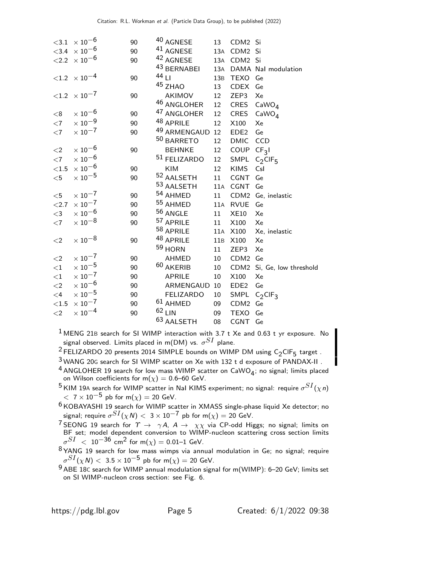|            | $<\!\!3.1~\times 10^{-6}$         | 90 | 40 AGNESE              | 13                | CDM2 Si                |                             |
|------------|-----------------------------------|----|------------------------|-------------------|------------------------|-----------------------------|
|            | $<$ 3.4 $\times$ 10 <sup>-6</sup> | 90 | <sup>41</sup> AGNESE   |                   | 13A CDM2 Si            |                             |
|            | $< 2.2 \times 10^{-6}$            | 90 | <sup>42</sup> AGNESE   |                   | 13A CDM2 Si            |                             |
|            |                                   |    | 43 BERNABEI            | 13A               |                        | DAMA Nal modulation         |
|            | ${<}1.2 \times 10^{-4}$           | 90 | 44 LI                  | 13B               | TEXO Ge                |                             |
|            |                                   |    | 45 ZHAO                | 13                | CDEX Ge                |                             |
|            | $< 1.2 \times 10^{-7}$            | 90 | AKIMOV                 | 12                | ZEP3                   | Xe                          |
|            |                                   |    | <sup>46</sup> ANGLOHER | 12                |                        | CRES $CaWO4$                |
| $<$ 8      | $\times$ 10 <sup>-6</sup>         | 90 | <sup>47</sup> ANGLOHER | 12                | CRES                   | CaWO <sub>A</sub>           |
| $<$ 7      | $\times$ 10 $^{-9}$               | 90 | 48 APRILE              | 12                | X100                   | Xe                          |
| $<$ 7      | $\times$ 10 <sup>-7</sup>         | 90 | 49 ARMENGAUD 12        |                   | EDE <sub>2</sub>       | Ge                          |
|            |                                   |    | 50 BARRETO             | 12                | DMIC CCD               |                             |
| $\leq$ 2   | $\times$ $10^{-6}$                | 90 | <b>BEHNKE</b>          | 12                | COUP CF <sub>3</sub> I |                             |
| $<$ 7      | $\times$ $10^{-6}$                |    | 51 FELIZARDO           | 12                |                        | SMPL $C_2$ CIF <sub>5</sub> |
| ${<}1.5$   | $\times$ $10^{-6}$                | 90 | KIM                    | $12 \overline{ }$ | <b>KIMS</b>            | Csl                         |
| $<$ 5      | $\times$ 10 $^{-5}$               | 90 | 52 AALSETH             | 11                | CGNT                   | Ge                          |
|            |                                   |    | 53 AALSETH             |                   | 11A CGNT Ge            |                             |
| $<$ 5      | $\times$ $10^{-7}$                | 90 | 54 AHMED               | 11                |                        | CDM2 Ge, inelastic          |
| ${<}2.7$   | $\times$ 10 <sup>-7</sup>         | 90 | 55 AHMED               | 11A               | RVUE                   | Ge                          |
| $<$ 3      | $\times$ 10 <sup>-6</sup>         | 90 | <sup>56</sup> ANGLE    | 11                | <b>XE10</b>            | Xe                          |
| $<$ 7      | $\times$ $10^{-8}$                | 90 | 57 APRILE              | 11                | X100                   | Xe                          |
|            |                                   |    | 58 APRILE              | 11A               | X100                   | Xe, inelastic               |
| $\leq$ 2   | $\times$ $10^{-8}$                | 90 | 48 APRILE              | 11B               | X100                   | Xe                          |
|            |                                   |    | 59 HORN                | 11                | ZEP3                   | Xe                          |
| ${<}2$     | $\times$ 10 $^{-7}$               | 90 | AHMED                  | 10                | CDM2 Ge                |                             |
| ${<}1$     | $\times$ $10^{-5}$                | 90 | <sup>60</sup> AKERIB   | 10                |                        | CDM2 Si, Ge, low threshold  |
| ${<}1$     | $\times$ $10^{-7}$                | 90 | APRILE                 | 10                | X100                   | Xe                          |
| ${<}2$     | $\times$ $10^{-6}$                | 90 | ARMENGAUD 10           |                   | EDE <sub>2</sub>       | Ge                          |
| $<$ 4 $\,$ | $\times$ $10^{-5}$                | 90 | <b>FELIZARDO</b>       | 10                |                        | SMPL $C_2$ CIF <sub>3</sub> |
| ${<}1.5$   | $\times$ $10^{-7}$                | 90 | $61$ AHMED             | 09                | CDM2 Ge                |                             |
| $<$ 2      | $\times$ 10 $^{-4}$               | 90 | $62$ LIN               | 09                | TEXO                   | Ge                          |
|            |                                   |    | 63 AALSETH             | 08                | CGNT Ge                |                             |

 $1$  MENG 21B search for SI WIMP interaction with 3.7 t Xe and 0.63 t yr exposure. No signal observed. Limits placed in m(DM) vs.  $\sigma^{SI}$  plane.

<sup>2</sup> FELIZARDO 20 presents 2014 SIMPLE bounds on WIMP DM using  $C_2$ CIF<sub>5</sub> target.

3 WANG 20<sup>G</sup> search for SI WIMP scatter on Xe with 132 t d exposure of PANDAX-II . <sup>4</sup> ANGLOHER 19 search for low mass WIMP scatter on  $\text{CaWO}_4$ ; no signal; limits placed on Wilson coefficients for m $(\chi)=$  0.6–60 GeV.

- $^5$ KIM 19A search for WIMP scatter in NaI KIMS experiment; no signal: require  $\sigma^{SI}(\chi n)$  $< 7 \times 10^{-5}$  pb for m( $\chi$ ) = 20 GeV.
- 6 KOBAYASHI 19 search for WIMP scatter in XMASS single-phase liquid Xe detector; no signal; require  $\sigma^{SI}(\chi N)<~3\times 10^{-7}$  pb for m $(\chi)=20$  GeV.
- $^7$ SEONG 19 search for  $\varUpsilon$   $\rightarrow$   $\gamma$  A,  $A$   $\rightarrow$   $\chi\chi$  via CP-odd Higgs; no signal; limits on BF set; model dependent conversion to WIMP-nucleon scattering cross section limits  $\sigma^{SI}$   $<$   $\,10^{-36}$  cm $^2$  for m( $\chi)$   $=$  0.01–1 GeV.
- $8$  YANG 19 search for low mass wimps via annual modulation in Ge; no signal; require  $\sigma^{SI}(\chi$ N)  $<~3.5\times10^{-5}$  pb for m $(\chi)=$  20 GeV.
- 9 ABE 18<sup>C</sup> search for WIMP annual modulation signal for m(WIMP): 6–20 GeV; limits set on SI WIMP-nucleon cross section: see Fig. 6.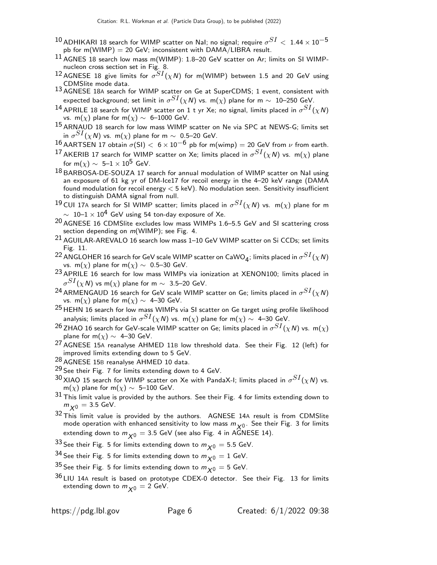- $^{10}$ ADHIKARI 18 search for WIMP scatter on NaI; no signal; require  $\sigma^{SI} <~1.44\times 10^{-5}$ pb for m(WIMP) = 20 GeV; inconsistent with  $DAMA/LIBRA$  result.
- 11 AGNES 18 search low mass m(WIMP): 1.8–20 GeV scatter on Ar; limits on SI WIMPnucleon cross section set in Fig. 8.
- $^{12}$  AGNESE 18 give limits for  $\sigma^{SI}(\chi N)$  for m(WIMP) between 1.5 and 20 GeV using CDMSlite mode data.
- 13 AGNESE 18<sup>A</sup> search for WIMP scatter on Ge at SuperCDMS; 1 event, consistent with expected background; set limit in  $\sigma^{SI}(\chi N)$  vs. m $(\chi)$  plane for m  $\sim$   $\,$  10–250 GeV.
- $^{14}$  APRILE 18 search for WIMP scatter on 1 t yr Xe; no signal, limits placed in  $\sigma^{SI}(\chi N)$ vs. m( $\chi$ ) plane for m( $\chi$ ) ~ 6–1000 GeV.
- 15 ARNAUD 18 search for low mass WIMP scatter on Ne via SPC at NEWS-G; limits set in  $\sigma^{SI}(\chi \, \mathsf{N})$  vs. m $(\chi)$  plane for m  $\sim$  0.5–20 GeV.
- 16 AARTSEN 17 obtain  $\sigma(SI) < 6 \times 10^{-6}$  pb for m(wimp) = 20 GeV from  $\nu$  from earth.
- $^{17}$ AKERIB 17 search for WIMP scatter on Xe; limits placed in  $\sigma^{SI}(\chi N)$  vs. m $(\chi)$  plane for m( $\chi$ )  $\sim 5-1 \times 10^5$  GeV.
- 18 BARBOSA-DE-SOUZA 17 search for annual modulation of WIMP scatter on NaI using an exposure of 61 kg yr of DM-Ice17 for recoil energy in the 4–20 keV range (DAMA found modulation for recoil energy < 5 keV). No modulation seen. Sensitivity insufficient to distinguish DAMA signal from null.
- $^{19}$ CUI 17A search for SI WIMP scatter; limits placed in  $\sigma^{SI}(\chi N)$  vs.  $\,$  m( $\chi)$  plane for m  $\sim 10$ – $1 \times 10^{4}$  GeV using 54 ton-day exposure of Xe.
- 20 AGNESE 16 CDMSlite excludes low mass WIMPs 1.6–5.5 GeV and SI scattering cross section depending on  $m(WIMP)$ ; see Fig. 4.
- 21 AGUILAR-AREVALO 16 search low mass 1–10 GeV WIMP scatter on Si CCDs; set limits Fig. 11.
- <sup>22</sup> ANGLOHER 16 search for GeV scale WIMP scatter on CaWO<sub>4</sub>; limits placed in  $\sigma^{SI}(\chi N)$ vs. m( $\chi$ ) plane for m( $\chi$ ) ~ 0.5–30 GeV.
- 23 APRILE 16 search for low mass WIMPs via ionization at XENON100; limits placed in  $\sigma^{SI}(\chi N)$  vs m $(\chi)$  plane for m  $\sim$  3.5–20 GeV.
- $^{24}$ ARMENGAUD 16 search for GeV scale WIMP scatter on Ge; limits placed in  $\sigma^{SI}(\chi N)$ vs. m( $\chi$ ) plane for m( $\chi$ )  $\sim$  4–30 GeV.
- $25$  HEHN 16 search for low mass WIMPs via SI scatter on Ge target using profile likelihood analysis; limits placed in  $\sigma^{SI}(\chi \, {\sf N})$  vs.  $\, {\sf m}(\chi)$  plane for  ${\sf m}(\chi) \sim \,$  4–30 GeV.
- $^{26}$  ZHAO 16 search for GeV-scale WIMP scatter on Ge; limits placed in  $\sigma^{SI}(\chi N)$  vs.  $\,$  m( $\chi)$ plane for m( $\chi$ )  $\sim$  4–30 GeV.
- 27 AGNESE 15<sup>A</sup> reanalyse AHMED 11<sup>B</sup> low threshold data. See their Fig. 12 (left) for improved limits extending down to 5 GeV.
- 28 AGNESE 15<sup>B</sup> reanalyse AHMED 10 data.
- <sup>29</sup> See their Fig. 7 for limits extending down to 4 GeV.
- $^{30}$ XIAO 15 search for WIMP scatter on Xe with PandaX-I; limits placed in  $\sigma^{SI}(\chi N)$  vs. m(x) plane for m(x)  $\sim$  5–100 GeV.
- $31$  This limit value is provided by the authors. See their Fig. 4 for limits extending down to  $m_{\chi0} = 3.5$  GeV.
- $32$  This limit value is provided by the authors. AGNESE 14A result is from CDMSlite mode operation with enhanced sensitivity to low mass  $m_{\chi_0}$ . See their Fig. 3 for limits extending down to  $m_{\chi^0} = 3.5$  GeV (see also Fig. 4 in AGNESE 14).
- 33 See their Fig. 5 for limits extending down to  $m_{\chi^0} = 5.5$  GeV.
- <sup>34</sup> See their Fig. 5 for limits extending down to  $m_{\chi0} = 1$  GeV.
- <sup>35</sup> See their Fig. 5 for limits extending down to  $m_{\chi0} = 5$  GeV.
- $36$  LIU 14A result is based on prototype CDEX-0 detector. See their Fig. 13 for limits extending down to  $m_{\chi0} = 2$  GeV.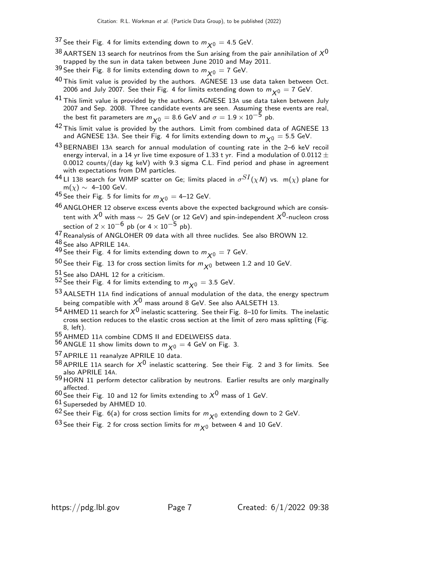- <sup>37</sup> See their Fig. 4 for limits extending down to  $m_{\chi0} = 4.5$  GeV.
- $38$  AARTSEN 13 search for neutrinos from the Sun arising from the pair annihilation of  $X^0$ trapped by the sun in data taken between June 2010 and May 2011.
- 39 See their Fig. 8 for limits extending down to  $m_{\chi^0} = 7$  GeV.
- $40$  This limit value is provided by the authors. AGNESE 13 use data taken between Oct. 2006 and July 2007. See their Fig. 4 for limits extending down to  $m_{\chi0} = 7$  GeV.
- $^{41}$  This limit value is provided by the authors. AGNESE 13A use data taken between July 2007 and Sep. 2008. Three candidate events are seen. Assuming these events are real, the best fit parameters are  $m_{\chi0} = 8.6$  GeV and  $\sigma = 1.9 \times 10^{-5}$  pb.
- $42$  This limit value is provided by the authors. Limit from combined data of AGNESE 13 and AGNESE 13A. See their Fig. 4 for limits extending down to  $m_{\chi0} = 5.5$  GeV.
- 43 BERNABEI 13<sup>A</sup> search for annual modulation of counting rate in the 2–6 keV recoil energy interval, in a 14 yr live time exposure of 1.33 t yr. Find a modulation of 0.0112  $\pm$ 0.0012 counts/(day kg keV) with 9.3 sigma C.L. Find period and phase in agreement with expectations from DM particles.
- $^{44}$ LI 13B search for WIMP scatter on Ge; limits placed in  $\sigma^{SI}(\chi N)$  vs.  $\,$  m( $\chi)$  plane for  $m(\chi) \sim 4-100$  GeV.
- 45 See their Fig. 5 for limits for  $m_{\chi^0} = 4$ –12 GeV.
- $46$  ANGLOHER 12 observe excess events above the expected background which are consistent with  $X^0$  with mass  $\sim 25$  GeV (or 12 GeV) and spin-independent  $X^0$ -nucleon cross section of  $2 \times 10^{-6}$  pb (or  $4 \times 10^{-5}$  pb).
- 47 Reanalysis of ANGLOHER 09 data with all three nuclides. See also BROWN 12.
- 48 See also APRILE 14A.
- 49 See their Fig. 4 for limits extending down to  $m_{\chi^0} = 7$  GeV.
- 50 See their Fig. 13 for cross section limits for  $m_{\chi_0}$  between 1.2 and 10 GeV.
- $51$  See also DAHL 12 for a criticism.
- $^{52}$  See their Fig. 4 for limits extending to  $m_{\chi^0} =$  3.5 GeV.
- 53 AALSETH 11<sup>A</sup> find indications of annual modulation of the data, the energy spectrum being compatible with  $X^0$  mass around 8 GeV. See also AALSETH 13.
- 54 AHMED 11 search for  $X^0$  inelastic scattering. See their Fig. 8–10 for limits. The inelastic cross section reduces to the elastic cross section at the limit of zero mass splitting (Fig. 8, left).
- 55 AHMED 11A combine CDMS II and EDELWEISS data.
- $^{56}$  ANGLE 11 show limits down to  $m_{\chi0} =$  4 GeV on Fig. 3.
- 57 APRILE 11 reanalyze APRILE 10 data.
- $^{58}$  APRILE 11A search for  $X^0$  inelastic scattering. See their Fig. 2 and 3 for limits. See also APRILE 14A.
- 59 HORN 11 perform detector calibration by neutrons. Earlier results are only marginally affected.
- $60$  See their Fig. 10 and 12 for limits extending to  $X^0$  mass of 1 GeV.
- $61$  Superseded by AHMED 10.
- $62$  See their Fig. 6(a) for cross section limits for  $m_{\chi^0}$  extending down to 2 GeV.
- $63$  See their Fig. 2 for cross section limits for  $m_{\chi0}$  between 4 and 10 GeV.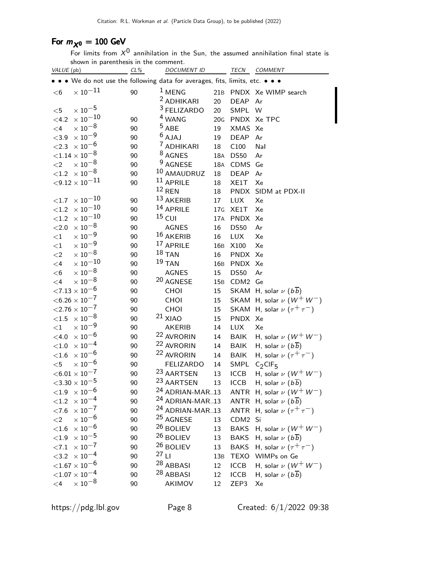# For  $m_{\chi^0} = 100$  GeV

For limits from  $X^0$  annihilation in the Sun, the assumed annihilation final state is shown in parenthesis in the comment.

| VALUE (pb) |                                                                             | CL% |         | <b>DOCUMENT ID</b>                                       |                 |             | TECN COMMENT                            |
|------------|-----------------------------------------------------------------------------|-----|---------|----------------------------------------------------------|-----------------|-------------|-----------------------------------------|
|            | • • We do not use the following data for averages, fits, limits, etc. • • • |     |         |                                                          |                 |             |                                         |
| $<$ 6      | $\times$ 10 $^{-11}$                                                        | 90  |         | $1$ MENG                                                 |                 |             | 21B PNDX Xe WIMP search                 |
|            |                                                                             |     |         | <sup>2</sup> ADHIKARI                                    | 20              | <b>DEAP</b> | Ar                                      |
| $<$ 5      | $\times$ $10^{-5}$                                                          |     |         | <sup>3</sup> FELIZARDO                                   | 20              | SMPL W      |                                         |
| $<$ 4.2    | $\times$ $10^{-10}$                                                         | 90  |         | <sup>4</sup> WANG                                        | 20G             |             | PNDX Xe TPC                             |
| $\leq$ 4   | $\times$ $10^{-8}$                                                          | 90  |         | $5$ ABE                                                  | 19              | XMAS Xe     |                                         |
| < 3.9      | $\times$ 10 $^{-9}$                                                         | 90  |         | $6$ AJAJ                                                 | 19              | <b>DEAP</b> | Ar                                      |
|            | ${<}2.3 \times 10^{-6}$                                                     | 90  |         | <sup>7</sup> ADHIKARI                                    | $18\,$          | C100        | Nal                                     |
|            | ${<}1.14\times10^{-8}$                                                      | 90  |         | <sup>8</sup> AGNES                                       | 18A             | <b>DS50</b> | Ar                                      |
| $<$ 2      | $\times$ 10 <sup>-8</sup>                                                   | 90  |         | <sup>9</sup> AGNESE                                      | 18A             | CDMS Ge     |                                         |
|            | $<$ 1.2 $\times$ 10 $^{-8}$                                                 | 90  |         | 10 AMAUDRUZ                                              | 18              | <b>DEAP</b> | Ar                                      |
|            | ${<}9.12\times10^{-11}$                                                     | 90  |         | $11$ APRILE                                              | 18              | XE1T        | Xe                                      |
|            |                                                                             |     |         | $12$ REN                                                 | 18              | <b>PNDX</b> | SIDM at PDX-II                          |
| ${<}1.7$   | $\times$ $10^{-10}$                                                         | 90  |         | 13 AKERIB                                                | 17              | <b>LUX</b>  | Xe                                      |
| ${<}1.2$   | $\times$ $10^{-10}$                                                         | 90  |         | 14 APRILE                                                | 17 <sub>G</sub> | XE1T        | Xe                                      |
| ${<}1.2$   | $\times$ $10^{-10}$                                                         | 90  |         | $15$ CUI                                                 | 17A             | <b>PNDX</b> | Xe                                      |
| ${<}2.0$   | $\times$ 10 <sup>-8</sup>                                                   | 90  |         | <b>AGNES</b>                                             | 16              | <b>DS50</b> | Ar                                      |
| ${<}1$     | $\times$ $10^{-9}$                                                          | 90  |         | 16 AKERIB                                                | 16              | <b>LUX</b>  | Xe                                      |
| ${<}1$     | $\times$ 10 $^{-9}$                                                         | 90  |         | 17 APRILE                                                | 16 <sub>B</sub> | X100        | Xe                                      |
| $\leq$ 2   | $\times$ 10 <sup>-8</sup>                                                   | 90  |         | $18$ TAN                                                 | 16              | PNDX Xe     |                                         |
| $\leq 4$   | $\times$ 10 $^{-10}$                                                        | 90  |         | $19$ TAN                                                 | 16 <sub>B</sub> | PNDX Xe     |                                         |
| $<$ 6      | $\times$ $10^{-8}$                                                          | 90  |         | <b>AGNES</b>                                             | 15              | <b>DS50</b> | Ar                                      |
| $\leq$ 4   | $\times$ 10 <sup>-8</sup>                                                   | 90  |         | 20 AGNESE                                                | 15B             | CDM2 Ge     |                                         |
|            | ${<}7.13\times10^{-6}$                                                      | 90  |         | CHOI                                                     | 15              |             | SKAM H, solar $\nu$ ( $b\overline{b}$ ) |
|            | $<$ 6.26 $\times$ 10 <sup>-7</sup>                                          | 90  |         | CHOI                                                     | 15              |             | SKAM H, solar $\nu$ $(W^+ W^-)$         |
|            | ${<}2.76 \times 10^{-7}$                                                    | 90  |         | CHOI                                                     | 15              |             | SKAM H, solar $\nu$ $(\tau^+\tau^-)$    |
|            | $<$ 1.5 $\times$ 10 $^{-8}$                                                 | 90  |         | $21$ XIAO                                                | 15              | PNDX Xe     |                                         |
| ${<}1$     | $\times$ 10 $^{-9}$                                                         | 90  |         | <b>AKERIB</b>                                            | 14              | <b>LUX</b>  | Xe                                      |
| $<$ 4.0    | $\times$ 10 $^{-6}$                                                         | 90  |         | <sup>22</sup> AVRORIN                                    | $14\,$          | <b>BAIK</b> | H, solar $\nu$ $(W^+ W^-)$              |
| $<$ 1.0    | $\times$ 10 <sup>-4</sup>                                                   | 90  |         | <sup>22</sup> AVRORIN                                    | 14              | BAIK        | H, solar $\nu$ $(b\overline{b})$        |
| < 1.6      | $\times$ $10^{-6}$                                                          | 90  |         | <sup>22</sup> AVRORIN                                    | 14              | <b>BAIK</b> | H, solar $\nu$ $(\tau^+\tau^-)$         |
| $<$ 5      | $\times$ 10 $^{-6}$                                                         | 90  |         | <b>FELIZARDO</b>                                         | 14              | SMPL        | $C_2$ CIF <sub>5</sub>                  |
|            | $<\!6.01\times10^{-7}$                                                      | 90  |         | 23 AARTSEN<br>23 AARTSEN                                 | 13              | <b>ICCB</b> | H, solar $\nu$ $(W^+ W^-)$              |
|            | ${<}3.30 \times 10^{-5}$                                                    | 90  |         |                                                          | 13              | <b>ICCB</b> | H, solar $\nu$ ( $b\overline{b}$ )      |
|            | $<\!\!1.9\;\times10^{-6}$                                                   | 90  |         | <sup>24</sup> ADRIAN-MAR13                               |                 |             | ANTR H, solar $\nu$ ( $W^+$ $W^-$ )     |
| ${<}1.2$   | $\times$ 10 <sup>-4</sup><br>$\times$ 10 <sup>-7</sup>                      | 90  |         | <sup>24</sup> ADRIAN-MAR13<br><sup>24</sup> ADRIAN-MAR13 |                 |             | ANTR H, solar $\nu$ ( $b\overline{b}$ ) |
| ${<}7.6$   | $\times$ $10^{-6}$                                                          | 90  |         | <sup>25</sup> AGNESE                                     |                 |             | ANTR H, solar $\nu$ $(\tau^+ \tau^-)$   |
| ${<}2$     |                                                                             | 90  |         | $26$ BOLIEV                                              | 13              | CDM2        | Si                                      |
| $<\!\!1.6$ | $\times$ 10 <sup>-6</sup><br>$\times$ 10 $^{-5}$                            | 90  |         | <sup>26</sup> BOLIEV                                     | 13              | <b>BAKS</b> | H, solar $\nu$ $(W^+ W^-)$              |
| ${<}1.9$   |                                                                             | 90  |         | 26 BOLIEV                                                | 13              | <b>BAKS</b> | H, solar $\nu$ $(b\overline{b})$        |
|            | ${<}7.1 \times 10^{-7}$                                                     | 90  | $27$ LI |                                                          | 13              | <b>BAKS</b> | H, solar $\nu$ $(\tau^+\tau^-)$         |
|            | $<$ 3.2 $\times$ 10 <sup>-4</sup>                                           | 90  |         | 28 ABBASI                                                | 13B             |             | TEXO WIMPs on Ge                        |
|            | ${<}1.67\times10^{-6}$<br>${<}1.07\times10^{-4}$                            | 90  |         | <sup>28</sup> ABBASI                                     | 12              | <b>ICCB</b> | H, solar $\nu$ $(W^+ W^-)$              |
|            | $\times$ $10^{-8}$                                                          | 90  |         |                                                          | 12              | <b>ICCB</b> | H, solar $\nu$ $(b\overline{b})$        |
| $\leq 4$   |                                                                             | 90  |         | AKIMOV                                                   | 12              | ZEP3        | Xe                                      |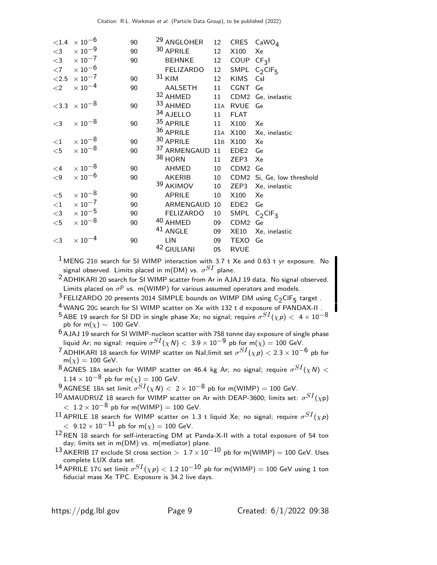| ${<}1.4$ | $\times$ 10 <sup>-6</sup>         | 90 | <sup>29</sup> ANGLOHER | 12              |                  | CRES $CaWOA$                |
|----------|-----------------------------------|----|------------------------|-----------------|------------------|-----------------------------|
| $<$ 3    | $\times$ 10 <sup>-9</sup>         | 90 | 30 APRILE              | 12              | X100             | Xe                          |
| $<$ 3    | $\times$ 10 $^{-7}$               | 90 | <b>BEHNKE</b>          | 12 <sub>2</sub> | COUP $CF3I$      |                             |
| $<$ 7    | $\times$ 10 <sup>-6</sup>         |    | <b>FELIZARDO</b>       | 12              |                  | SMPL $C_2$ CIF <sub>5</sub> |
| $<$ 2.5  | $\times$ 10 <sup>-7</sup>         | 90 | $31$ KIM               | 12              | <b>KIMS</b>      | Csl                         |
| $\leq$ 2 | $\times$ 10 <sup>-4</sup>         | 90 | AALSETH                | 11              | <b>CGNT</b>      | Ge                          |
|          |                                   |    | 32 AHMED               | 11              |                  | CDM2 Ge, inelastic          |
|          | $<$ 3.3 $\times$ 10 <sup>-8</sup> | 90 | 33 AHMED               | 11A             | <b>RVUE</b>      | Ge                          |
|          |                                   |    | 34 AJELLO              | 11              | <b>FLAT</b>      |                             |
| $<$ 3    | $\times$ 10 <sup>-8</sup>         | 90 | 35 APRILE              | 11              | X100             | Xe                          |
|          |                                   |    | 36 APRILE              |                 | 11A X100         | Xe, inelastic               |
| ${<}1$   | $\times$ 10 <sup>-8</sup>         | 90 | 30 APRILE              | 11B             | X100             | Xe                          |
| $<$ 5    | $\times$ 10 $^{-8}$               | 90 | 37 ARMENGAUD 11        |                 | EDE <sub>2</sub> | Ge                          |
|          |                                   |    | 38 HORN                | 11              | ZEP3             | Xe                          |
| $\leq$ 4 | $\times$ 10 <sup>-8</sup>         | 90 | AHMED                  | 10              | CDM <sub>2</sub> | Ge                          |
| $\leq$ 9 | $\times$ 10 <sup>-6</sup>         | 90 | <b>AKERIB</b>          | 10              |                  | CDM2 Si, Ge, low threshold  |
|          |                                   |    | 39 AKIMOV              | 10              | ZEP3             | Xe, inelastic               |
| $<$ 5    | $\times$ 10 $^{-8}$               | 90 | <b>APRILE</b>          | 10              | X100             | Xe                          |
| ${<}1\,$ | $\times$ 10 <sup>-7</sup>         | 90 | ARMENGAUD              | 10              | EDE <sub>2</sub> | Ge                          |
| $<$ 3    | $\times$ $10^{-5}$                | 90 | <b>FELIZARDO</b>       | 10              |                  | SMPL $C_2$ CIF <sub>3</sub> |
| $<$ 5    | $\times$ 10 $^{-8}$               | 90 | 40 AHMED               | 09              | CDM2 Ge          |                             |
|          |                                   |    | <sup>41</sup> ANGLE    | 09              | XE10             | Xe, inelastic               |
| $<$ 3    | $\times$ $10^{-4}$                | 90 | LIN                    | 09              | TEXO Ge          |                             |
|          |                                   |    | 42 GIULIANI            | 05              | <b>RVUE</b>      |                             |

 $1$  MENG 21B search for SI WIMP interaction with 3.7 t Xe and 0.63 t yr exposure. No signal observed. Limits placed in m(DM) vs.  $\sigma^{SI}$  plane.

2 ADHIKARI 20 search for SI WIMP scatter from Ar in AJAJ 19 data. No signal observed. Limits placed on  $\sigma^p$  vs. m(WIMP) for various assumed operators and models.

 $3$  FELIZARDO 20 presents 2014 SIMPLE bounds on WIMP DM using  $C_2$ CIF<sub>5</sub> target.

4 WANG 20<sup>G</sup> search for SI WIMP scatter on Xe with 132 t d exposure of PANDAX-II .

 $^5$ ABE 19 search for SI DD in single phase Xe; no signal; require  $\sigma^{SI}(\chi p)<~4\times 10^{-8}$ pb for m( $\chi$ ) ~ 100 GeV.

6 AJAJ 19 search for SI WIMP-nucleon scatter with 758 tonne day exposure of single phase liquid Ar; no signal: require  $\sigma^{SI}(\chi N)<~3.9\times 10^{-9}$  pb for m $(\chi)=100$  GeV.

 $^7$ ADHIKARI 18 search for WIMP scatter on NaI;limit set  $\sigma^{SI}(\chi p)< 2.3\times 10^{-6}$  pb for  $m(\chi) = 100$  GeV.

 $^8$ AGNES 18A search for WIMP scatter on 46.4 kg Ar; no signal; require  $\sigma^{SI}(\chi N)<$  $1.14 \times 10^{-8}$  pb for m( $\chi$ ) = 100 GeV.

 $^9$ AGNESE 18A set limit  $\sigma^{SI}(\chi N)<~2\times 10^{-8}$  pb for m(WIMP) = 100 GeV.

 $^{10}$ AMAUDRUZ 18 search for WIMP scatter on Ar with DEAP-3600; limits set:  $\sigma^{SI}(\chi_\mathsf{P})$  $< 1.2 \times 10^{-8}$  pb for m(WIMP) = 100 GeV.

 $^{11}$  APRILE 18 search for WIMP scatter on 1.3 t liquid Xe; no signal; require  $\sigma^{SI}(\chi\rho)$  $<$  9.12  $\times$  10<sup>-11</sup> pb for m( $\chi$ ) = 100 GeV.

12REN 18 search for self-interacting DM at Panda-X-II with a total exposure of 54 ton day; limits set in m(DM) vs. m(mediator) plane.

 $13$  AKERIB 17 exclude SI cross section >  $1.7 \times 10^{-10}$  pb for m(WIMP) = 100 GeV. Uses complete LUX data set.

 $^{14}$  APRILE 17G set limit  $\sigma^{SI}(\chi\rho) <$  1.2 10 $^{-10}$  pb for m(WIMP) = 100 GeV using 1 ton fiducial mass Xe TPC. Exposure is 34.2 live days.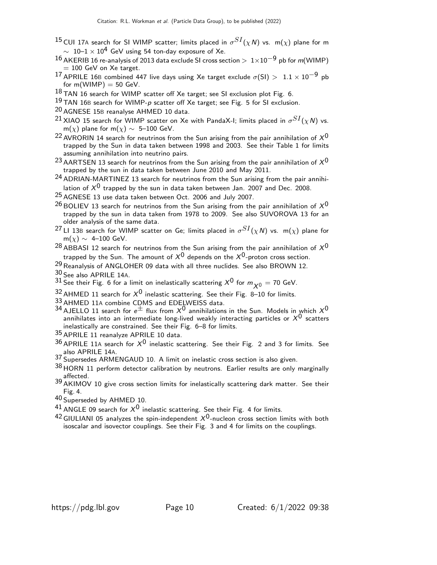- $^{15}$ CUI 17A search for SI WIMP scatter; limits placed in  $\sigma^{SI}(\chi N)$  vs.  $\,$  m( $\chi)$  plane for m  $\sim 10$ – $1 \times 10^{4}$  GeV using 54 ton-day exposure of Xe.
- $16$  AKERIB 16 re-analysis of 2013 data exclude SI cross section  $> 1\times10^{-9}$  pb for m(WIMP)  $= 100$  GeV on Xe target.
- 17 APRILE 16B combined 447 live days using Xe target exclude  $\sigma(SI) > 1.1 \times 10^{-9}$  pb for  $m(WIMP) = 50$  GeV.
- $^{18}$  TAN 16 search for WIMP scatter off Xe target; see SI exclusion plot Fig. 6.
- $19$  TAN 16B search for WIMP-p scatter off Xe target; see Fig. 5 for SI exclusion.
- 20 AGNESE 15<sup>B</sup> reanalyse AHMED 10 data.
- $^{21}$ XIAO 15 search for WIMP scatter on Xe with PandaX-I; limits placed in  $\sigma^{SI}(\chi N)$  vs. m $(\chi)$  plane for m $(\chi) \sim$  5–100 GeV.
- <sup>22</sup> AVRORIN 14 search for neutrinos from the Sun arising from the pair annihilation of  $X^0$ trapped by the Sun in data taken between 1998 and 2003. See their Table 1 for limits assuming annihilation into neutrino pairs.
- <sup>23</sup> AARTSEN 13 search for neutrinos from the Sun arising from the pair annihilation of  $X^0$ trapped by the sun in data taken between June 2010 and May 2011.
- <sup>24</sup> ADRIAN-MARTINEZ 13 search for neutrinos from the Sun arising from the pair annihilation of  $X^0$  trapped by the sun in data taken between Jan. 2007 and Dec. 2008.
- 25 AGNESE 13 use data taken between Oct. 2006 and July 2007.
- <sup>26</sup> BOLIEV 13 search for neutrinos from the Sun arising from the pair annihilation of  $X^0$ trapped by the sun in data taken from 1978 to 2009. See also SUVOROVA 13 for an older analysis of the same data.
- $^{27}$ LI 13B search for WIMP scatter on Ge; limits placed in  $\sigma^{SI}(\chi N)$  vs.  $\,$  m( $\chi)$  plane for  $m(\chi) \sim 4$ –100 GeV.
- <sup>28</sup> ABBASI 12 search for neutrinos from the Sun arising from the pair annihilation of  $X^0$ trapped by the Sun. The amount of  $X^0$  depends on the  $X^0$ -proton cross section.
- 29 Reanalysis of ANGLOHER 09 data with all three nuclides. See also BROWN 12.
- 30 See also APRILE 14A.
- <sup>31</sup> See their Fig. 6 for a limit on inelastically scattering  $X^0$  for  $m_{\chi^0} = 70$  GeV.
- 32 AHMED 11 search for  $X^0$  inelastic scattering. See their Fig. 8–10 for limits.
- 33 AHMED 11<sup>A</sup> combine CDMS and EDELWEISS data.
- $34$  AJELLO 11 search for  $e^{\pm}$  flux from  $X^{0}$  annihilations in the Sun. Models in which  $X^{0}$ annihilates into an intermediate long-lived weakly interacting particles or  $X^0$  scatters inelastically are constrained. See their Fig. 6–8 for limits.
- 35 APRILE 11 reanalyze APRILE 10 data.
- $36$  APRILE 11A search for  $X^0$  inelastic scattering. See their Fig. 2 and 3 for limits. See also APRILE 14A.
- 37 Supersedes ARMENGAUD 10. A limit on inelastic cross section is also given.
- 38 HORN 11 perform detector calibration by neutrons. Earlier results are only marginally 3<sup>9</sup> AKIMOV 10 give cross section limits for inelastically scattering dark matter. See their
- Fig. 4.
- 40 Superseded by AHMED 10.
- 41 ANGLE 09 search for  $X^0$  inelastic scattering. See their Fig. 4 for limits.
- $^{42}$  GIULIANI 05 analyzes the spin-independent  $\rm \chi^{0}$ -nucleon cross section limits with both isoscalar and isovector couplings. See their Fig. 3 and 4 for limits on the couplings.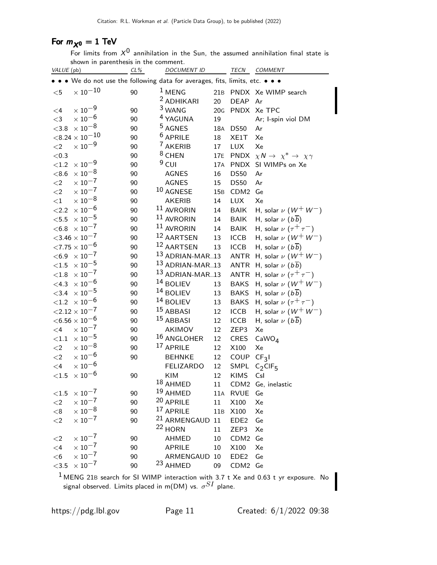## For  $m_{\chi^0} = 1$  TeV

For limits from  $X^0$  annihilation in the Sun, the assumed annihilation final state is shown in parenthesis in the comment.

| VALUE (pb) |                                             | CL%      | <b>DOCUMENT ID</b>                                                          |     |                        | TECN COMMENT                             |
|------------|---------------------------------------------|----------|-----------------------------------------------------------------------------|-----|------------------------|------------------------------------------|
|            |                                             |          | • • We do not use the following data for averages, fits, limits, etc. • • • |     |                        |                                          |
| $<$ 5      | $\times$ $10^{-10}$                         | 90       | $1$ MENG                                                                    |     |                        | 21B PNDX Xe WIMP search                  |
|            |                                             |          | <sup>2</sup> ADHIKARI                                                       | 20  | DEAP Ar                |                                          |
| $\leq$ 4   | $\times$ $10^{-9}$                          | 90       | <sup>3</sup> WANG                                                           | 20G |                        | PNDX Xe TPC                              |
| $<$ 3      | $\times$ 10 <sup>-6</sup>                   | 90       | <sup>4</sup> YAGUNA                                                         | 19  |                        | Ar; I-spin viol DM                       |
| < 3.8      | $\times$ $10^{-8}$                          | 90       | <sup>5</sup> AGNES                                                          | 18A | <b>DS50</b>            | Ar                                       |
|            | $<$ 8.24 $\times$ 10 $^{-10}$               | 90       | $6$ APRILE                                                                  | 18  | XE1T                   | Xe                                       |
| ${<}2$     | $\times$ 10 $^{-9}$                         | 90       | <sup>7</sup> AKERIB                                                         | 17  | <b>LUX</b>             | Xe                                       |
| $<0.3$     |                                             | 90       | <sup>8</sup> CHEN                                                           | 17E |                        | PNDX $\chi N \to \chi^* \to \chi \gamma$ |
| ${<}1.2$   | $\times$ 10 $^{-9}$                         | 90       | $9$ CUI                                                                     | 17A | <b>PNDX</b>            | SI WIMPs on Xe                           |
| < 8.6      | $\times$ $10^{-8}$                          | 90       | <b>AGNES</b>                                                                | 16  | <b>DS50</b>            | Ar                                       |
| $\leq$ 2   | $\times$ $10^{-7}$                          | 90       | <b>AGNES</b>                                                                | 15  | <b>DS50</b>            | Ar                                       |
| $<$ 2      | $\times$ 10 $^{-7}$                         | 90       | 10 AGNESE                                                                   | 15B | CDM <sub>2</sub>       | Ge                                       |
| ${<}1$     | $\times$ 10 $^{-8}$                         | 90       | <b>AKERIB</b>                                                               | 14  | <b>LUX</b>             | Xe                                       |
| ${<}2.2$   | $\times$ 10 $^{-6}$                         | 90       | 11 AVRORIN                                                                  | 14  | <b>BAIK</b>            | H, solar $\nu$ $(W^+ W^-)$               |
| $<\!5.5$   | $\times$ $10^{-5}$                          | 90       | 11 AVRORIN                                                                  | 14  | <b>BAIK</b>            | H, solar $\nu$ $(b\overline{b})$         |
|            | $< 6.8 \times 10^{-7}$                      | 90       | 11 AVRORIN                                                                  | 14  | <b>BAIK</b>            | H, solar $\nu$ $(\tau^+\tau^-)$          |
|            | ${<}3.46 \times 10^{-7}$                    | 90       | 12 AARTSEN                                                                  | 13  | <b>ICCB</b>            | H, solar $\nu$ $(W^+ W^-)$               |
|            | ${<}7.75\times10^{-6}$                      | 90       | 12 AARTSEN                                                                  | 13  | <b>ICCB</b>            | H, solar $\nu$ $(b\overline{b})$         |
|            | $<$ 6.9 $\times$ 10 <sup>-7</sup>           | 90       | 13 ADRIAN-MAR13                                                             |     |                        | ANTR H, solar $\nu$ ( $W^+$ $W^-$ )      |
| $<1.5$     | $\times$ 10 $^{-5}$                         | 90       | 13 ADRIAN-MAR13                                                             |     | ANTR                   | H, solar $\nu$ $(b\overline{b})$         |
| $<\!\!1.8$ | $\times$ 10 $^{-7}$                         | 90       | 13 ADRIAN-MAR13                                                             |     |                        | ANTR H, solar $\nu$ $(\tau^+\tau^-)$     |
| $<$ 4.3    | $\times$ 10 $^{-6}$                         | 90       | 14 BOLIEV                                                                   | 13  | <b>BAKS</b>            | H, solar $\nu$ $(W^+ W^-)$               |
| ${<}3.4$   | $\times$ 10 $^{-5}$                         | 90       | <sup>14</sup> BOLIEV                                                        | 13  | <b>BAKS</b>            | H, solar $\nu$ $(b\overline{b})$         |
|            | $<$ 1.2 $\thinspace\times$ 10 <sup>-6</sup> | 90       | $14$ BOLIEV                                                                 | 13  | <b>BAKS</b>            | H, solar $\nu$ $(\tau^+\tau^-)$          |
|            | ${<}2.12 \times 10^{-7}$                    | 90       | 15 ABBASI                                                                   | 12  | ICCB                   | H, solar $\nu$ $(W^+ W^-)$               |
|            | ${<}6.56\times10^{-6}$                      | 90       | 15 ABBASI                                                                   | 12  | ICCB                   |                                          |
| $\leq 4$   | $\times$ 10 <sup>-7</sup>                   | 90       | AKIMOV                                                                      | 12  | ZEP3                   | H, solar $\nu$ $(b\overline{b})$<br>Xe   |
|            | $\times$ $10^{-5}$                          | 90       | <sup>16</sup> ANGLOHER                                                      | 12  | <b>CRES</b>            |                                          |
| ${<}1.1$   | $\times$ 10 $^{-8}$                         |          | <sup>17</sup> APRILE                                                        | 12  | X100                   | CaWO <sub>4</sub>                        |
| $<$ 2      | $\times$ 10 $^{-6}$                         | 90<br>90 |                                                                             | 12  |                        | Xe                                       |
| $<$ 2      | $\times$ 10 <sup>-6</sup>                   |          | <b>BEHNKE</b>                                                               |     | COUP CF <sub>3</sub> I |                                          |
| $<$ 4      | $\times$ 10 $^{-6}$                         |          | <b>FELIZARDO</b>                                                            | 12  | SMPL                   | $C_2$ CIF <sub>5</sub>                   |
| <1.5       |                                             | 90       | <b>KIM</b>                                                                  | 12  | <b>KIMS</b>            | Csl                                      |
|            | $\times$ 10 <sup>-7</sup>                   |          | 18 AHMED<br>19 AHMED                                                        | 11  |                        | CDM2 Ge, inelastic                       |
| ${<}1.5$   | $\times$ 10 <sup>-7</sup>                   | 90       | 20 APRILE                                                                   |     | 11A RVUE               | Ge                                       |
| $\leq$ 2   |                                             | 90       | 17 APRILE                                                                   | 11  | X100                   | Xe                                       |
| < 8        | $\times$ 10 $^{-8}$                         | 90       |                                                                             | 11B | X100                   | Xe                                       |
| $\leq$ 2   | $\times$ $10^{-7}$                          | 90       | <sup>21</sup> ARMENGAUD 11                                                  |     | EDE <sub>2</sub>       | Ge                                       |
|            |                                             |          | <sup>22</sup> HORN                                                          | 11  | ZEP3                   | Xe                                       |
| $<$ 2      | $\times$ $10^{-7}$                          | 90       | AHMED                                                                       | 10  | CDM2 Ge                |                                          |
| $\leq 4$   | $\times$ 10 <sup>-7</sup>                   | 90       | <b>APRILE</b>                                                               | 10  | X100                   | Xe                                       |
| $<$ 6      | $\times$ 10 <sup>-7</sup>                   | 90       | ARMENGAUD 10                                                                |     | EDE <sub>2</sub>       | Ge                                       |
| $<3.5$     | $\times$ 10 $^{-7}$                         | 90       | 23 AHMED                                                                    | 09  | CDM2 Ge                |                                          |
|            |                                             |          |                                                                             |     |                        |                                          |

 $^1$  MENG 21B search for SI WIMP interaction with 3.7 t Xe and 0.63 t yr exposure. No signal observed. Limits placed in m(DM) vs.  $\sigma^{SI}$  plane.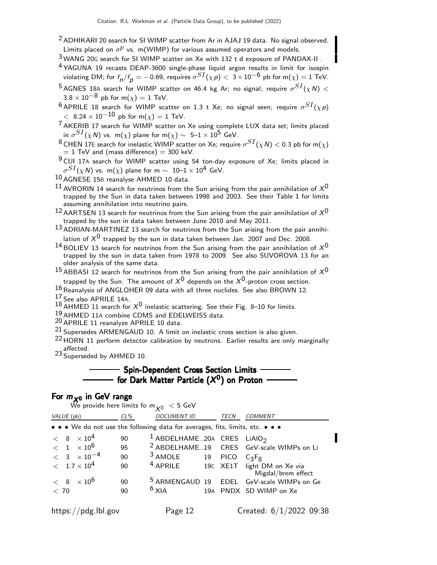- <sup>2</sup> ADHIKARI 20 search for SI WIMP scatter from Ar in AJAJ 19 data. No signal observed. Limits placed on  $\sigma^p$  vs. m(WIMP) for various assumed operators and models.
- 3 WANG 20<sup>G</sup> search for SI WIMP scatter on Xe with 132 t d exposure of PANDAX-II .
- 4 YAGUNA 19 recasts DEAP-3600 single-phase liquid argon results in limit for isospin violating DM; for  $f_{\bm n}/f_{\bm p}=-$  0.69, requires  $\sigma^{SI}(\chi\,\bm p)<~3\times10^{-6}$  pb for m $(\chi)=1$  TeV.
- $^5$ AGNES 18A search for WIMP scatter on 46.4 kg Ar; no signal; require  $\sigma^{SI}(\chi N)<$  $3.8 \times 10^{-8}$  pb for m( $\chi$ ) = 1 TeV.
- $^6$  APRILE 18 search for WIMP scatter on 1.3 t Xe; no signal seen; require  $\sigma^{SI}(\chi\rho)$  $< 8.24 \times 10^{-10}$  pb for m( $\chi$ ) = 1 TeV.
- $7$  AKERIB 17 search for WIMP scatter on Xe using complete LUX data set; limits placed in  $\sigma^{SI}(\chi N)$  vs. m $(\chi)$  plane for m $(\chi) \sim~$  5– $1\times 10^5$  GeV.
- $^8$ CHEN 17E search for inelastic WIMP scatter on Xe; require  $\sigma^{SI}(\chi N)<$  0.3 pb for m $(\chi)$  $= 1$  TeV and (mass difference)  $= 300$  keV.
- 9 CUI 17<sup>A</sup> search for WIMP scatter using 54 ton-day exposure of Xe; limits placed in  $\sigma^{SI}(\chi\,$ N) vs. m $(\chi)$  plane for m  $\sim$   $\,$  10 $\rm -1$   $\times$   $\rm 10^4$  GeV.
- 10 AGNESE 15B reanalyse AHMED 10 data.
- $^{11}$  AVRORIN 14 search for neutrinos from the Sun arising from the pair annihilation of  $X^{0}$ trapped by the Sun in data taken between 1998 and 2003. See their Table 1 for limits assuming annihilation into neutrino pairs.
- $12$  AARTSEN 13 search for neutrinos from the Sun arising from the pair annihilation of  $X^0$ trapped by the sun in data taken between June 2010 and May 2011.
- $13$  ADRIAN-MARTINEZ 13 search for neutrinos from the Sun arising from the pair annihilation of  $X^0$  trapped by the sun in data taken between Jan. 2007 and Dec. 2008.
- <sup>14</sup> BOLIEV 13 search for neutrinos from the Sun arising from the pair annihilation of  $X^0$ trapped by the sun in data taken from 1978 to 2009. See also SUVOROVA 13 for an older analysis of the same data.
- <sup>15</sup> ABBASI 12 search for neutrinos from the Sun arising from the pair annihilation of  $X^0$ trapped by the Sun. The amount of  $X^0$  depends on the  $X^0$ -proton cross section.
- 16 Reanalysis of ANGLOHER 09 data with all three nuclides. See also BROWN 12.
- 17 See also APRILE 14A.
- 18 AHMED 11 search for  $X^0$  inelastic scattering. See their Fig. 8–10 for limits.
- 19 AHMED 11<sup>A</sup> combine CDMS and EDELWEISS data.
- 20 APRILE 11 reanalyze APRILE 10 data.
- 21 Supersedes ARMENGAUD 10. A limit on inelastic cross section is also given.
- <sup>22</sup> HORN 11 perform detector calibration by neutrons. Earlier results are only marginally affected.
- 23 Superseded by AHMED 10.

## **Spin-Dependent Cross Section Limits** for Dark Matter Particle  $(X^0)$  on Proton

## For  $m_{\chi^0}$  in GeV range

|                                                                               |        | We provide here limits fo $m_{\chi_0} < 5$ GeV    |             |                                                      |
|-------------------------------------------------------------------------------|--------|---------------------------------------------------|-------------|------------------------------------------------------|
| VALUE (pb)                                                                    | $CL\%$ | <b>DOCUMENT ID</b>                                | <b>TECN</b> | COMMENT                                              |
| • • • We do not use the following data for averages, fits, limits, etc. • • • |        |                                                   |             |                                                      |
| $< 8 \times 10^4$                                                             | 90     | <sup>1</sup> ABDELHAME20A CRES LIAIO <sub>2</sub> |             |                                                      |
| $< 1 \times 10^6$                                                             | 95     |                                                   |             | <sup>2</sup> ABDELHAME19 CRES GeV-scale WIMPs on Li  |
| $< 3 \times 10^{-4}$                                                          | 90     | $3$ AMOLE                                         | 19 PICO     | $C_3F_8$                                             |
| $< 1.7 \times 10^{4}$                                                         | 90     | $4$ APRILE                                        |             | 19C XE1T light DM on Xe via<br>Migdal/brem effect    |
| $< 8 \times 10^6$                                                             | 90     |                                                   |             | <sup>5</sup> ARMENGAUD 19 EDEL GeV-scale WIMPs on Ge |
| < 70                                                                          | 90     | $6$ XIA                                           |             | 19A PNDX SD WIMP on Xe                               |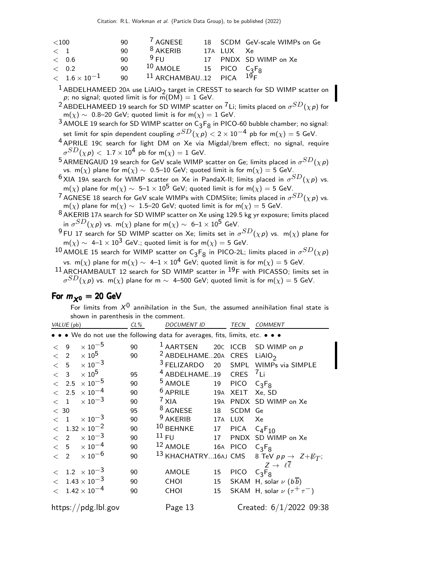| ${<}100$    |                                 | 90. | $^7$ AGNESE                         |            | 18 SCDM GeV-scale WIMPs on Ge |
|-------------|---------------------------------|-----|-------------------------------------|------------|-------------------------------|
| $\langle 1$ |                                 | 90  | $8$ AKERIB                          | 17A LUX Xe |                               |
| < 0.6       |                                 | 90  | $9$ FU                              |            | 17 PNDX SD WIMP on Xe         |
| < 0.2       |                                 | 90  | $^{10}$ AMOLE $^{15}$ PICO $C_3F_8$ |            |                               |
|             | $<\phantom{0}1.6\times 10^{-1}$ | 90  | $^{11}$ ARCHAMBAU12 PICA $^{19}$ F  |            |                               |
|             |                                 |     |                                     |            |                               |

 $1$  ABDELHAMEED 20A use LiAlO<sub>2</sub> target in CRESST to search for SD WIMP scatter on p; no signal; quoted limit is for  $\overline{m}(DM) = 1$  GeV.

 $^2$ ABDELHAMEED 19 search for SD WIMP scatter on  $^7$ Li; limits placed on  $\sigma^{SD}(\chi \rho)$  for m $(\chi)\sim$  0.8–20 GeV; quoted limit is for m $(\chi)=1$  GeV.

 $^3$  AMOLE 19 search for SD WIMP scatter on  $C_3F_8$  in PICO-60 bubble chamber; no signal: set limit for spin dependent coupling  $\sigma^{SD}(\chi \, p) < 2 \times 10^{-4}$  pb for m $(\chi) = 5$  GeV.

4 APRILE 19<sup>C</sup> search for light DM on Xe via Migdal/brem effect; no signal, require  $\sigma^{SD}(\chi\, \rho) <~1.7\times 10^4$  pb for m $(\chi)=1$  GeV.

 $^5$ ARMENGAUD 19 search for GeV scale WIMP scatter on Ge; limits placed in  $\sigma^{SD}(\chi\rho)$ vs. m(x) plane for m(x) ~ 0.5–10 GeV; quoted limit is for m(x) = 5 GeV.

- $^6$ XIA 19A search for WIMP scatter on Xe in PandaX-II; limits placed in  $\sigma^{SD}(\chi p)$  vs. m(x) plane for m(x) ~ 5–1  $\times$  10<sup>5</sup> GeV; quoted limit is for m(x) = 5 GeV.
- $^7$ AGNESE 18 search for GeV scale WIMPs with CDMSlite; limits placed in  $\sigma^{SD}(\chi \rho)$  vs. m(x) plane for m(x) ~ 1.5–20 GeV; quoted limit is for m(x) = 5 GeV.

8 AKERIB 17A search for SD WIMP scatter on Xe using 129.5 kg yr exposure; limits placed in  $\sigma^{SD}(\chi \, {\sf p})$  vs. m $(\chi)$  plane for m $(\chi) \sim~$  6– $1 \times 10^5$  GeV.

 $^9$ FU 17 search for SD WIMP scatter on Xe; limits set in  $\sigma^{SD}(\chi\rho)$  vs. m( $\chi)$  plane for  $m(\chi) \sim 4-1 \times 10^3$  GeV.; quoted limit is for  $m(\chi) = 5$  GeV.

 $^{10}$  AMOLE 15 search for WIMP scatter on C3F $_8$  in PICO-2L; limits placed in  $\sigma^{SD}(\chi\rho)$ vs. m(x) plane for m(x) ~ 4–1 × 10<sup>4</sup> GeV; quoted limit is for m(x) = 5 GeV.

 $11$  ARCHAMBAULT 12 search for SD WIMP scatter in  $^{19}$ F with PICASSO; limits set in  $\sigma^{SD}(\chi \, p)$  vs. m $(\chi)$  plane for m  $\sim\,$  4–500 GeV; quoted limit is for m $(\chi) =$  5 GeV.

### For  $m_{\chi0} = 20$  GeV

For limits from  $X^0$  annihilation in the Sun, the assumed annihilation final state is shown in parenthesis in the comment.

| VALUE (pb) |                     | $CL\%$                       | <b>DOCUMENT ID</b> |                                                                               | TECN | <b>COMMENT</b>  |                                                       |
|------------|---------------------|------------------------------|--------------------|-------------------------------------------------------------------------------|------|-----------------|-------------------------------------------------------|
|            |                     |                              |                    | • • • We do not use the following data for averages, fits, limits, etc. • • • |      |                 |                                                       |
|            | $\lt$ 9             | $\times$ 10 $^{-5}$          | 90                 | $1$ AARTSEN                                                                   |      |                 | 20C ICCB SD WIMP on p                                 |
|            |                     | $< 2 \times 10^5$            | 90                 | <sup>2</sup> ABDELHAME20A CRES LIAIO <sub>2</sub>                             |      |                 |                                                       |
|            |                     | $< 5 \times 10^{-3}$         |                    |                                                                               |      |                 | <sup>3</sup> FELIZARDO 20 SMPL WIMPs via SIMPLE       |
|            |                     | $< 3 \times 10^5$            | 95                 | <sup>4</sup> ABDELHAME19 CRES <sup>7</sup> Li                                 |      |                 |                                                       |
|            |                     | $< 2.5 \times 10^{-5}$       | 90                 | $5$ AMOLE                                                                     |      | 19 PICO         | $C_3F_8$                                              |
|            |                     | $< 2.5 \times 10^{-4}$       | 90                 | $6$ APRILE                                                                    |      | 19A XE1T Xe, SD |                                                       |
|            | $\langle 1 \rangle$ | $\times$ 10 $^{-3}$          | 90                 | $7$ XIA                                                                       |      |                 | 19A PNDX SD WIMP on Xe                                |
| < 30       |                     |                              | 95                 | $8$ AGNESE $18$ SCDM Ge                                                       |      |                 |                                                       |
|            |                     | $< 1 \times 10^{-3}$         | 90                 | $9$ AKERIB                                                                    |      | 17A LUX         | Xe                                                    |
|            |                     | $< 1.32 \times 10^{-2}$      | 90                 | <sup>10</sup> BEHNKE 17 PICA                                                  |      |                 | $C_{4}F_{10}$                                         |
|            |                     | $\langle$ 2 $\times 10^{-3}$ | 90                 | $^{11}$ FU                                                                    |      |                 | 17 PNDX SD WIMP on Xe                                 |
|            |                     | $< 5 \times 10^{-4}$         | 90                 | <sup>12</sup> AMOLE 16A PICO $C_3F_8$                                         |      |                 |                                                       |
|            |                     | $< 2 \times 10^{-6}$         | 90                 |                                                                               |      |                 | 13 KHACHATRY16AJ CMS 8 TeV $pp \rightarrow Z + E_T$ ; |
|            |                     |                              |                    |                                                                               |      |                 | $Z \rightarrow \ell \ell$                             |
|            |                     | $< 1.2 \times 10^{-3}$       | 90                 | AMOLE                                                                         | 15   | PICO $C_3F_8$   |                                                       |
|            |                     | $< 1.43 \times 10^{-3}$      | 90                 | <b>CHOI</b>                                                                   | 15   |                 | SKAM H, solar $\nu$ ( $b\overline{b}$ )               |
|            |                     | $< 1.42 \times 10^{-4}$      | 90                 | CHOI                                                                          | 15   |                 | SKAM H, solar $\nu$ ( $\tau^+\tau^-$ )                |
|            |                     | https://pdg.lbl.gov          |                    | Page 13                                                                       |      |                 | Created: 6/1/2022 09:38                               |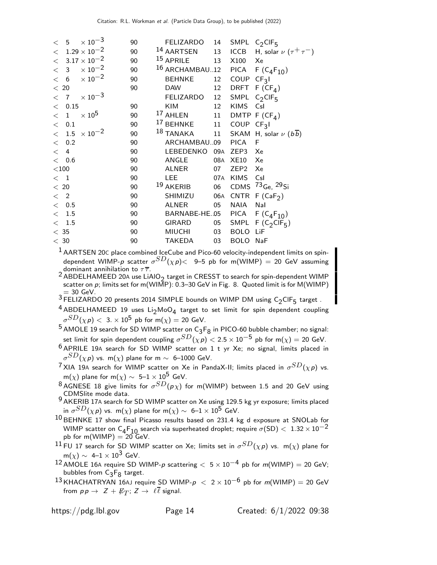| < 5                                       | $\times$ 10 $^{-3}$ | 90 | FELIZARDO 14 SMPL C <sub>2</sub> CIF <sub>5</sub> |     |                  |                                                   |
|-------------------------------------------|---------------------|----|---------------------------------------------------|-----|------------------|---------------------------------------------------|
| $< 1.29 \times 10^{-2}$                   |                     | 90 |                                                   |     |                  | 14 AARTSEN 13 ICCB H, solar $\nu (\tau^+ \tau^-)$ |
| $< 3.17 \times 10^{-2}$                   |                     | 90 | <sup>15</sup> APRILE                              |     | 13 X100 Xe       |                                                   |
| $< 3 \times 10^{-2}$                      |                     | 90 | 16 ARCHAMBAU12 PICA F $(C_4F_{10})$               |     |                  |                                                   |
| $< 6 \times 10^{-2}$                      |                     | 90 | <b>BEHNKE</b>                                     |     | 12 COUP CF31     |                                                   |
| < 20                                      |                     | 90 | <b>DAW</b>                                        |     |                  | 12 DRFT $F(CF_4)$                                 |
| $<\phantom{0}7\phantom{0} \times 10^{-3}$ |                     |    | FELIZARDO 12 SMPL C <sub>2</sub> CIF <sub>5</sub> |     |                  |                                                   |
| $<$ 0.15 $\,$                             |                     | 90 | KIM                                               | 12  | KIMS CsI         |                                                   |
| < 1                                       | $\times$ 10 $^5$    | 90 | <sup>17</sup> AHLEN                               |     |                  | 11 DMTP $F(CF_4)$                                 |
| $<$ 0.1 $\,$                              |                     | 90 | <sup>17</sup> BEHNKE                              |     | 11 COUP CF31     |                                                   |
| $< 1.5 \times 10^{-2}$                    |                     | 90 | $18$ TANAKA                                       |     |                  | 11 SKAM H, solar $\nu$ ( $b\overline{b}$ )        |
| < 0.2                                     |                     | 90 | ARCHAMBAU09                                       |     | PICA F           |                                                   |
| < 4                                       |                     | 90 | LEBEDENKO 09A ZEP3                                |     |                  | Xe                                                |
| $<$ 0.6                                   |                     | 90 | ANGLE                                             | 08A | XE10             | Xe                                                |
| $<$ 100                                   |                     | 90 | ALNER                                             | 07  | ZEP <sub>2</sub> | Xe                                                |
| $\langle$ 1                               |                     | 90 | LEE                                               |     | 07A KIMS Csl     |                                                   |
| $<\,20$                                   |                     | 90 | $19$ AKERIB                                       |     |                  | 06 CDMS <sup>73</sup> Ge, <sup>29</sup> Si        |
| $<$ 2                                     |                     | 90 | SHIMIZU                                           |     |                  | 06A CNTR $F(CaF2)$                                |
| $<$ 0.5 $\,$                              |                     | 90 | <b>ALNER</b>                                      | 05  | NAIA             | Nal                                               |
| $<$ 1.5 $\,$                              |                     | 90 | BARNABE-HE.05 PICA $F(C_4F_{10})$                 |     |                  |                                                   |
| $\langle$ 1.5                             |                     | 90 | GIRARD                                            |     |                  | 05 SMPL F $(C_2CIF_5)$                            |
| < 35                                      |                     | 90 | MIUCHI                                            | 03  | <b>BOLO LiF</b>  |                                                   |
| $<\,30$                                   |                     | 90 | <b>TAKEDA</b>                                     | 03  | BOLO NaF         |                                                   |

1 AARTSEN 20<sup>C</sup> place combined IceCube and Pico-60 velocity-independent limits on spindependent WIMP- $\rho$  scatter  $\sigma^{SD}(\chi\rho)<~$  9–5 pb for m(WIMP)  $=$  20 GeV assuming dominant annihilation to  $\tau \overline{\tau}$ .

- 2 ABDELHAMEED 20A use  $LiAlO<sub>2</sub>$  target in CRESST to search for spin-dependent WIMP scatter on  $p$ ; limits set for m(WIMP): 0.3–30 GeV in Fig. 8. Quoted limit is for M(WIMP)  $= 30$  GeV.
- <sup>3</sup> FELIZARDO 20 presents 2014 SIMPLE bounds on WIMP DM using  $C_2$ CIF<sub>5</sub> target.
- $^{4}$ ABDELHAMEED 19 uses Li $_{2}$ MoO<sub>4</sub> target to set limit for spin dependent coupling  $\sigma^{SD}(\chi\, \rho) <~3. \times 10^5$  pb for m $(\chi) = 20$  GeV.
- <sup>5</sup> AMOLE 19 search for SD WIMP scatter on  $C_3F_8$  in PICO-60 bubble chamber; no signal: set limit for spin dependent coupling  $\sigma^{SD}(\chi \rho) <$  2.5  $\times$  10 $^{-5}$  pb for m( $\chi) =$  20 GeV.
- $6$  APRILE 19A search for SD WIMP scatter on 1 t yr Xe; no signal, limits placed in  $\sigma^{SD}(\chi \, \rho)$  vs. m $(\chi)$  plane for m  $\sim$  6–1000 GeV.
- $^{7}$ XIA 19A search for WIMP scatter on Xe in PandaX-II; limits placed in  $\sigma^{SD}(\chi p)$  vs. m(x) plane for m(x)  $\sim 5-1 \times 10^5$  GeV.
- $^8$ AGNESE 18 give limits for  $\sigma^{SD}(p\chi)$  for m(WIMP) between 1.5 and 20 GeV using CDMSlite mode data.<br><sup>9</sup> AKERIB 17A search for SD WIMP scatter on Xe using 129.5 kg yr exposure; limits placed
- in  $\sigma^{SD}(\chi \, {\sf p})$  vs. m $(\chi)$  plane for m $(\chi) \sim~$  6– $1 \times 10^5$  GeV.
- $^{10}$  BEHNKE 17 show final Picasso results based on 231.4 kg d exposure at SNOLab for WIMP scatter on  $\mathsf{C_4F_{10}}$  search via superheated droplet; require  $\sigma(\mathsf{SD}) <~1.32\times 10^{-2}$ pb for m(WIMP) = 20 GeV.
- $^{11}$ FU 17 search for SD WIMP scatter on Xe; limits set in  $\sigma^{SD}(\chi\rho)$  vs. m $(\chi)$  plane for  $m(\chi) \sim 4-1 \times 10^3$  GeV.
- $12$  AMOLE 16A require SD WIMP-p scattering  $< 5 \times 10^{-4}$  pb for m(WIMP) = 20 GeV; bubbles from  $\mathsf{C}_3\mathsf{F}_8$  target.
- 13 KHACHATRYAN 16AJ require SD WIMP- $p < 2 \times 10^{-6}$  pb for m(WIMP) = 20 GeV from  $p \, p \, \rightarrow \, Z + \not\!\!{E}_T; \, Z \rightarrow \, \ell \ell$  signal.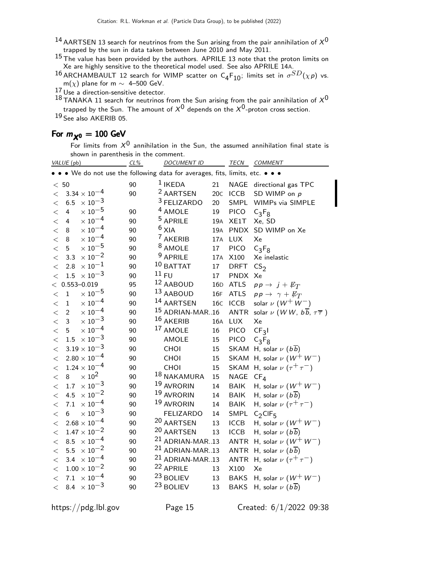- $^{14}$  AARTSEN 13 search for neutrinos from the Sun arising from the pair annihilation of  $\mathsf{\mathsf{X}}^0$ trapped by the sun in data taken between June 2010 and May 2011.
- $^{15}$  The value has been provided by the authors. APRILE 13 note that the proton limits on Xe are highly sensitive to the theoretical model used. See also APRILE 14A.
- <sup>16</sup> ARCHAMBAULT 12 search for WIMP scatter on C<sub>4</sub>F<sub>10</sub>; limits set in  $\sigma^{SD}(\chi p)$  vs. m( $\chi$ ) plane for m  $\sim$  4–500 GeV.
- 17 Use a direction-sensitive detector.

18 TANAKA 11 search for neutrinos from the Sun arising from the pair annihilation of  $X^0$ 

trapped by the Sun. The amount of  $X^0$  depends on the  $X^0$ -proton cross section.

19 See also AKERIB 05.

## For  $m_{\chi^0} = 100$  GeV

For limits from  $X^0$  annihilation in the Sun, the assumed annihilation final state is shown in parenthesis in the comment.

| VALUE (pb)                                                                  | $CL\%$ | <b>DOCUMENT ID</b>         |                   | <b>TECN</b> | COMMENT                                                             |
|-----------------------------------------------------------------------------|--------|----------------------------|-------------------|-------------|---------------------------------------------------------------------|
| • • We do not use the following data for averages, fits, limits, etc. • • • |        |                            |                   |             |                                                                     |
| < 50                                                                        | 90     | $1$ IKEDA                  | 21                | NAGE        | directional gas TPC                                                 |
| $3.34 \times 10^{-4}$<br>$\lt$                                              | 90     | <sup>2</sup> AARTSEN       | 20C               | <b>ICCB</b> | SD WIMP on p                                                        |
| $\times$ 10 <sup>-3</sup><br>6.5<br>$\lt$                                   |        | <sup>3</sup> FELIZARDO     | 20                | SMPL        | WIMPs via SIMPLE                                                    |
| $\times$ $10^{-5}$<br>$\overline{4}$<br>$\,<$                               | 90     | <sup>4</sup> AMOLE         | 19                | <b>PICO</b> | $C_3F_8$                                                            |
| $\times$ $10^{-4}$<br>$\,<$<br>4                                            | 90     | <sup>5</sup> APRILE        | 19A               | XE1T        | Xe, SD                                                              |
| $\times$ $10^{-4}$<br>$\,<$<br>8                                            | 90     | $6$ XIA                    | 19A               | PNDX        | SD WIMP on Xe                                                       |
| $\times$ $10^{-4}$<br>8<br>$\,<$                                            | 90     | <sup>7</sup> AKERIB        | 17A               | LUX         | Xe                                                                  |
| $\times$ 10 $^{-5}$<br>5<br>$\,<$                                           | 90     | <sup>8</sup> AMOLE         | 17                | <b>PICO</b> | $C_3F_8$                                                            |
| $\times$ 10 <sup>-2</sup><br>3.3<br>$\lt$                                   | 90     | <sup>9</sup> APRILE        | 17A               | X100        | Xe inelastic                                                        |
| $\times$ $10^{-1}$<br>2.8<br>$\lt$                                          | 90     | $10$ BATTAT                | 17                | <b>DRFT</b> | CS <sub>2</sub>                                                     |
| $\times\,10^{-3}$<br>$1.5\,$<br>$\lt$                                       | 90     | 11 FU                      | 17                | <b>PNDX</b> | Xe                                                                  |
| $0.553 - 0.019$<br>$\lt$                                                    | 95     | 12 AABOUD                  | 16D               | <b>ATLS</b> | $pp \rightarrow j + \not\!\!{E_T}$                                  |
| $\times$ $10^{-5}$<br>$\mathbf{1}$<br>$\,<$                                 | 90     | 13 AABOUD                  | 16F               | <b>ATLS</b> | $pp \rightarrow \gamma + \not\!\!{E_T}$                             |
| $\times$ 10 <sup>-4</sup><br>$\mathbf 1$<br>$\lt$                           | 90     | 14 AARTSEN                 | 16C               | ICCB        | solar $\nu$ $(W^+ W^-)$                                             |
| $\times$ $10^{-4}$<br>$\overline{2}$<br>$\lt$                               | 90     |                            | $15$ ADRIAN-MAR16 | <b>ANTR</b> | solar $\nu$ ( <i>WW</i> , $b\overline{b}$ , $\tau\overline{\tau}$ ) |
| $\times$ $10^{-3}$<br>3<br>$\lt$                                            | 90     | 16 AKERIB                  | 16A               | <b>LUX</b>  | Xe                                                                  |
| $\times$ $10^{-4}$<br>5<br>$\lt$                                            | 90     | 17 AMOLE                   | 16                | <b>PICO</b> | CF <sub>3</sub> I                                                   |
| $\times$ $10^{-3}$<br>1.5<br>$\,<$                                          | 90     | AMOLE                      | 15                | <b>PICO</b> | $C_3F_8$                                                            |
| $3.19\times10^{-3}$<br>$\,<$                                                | 90     | CHOI                       | 15                |             | SKAM H, solar $\nu$ ( $b\overline{b}$ )                             |
| $2.80 \times 10^{-4}$<br>$<\,$                                              | 90     | CHOI                       | $15\,$            |             | SKAM H, solar $\nu$ ( $W^+$ $W^-$ )                                 |
| $1.24 \times 10^{-4}$<br>$\,<$                                              | 90     | CHOI                       | 15                |             | SKAM H, solar $\nu$ $(\tau^+\tau^-)$                                |
| $\times 10^2$<br>8<br>$\,<$                                                 | 90     | 18 NAKAMURA                | 15                | NAGE        | CF <sub>4</sub>                                                     |
| $\times$ 10 $^{-3}$<br>1.7<br>$\,<$                                         | 90     | <sup>19</sup> AVRORIN      | 14                | <b>BAIK</b> | H, solar $\nu$ $(W^+ W^-)$                                          |
| $\times$ 10 <sup>-2</sup><br>4.5<br>$\lt$                                   | 90     | 19 AVRORIN                 | 14                | <b>BAIK</b> | H, solar $\nu$ $(b\overline{b})$                                    |
| $\times$ $10^{-4}$<br>7.1<br>$\lt$                                          | 90     | <sup>19</sup> AVRORIN      | 14                | <b>BAIK</b> | H, solar $\nu$ $(\tau^+\tau^-)$                                     |
| $\times$ 10 <sup>-3</sup><br>6<br>$\lt$                                     | 90     | <b>FELIZARDO</b>           | 14                | SMPL        | $C_2$ CIF <sub>5</sub>                                              |
| $2.68\times10^{-4}$<br>$\lt$                                                | 90     | 20 AARTSEN                 | 13                | <b>ICCB</b> | H, solar $\nu$ $(W^+ W^-)$                                          |
| $1.47 \times 10^{-2}$<br>$\,<$                                              | 90     | 20 AARTSEN                 | 13                | <b>ICCB</b> | H, solar $\nu$ $(b\overline{b})$                                    |
| $\times$ 10 <sup>-4</sup><br>8.5<br>$\,<$                                   | 90     | $21$ ADRIAN-MAR13          |                   | <b>ANTR</b> | H, solar $\nu$ $(W^+ W^-)$                                          |
| $\times$ $10^{-2}$<br>5.5<br>$\lt$                                          | 90     | <sup>21</sup> ADRIAN-MAR13 |                   | <b>ANTR</b> | H, solar $\nu$ $(b\overline{b})$                                    |
| $\times$ 10 $^{-4}$<br>3.4<br>$\lt$                                         | 90     | <sup>21</sup> ADRIAN-MAR13 |                   | <b>ANTR</b> | H, solar $\nu$ $(\tau^+\tau^-)$                                     |
| $1.00\times10^{-2}$<br>$\lt$                                                | 90     | <sup>22</sup> APRILE       | 13                | X100        | Xe                                                                  |
| $\times$ 10 $^{-4}$<br>7.1<br>$<\,$                                         | 90     | <sup>23</sup> BOLIEV       | 13                | <b>BAKS</b> | H, solar $\nu$ $(W^+ W^-)$                                          |
| 8.4 $\times 10^{-3}$<br>$\,<\,$                                             | 90     | <sup>23</sup> BOLIEV       | 13                | <b>BAKS</b> | H, solar $\nu$ (bb)                                                 |

https://pdg.lbl.gov Page 15 Created: 6/1/2022 09:38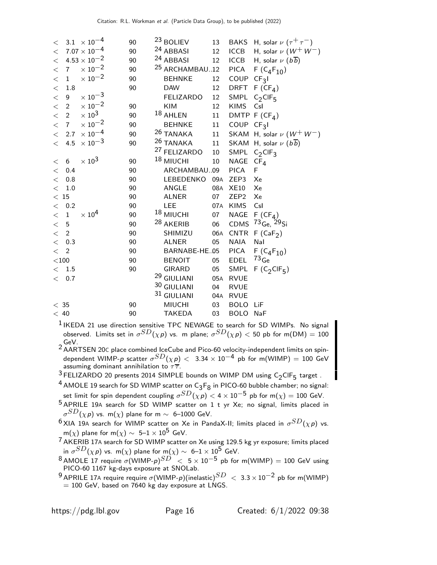| $\lt$                   | $3.1 \times 10^{-4}$      | 90 | <sup>23</sup> BOLIEV      | 13  |                  | BAKS H, solar $\nu (\tau^+ \tau^-)$     |
|-------------------------|---------------------------|----|---------------------------|-----|------------------|-----------------------------------------|
| $\lt$                   | $7.07\times10^{-4}$       | 90 | <sup>24</sup> ABBASI      | 12  | <b>ICCB</b>      | H, solar $\nu$ $(W^+ W^-)$              |
| $\lt$                   | $4.53\times10^{-2}$       | 90 | <sup>24</sup> ABBASI      | 12  | ICCB             | H, solar $\nu$ $(b\overline{b})$        |
| 7 <sup>7</sup><br>$\lt$ | $\times 10^{-2}$          | 90 | <sup>25</sup> ARCHAMBAU12 |     | <b>PICA</b>      | $F(C_4F_{10})$                          |
| $\mathbf{1}$<br>$\lt$   | $\times$ 10 <sup>-2</sup> | 90 | <b>BEHNKE</b>             | 12  | COUP             | CF <sub>3</sub> I                       |
| $\lt$<br>1.8            |                           | 90 | <b>DAW</b>                | 12  |                  | DRFT $F(CF_4)$                          |
| $\lt$<br>9              | $\times$ 10 <sup>-3</sup> |    | <b>FELIZARDO</b>          | 12  |                  | SMPL $C_2$ CIF <sub>5</sub>             |
| $\lt$<br>$\overline{2}$ | $\times\,10^{-2}$         | 90 | KIM                       | 12  | <b>KIMS</b>      | Csl                                     |
| $\lt$<br>$\overline{2}$ | $\times$ 10 <sup>3</sup>  | 90 | 18 AHLEN                  | 11  |                  | DMTP $F(CF_4)$                          |
| $\lt$<br>$\overline{7}$ | $\times$ 10 <sup>-2</sup> | 90 | <b>BEHNKE</b>             | 11  | COUP $CF3I$      |                                         |
| $\lt$<br>2.7            | $\times$ 10 $^{-4}$       | 90 | <sup>26</sup> TANAKA      | 11  |                  | SKAM H, solar $\nu$ ( $W^+$ $W^-$ )     |
| 4.5<br>$\lt$            | $\times\,10^{-3}$         | 90 | <sup>26</sup> TANAKA      | 11  |                  | SKAM H, solar $\nu$ ( $b\overline{b}$ ) |
|                         |                           |    | <sup>27</sup> FELIZARDO   | 10  |                  | SMPL $C_2$ CIF <sub>3</sub>             |
| 6<br>$\lt$              | $\times 10^3$             | 90 | <sup>18</sup> MIUCHI      | 10  | NAGE             | CF <sub>4</sub>                         |
| 0.4<br>$\lt$            |                           | 90 | ARCHAMBAU09               |     | <b>PICA</b>      | F                                       |
| 0.8<br>$\lt$            |                           | 90 | LEBEDENKO                 | 09a | ZEP3             | Xe                                      |
| $\lt$<br>1.0            |                           | 90 | ANGLE                     | 08A | <b>XE10</b>      | Xe                                      |
| $<\,15$                 |                           | 90 | <b>ALNER</b>              | 07  | ZEP <sub>2</sub> | Xe                                      |
| $<$ 0.2                 |                           | 90 | <b>LEE</b>                |     | 07A KIMS         | Csl                                     |
| $\lt$<br>$\mathbf{1}$   | $\times 10^4$             | 90 | <sup>18</sup> MIUCHI      | 07  | NAGE             | $F(CF_A)$                               |
| $\lt$<br>5              |                           | 90 | <sup>28</sup> AKERIB      | 06  |                  | CDMS 73 <sub>Ge, 29Si</sub>             |
| $\overline{2}$<br>$\lt$ |                           | 90 | SHIMIZU                   | 06A | CNTR             | F(CaF <sub>2</sub> )                    |
| $\lt$<br>0.3            |                           | 90 | <b>ALNER</b>              | 05  | <b>NAIA</b>      | Nal                                     |
| $\lt$<br>$\overline{2}$ |                           | 90 | BARNABE-HE.05             |     | <b>PICA</b>      | $F(C_4F_{10})$                          |
| $<$ 100 $\,$            |                           | 90 | <b>BENOIT</b>             | 05  | EDEL             | $73$ Ge                                 |
| 1.5<br>$\lt$            |                           | 90 | <b>GIRARD</b>             | 05  |                  | SMPL F $(C_2CIF_5)$                     |
| $\lt$<br>0.7            |                           |    | <sup>29</sup> GIULIANI    | 05A | <b>RVUE</b>      |                                         |
|                         |                           |    | 30 GIULIANI               | 04  | <b>RVUE</b>      |                                         |
|                         |                           |    | 31 GIULIANI               | 04A | <b>RVUE</b>      |                                         |
| < 35                    |                           | 90 | <b>MIUCHI</b>             | 03  | <b>BOLO</b>      | LiF                                     |
| $<\,40$                 |                           | 90 | <b>TAKEDA</b>             | 03  | <b>BOLO</b>      | NaF                                     |

<sup>1</sup> IKEDA 21 use direction sensitive TPC NEWAGE to search for SD WIMPs. No signal observed. Limits set in  $\sigma^{SD}(\chi \rho)$  vs. m plane;  $\sigma^{SD}(\chi \rho) <$  50 pb for m(DM)  $=100$ GeV.<br><sup>2</sup> AARTSEN 20C place combined IceCube and Pico-60 velocity-independent limits on spin-

dependent WIMP- $\rho$  scatter  $\sigma^{SD}(\chi\rho) <~$  3.34  $\times$   $10^{-4}$  pb for m(WIMP)  $=100$  GeV assuming dominant annihilation to  $\tau \overline{\tau}$ .

 $3$  FELIZARDO 20 presents 2014 SIMPLE bounds on WIMP DM using  $C_2$ CIF<sub>5</sub> target.

 $^4$  AMOLE 19 search for SD WIMP scatter on  $C_3F_8$  in PICO-60 bubble chamber; no signal: set limit for spin dependent coupling  $\sigma^{SD}(\chi \, p) < 4 \times 10^{-5}$  pb for m $(\chi) = 100$  GeV.

5 APRILE 19<sup>A</sup> search for SD WIMP scatter on 1 t yr Xe; no signal, limits placed in  $\sigma^{SD}(\chi \, \rho)$  vs. m $(\chi)$  plane for m  $\sim$  6–1000 GeV.

 $^6$ XIA 19A search for WIMP scatter on Xe in PandaX-II; limits placed in  $\sigma^{SD}(\chi p)$  vs. m(x) plane for m(x)  $\sim 5-1 \times 10^5$  GeV.

 $\frac{7}{7}$  AKERIB 17A search for SD WIMP scatter on Xe using 129.5 kg yr exposure; limits placed in  $\sigma^{SD}(\chi \, {\sf p})$  vs. m $(\chi)$  plane for m $(\chi) \sim~$  6– $1 \times 10^5$  GeV.

 $^8$ AMOLE 17 require  $\sigma(\mathsf{WIMP\text{-}p})^{SD} \ < \ 5\times10^{-5}$  pb for m $(\mathsf{WIMP})=100$  GeV using PICO-60 1167 kg-days exposure at SNOLab.

9 APRILE 17A require require  $\sigma$ (WIMP-p)(inelastic) $^{SD}$  < 3.3 × 10<sup>-2</sup> pb for m(WIMP)  $= 100$  GeV, based on 7640 kg day exposure at LNGS.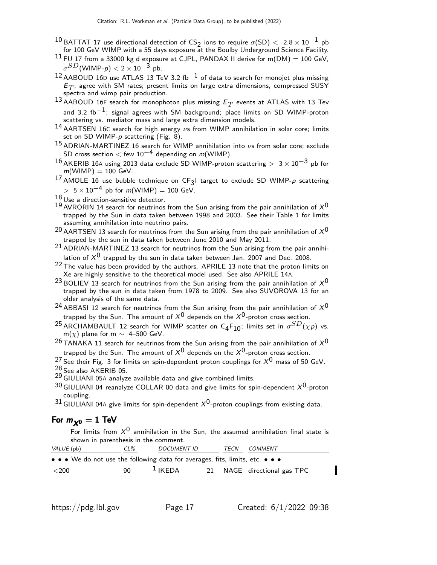- 10 BATTAT 17 use directional detection of  $CS_2$  ions to require  $\sigma(SD) < 2.8 \times 10^{-1}$  pb for 100 GeV WIMP with a 55 days exposure at the Boulby Underground Science Facility.
- $11$  FU 17 from a 33000 kg d exposure at CJPL, PANDAX II derive for m(DM) = 100 GeV,  $\sigma^{SD}$ (WIMP- $\rho) <$  2  $\times$  10 $^{-3}$  pb.
- $12$  AABOUD 16D use ATLAS 13 TeV 3.2 fb<sup>-1</sup> of data to search for monojet plus missing  $\mathsf{E}_T$ ; agree with SM rates; present limits on large extra dimensions, compressed SUSY spectra and wimp pair production.
- $^{13}$ AABOUD 16F search for monophoton plus missing  $\mathit{E}_{T}$  events at ATLAS with 13 Tev and 3.2 fb<sup>-1</sup>; signal agrees with SM background; place limits on SD WIMP-proton scattering vs. mediator mass and large extra dimension models.
- $14$  AARTSEN 16C search for high energy  $\nu$ s from WIMP annihilation in solar core; limits set on SD WIMP-p scattering (Fig. 8).
- 15 ADRIAN-MARTINEZ 16 search for WIMP annihilation into  $\nu$ s from solar core; exclude SD cross section  $<$  few 10<sup>-4</sup> depending on m(WIMP).
- 16 AKERIB 16A using 2013 data exclude SD WIMP-proton scattering >  $3 \times 10^{-3}$  pb for  $m(WIMP) = 100$  GeV.
- $^{17}$  AMOLE 16 use bubble technique on CF<sub>3</sub>I target to exclude SD WIMP-p scattering  $> 5 \times 10^{-4}$  pb for m(WIMP) = 100 GeV.
- 18 Use a direction-sensitive detector.
- $19$  AVRORIN 14 search for neutrinos from the Sun arising from the pair annihilation of  $X^0$ trapped by the Sun in data taken between 1998 and 2003. See their Table 1 for limits assuming annihilation into neutrino pairs.
- $^{20}$  AARTSEN 13 search for neutrinos from the Sun arising from the pair annihilation of  $\chi^{0}$ trapped by the sun in data taken between June 2010 and May 2011.
- 21 ADRIAN-MARTINEZ 13 search for neutrinos from the Sun arising from the pair annihilation of  $X^0$  trapped by the sun in data taken between Jan. 2007 and Dec. 2008.
- 22 The value has been provided by the authors. APRILE 13 note that the proton limits on Xe are highly sensitive to the theoretical model used. See also APRILE 14A.
- $^{23}$ BOLIEV 13 search for neutrinos from the Sun arising from the pair annihilation of  $\chi^{0}$ trapped by the sun in data taken from 1978 to 2009. See also SUVOROVA 13 for an older analysis of the same data.
- <sup>24</sup> ABBASI 12 search for neutrinos from the Sun arising from the pair annihilation of  $X^0$ trapped by the Sun. The amount of  $X^0$  depends on the  $X^0$ -proton cross section.
- <sup>25</sup> ARCHAMBAULT 12 search for WIMP scatter on C<sub>4</sub>F<sub>10</sub>; limits set in  $\sigma^{SD}(\chi p)$  vs. m( $\chi$ ) plane for m ~ 4–500 GeV.
- <sup>26</sup> TANAKA 11 search for neutrinos from the Sun arising from the pair annihilation of  $X^0$ trapped by the Sun. The amount of  $X^0$  depends on the  $X^0$ -proton cross section.

<sup>27</sup> See their Fig. 3 for limits on spin-dependent proton couplings for  $X^0$  mass of 50 GeV. 28 See also AKERIB 05.

29 GIULIANI 05<sup>A</sup> analyze available data and give combined limits.

- $30$  GIULIANI 04 reanalyze COLLAR 00 data and give limits for spin-dependent  $X^{0}$ -proton coupling.
- $31$  GIULIANI 04A give limits for spin-dependent  $X^0$ -proton couplings from existing data.

### For  $m_{\chi0} = 1$  TeV

For limits from  $\mathsf{X}^0$  annihilation in the Sun, the assumed annihilation final state is shown in parenthesis in the comment.

| VALUE (pb)                                                                                                            | $CL\%$ | <b>DOCUMENT ID</b>  | TECN | <i>COMMENT</i>              |
|-----------------------------------------------------------------------------------------------------------------------|--------|---------------------|------|-----------------------------|
| $\bullet \bullet \bullet$ We do not use the following data for averages, fits, limits, etc. $\bullet \bullet \bullet$ |        |                     |      |                             |
| $<$ 200                                                                                                               | 90.    | $\frac{1}{2}$ IKEDA |      | 21 NAGE directional gas TPC |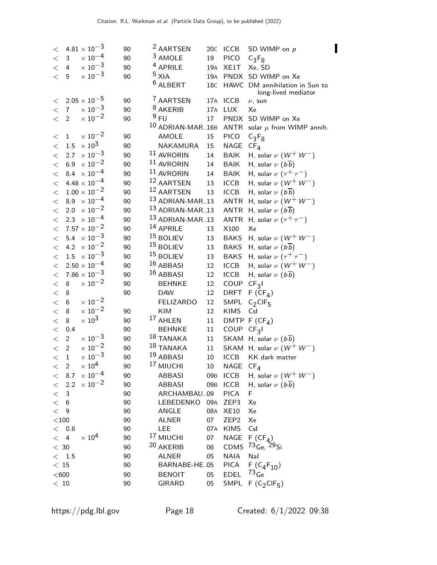| $4.81 \times 10^{-3}$<br>20C ICCB<br>90<br>$\lt$<br>$\times$ 10 <sup>-4</sup><br><sup>3</sup> AMOLE<br>$\mathbf{3}$<br><b>PICO</b><br>90<br>19<br>$\,<\,$<br>$C_3F_8$<br>$\times$ $10^{-3}$<br><sup>4</sup> APRILE<br>19A XE1T<br>$\lt$<br>4<br>90<br>Xe, SD<br>$\times$ $10^{-3}$<br>$5$ XIA<br>19A PNDX SD WIMP on Xe<br>$\lt$<br>5<br>90<br><sup>6</sup> ALBERT<br>18C HAWC DM annihilation in Sun to<br>long-lived mediator<br><sup>7</sup> AARTSEN<br>$2.05 \times 10^{-5}$<br>90<br>17A ICCB<br>$\lt$<br>$\nu$ , sun<br>$\times$ 10 <sup>-3</sup><br><sup>8</sup> AKERIB<br>7 <sup>7</sup><br>17A LUX<br>90<br>Xe<br>$\lt$<br>$\times$ 10 <sup>-2</sup><br>9 FU<br><b>PNDX</b><br>17<br>SD WIMP on Xe<br>$\lt$<br>$\overline{2}$<br>90<br><sup>10</sup> ADRIAN-MAR16B<br>ANTR solar $\mu$ from WIMP annih.<br>$\times$ $10^{-2}$<br>AMOLE<br><b>PICO</b><br>$\mathbf{1}$<br>90<br>15<br>$C_3F_8$<br>$\lt$<br>$\times$ $10^3$<br>NAGE<br>1.5<br>NAKAMURA<br>90<br>15<br>$\lt$<br>$CF_{4}$<br>$\times$ 10 <sup>-3</sup><br>11 AVRORIN<br><b>BAIK</b><br>H, solar $\nu$ $(W^+ W^-)$<br>2.7<br>90<br>14<br>$\lt$<br>$\times\,10^{-2}$<br>11 AVRORIN<br>6.9<br>90<br>BAIK<br>H, solar $\nu$ $(b\overline{b})$<br>14<br>$\lt$<br>8.4 $\times 10^{-4}$<br>$11$ AVRORIN<br><b>BAIK</b><br>H, solar $\nu$ $(\tau^+\tau^-)$<br>90<br>14<br>$\,<$<br>$4.48 \times 10^{-4}$<br>12 AARTSEN<br>H, solar $\nu$ $(W^+ W^-)$<br><b>ICCB</b><br>90<br>13<br>$\lt$<br>12 AARTSEN<br>$1.00 \times 10^{-2}$<br><b>ICCB</b><br>H, solar $\nu$ $(b\overline{b})$<br>90<br>13<br>$\lt$<br>$8.9 \times 10^{-4}$<br>13 ADRIAN-MAR13<br>ANTR H, solar $\nu$ ( $W^+$ $W^-$ )<br>90<br>$\lt$<br>13 ADRIAN-MAR13<br>$\times$ 10 <sup>-2</sup><br>ANTR<br>H, solar $\nu$ ( $b\overline{b}$ )<br>2.0<br>90<br>$\lt$<br>13 ADRIAN-MAR13<br>2.3 $\times 10^{-4}$<br>ANTR<br>H, solar $\nu$ $(\tau^+\tau^-)$<br>90<br>$\,<\,$<br>$7.57 \times 10^{-2}$<br>14 APRILE<br>X100<br>90<br>Xe<br>13<br>$\,<$<br>$5.4 \times 10^{-3}$<br>$15$ BOLIEV<br><b>BAKS</b><br>H, solar $\nu$ $(W^+ W^-)$<br>90<br>13<br>$\lt$<br>4.2 $\times 10^{-2}$<br>$15$ BOLIEV<br>BAKS H, solar $\nu$ ( $b\overline{b}$ )<br>90<br>13<br>$\,<\,$<br><sup>15</sup> BOLIEV<br>$1.5 \times 10^{-3}$<br>H, solar $\nu$ $(\tau^+ \tau^-)$<br><b>BAKS</b><br>13<br>90<br>$<\,$<br>16 ABBASI<br>$2.50 \times 10^{-4}$<br>H, solar $\nu$ $(W^+ W^-)$<br><b>ICCB</b><br>90<br>12<br>$\,<\,$<br>$7.86\times10^{-3}$<br>16 ABBASI<br><b>ICCB</b><br>H, solar $\nu$ $(b\overline{b})$<br>90<br>12<br>$\,<$<br>$\times$ 10 <sup>-2</sup><br>COUP<br>12<br>8<br>90<br><b>BEHNKE</b><br>CF <sub>3</sub><br>$\lt$<br><b>DRFT</b><br>8<br>90<br><b>DAW</b><br>12<br>$F(CF_4)$<br>$\,<$<br>$\times\,10^{-2}$<br><b>FELIZARDO</b><br>SMPL<br>$\lt$<br>6<br>12<br>$C_2$ CIF <sub>5</sub><br>$\times\,10^{-2}$<br>$\lt$<br>8<br>KIM<br>12<br><b>KIMS</b><br>90<br>Csl<br>$\times$ $10^3$<br><sup>17</sup> AHLEN<br>8<br>DMTP $F(CF_4)$<br>$\lt$<br>90<br>11<br>0.4<br>COUP<br>$\lt$<br>90<br><b>BEHNKE</b><br>11<br>CF <sub>3</sub> I<br>$\times\,10^{-3}$<br>$18$ TANAKA<br>$\overline{2}$<br>SKAM H, solar $\nu$ ( $b\overline{b}$ )<br>$\lt$<br>90<br>11<br>$\times\,10^{-2}$<br>18 TANAKA<br>SKAM H, solar $\nu$ ( $W^+ W^-$ )<br>90<br>$\overline{2}$<br>11<br>$\,<\,$<br>$\times$ $10^{-3}$<br>19 ABBASI<br>90<br><b>ICCB</b><br>KK dark matter<br>$\mathbf 1$<br>$10\,$<br>$\,<$<br><sup>17</sup> MIUCHI<br>$\times 10^4$<br>$10\,$<br>NAGE<br>$CF_{\text{A}}$<br>$\overline{c}$<br>90<br>$\,<\,$<br>$\times$ 10 <sup>-4</sup><br>H, solar $\nu$ $(W^+ W^-)$<br>8.7<br>90<br>09B ICCB<br><b>ABBASI</b><br>$\lt$<br>$\times$ 10 <sup>-2</sup><br>2.2<br>90<br>09B ICCB<br>H, solar $\nu$ ( $b\overline{b}$ )<br><b>ABBASI</b><br>$\,<\,$<br>ARCHAMBAU09<br><b>PICA</b><br>F<br>3<br>90<br>$\lt$<br>LEBEDENKO<br>$\lt$<br>90<br>09A<br>ZEP3<br>Xe<br>6<br>< 9<br>90<br>ANGLE<br>08A<br><b>XE10</b><br>Xe<br>$<$ 100 $\,$<br>ZEP <sub>2</sub><br>90<br><b>ALNER</b><br>07<br>Xe<br><b>KIMS</b><br>$<$ 0.8<br>90<br>LEE<br>07A<br>Csl<br><sup>17</sup> MIUCHI<br>$\times 10^4$<br>90<br>07<br>NAGE<br>$F(CF_A)$<br>4<br>$\lt$<br>20 AKERIB<br>CDMS $^{73}$ Ge, $^{29}$ Si<br>$<\,30$<br>90<br>06<br>Nal<br>< 1.5<br>90<br><b>ALNER</b><br>05<br><b>NAIA</b><br>BARNABE-HE.05<br>$F(C_4F_{10})$<br>$\,<\,$ 15<br>90<br><b>PICA</b><br>$73$ <sub>Ge</sub><br>$<$ 600 $\,$<br>EDEL<br>90<br><b>BENOIT</b><br>05<br>SMPL F $(C_2CIF_5)$<br>$<\,$ 10 $\,$<br>90<br><b>GIRARD</b><br>05 |  |  | <sup>2</sup> AARTSEN |  | SD WIMP on p |  |
|------------------------------------------------------------------------------------------------------------------------------------------------------------------------------------------------------------------------------------------------------------------------------------------------------------------------------------------------------------------------------------------------------------------------------------------------------------------------------------------------------------------------------------------------------------------------------------------------------------------------------------------------------------------------------------------------------------------------------------------------------------------------------------------------------------------------------------------------------------------------------------------------------------------------------------------------------------------------------------------------------------------------------------------------------------------------------------------------------------------------------------------------------------------------------------------------------------------------------------------------------------------------------------------------------------------------------------------------------------------------------------------------------------------------------------------------------------------------------------------------------------------------------------------------------------------------------------------------------------------------------------------------------------------------------------------------------------------------------------------------------------------------------------------------------------------------------------------------------------------------------------------------------------------------------------------------------------------------------------------------------------------------------------------------------------------------------------------------------------------------------------------------------------------------------------------------------------------------------------------------------------------------------------------------------------------------------------------------------------------------------------------------------------------------------------------------------------------------------------------------------------------------------------------------------------------------------------------------------------------------------------------------------------------------------------------------------------------------------------------------------------------------------------------------------------------------------------------------------------------------------------------------------------------------------------------------------------------------------------------------------------------------------------------------------------------------------------------------------------------------------------------------------------------------------------------------------------------------------------------------------------------------------------------------------------------------------------------------------------------------------------------------------------------------------------------------------------------------------------------------------------------------------------------------------------------------------------------------------------------------------------------------------------------------------------------------------------------------------------------------------------------------------------------------------------------------------------------------------------------------------------------------------------------------------------------------------------------------------------------------------------------------------------------------------------------------------------------------------------------------------------------------------------------------------------------------------------------------------------------------------------------------------------------------------------------------------------------------------------------------------------------------------------------------------------------------------------------------------------------------------------|--|--|----------------------|--|--------------|--|
|                                                                                                                                                                                                                                                                                                                                                                                                                                                                                                                                                                                                                                                                                                                                                                                                                                                                                                                                                                                                                                                                                                                                                                                                                                                                                                                                                                                                                                                                                                                                                                                                                                                                                                                                                                                                                                                                                                                                                                                                                                                                                                                                                                                                                                                                                                                                                                                                                                                                                                                                                                                                                                                                                                                                                                                                                                                                                                                                                                                                                                                                                                                                                                                                                                                                                                                                                                                                                                                                                                                                                                                                                                                                                                                                                                                                                                                                                                                                                                                                                                                                                                                                                                                                                                                                                                                                                                                                                                                                                                            |  |  |                      |  |              |  |
|                                                                                                                                                                                                                                                                                                                                                                                                                                                                                                                                                                                                                                                                                                                                                                                                                                                                                                                                                                                                                                                                                                                                                                                                                                                                                                                                                                                                                                                                                                                                                                                                                                                                                                                                                                                                                                                                                                                                                                                                                                                                                                                                                                                                                                                                                                                                                                                                                                                                                                                                                                                                                                                                                                                                                                                                                                                                                                                                                                                                                                                                                                                                                                                                                                                                                                                                                                                                                                                                                                                                                                                                                                                                                                                                                                                                                                                                                                                                                                                                                                                                                                                                                                                                                                                                                                                                                                                                                                                                                                            |  |  |                      |  |              |  |
|                                                                                                                                                                                                                                                                                                                                                                                                                                                                                                                                                                                                                                                                                                                                                                                                                                                                                                                                                                                                                                                                                                                                                                                                                                                                                                                                                                                                                                                                                                                                                                                                                                                                                                                                                                                                                                                                                                                                                                                                                                                                                                                                                                                                                                                                                                                                                                                                                                                                                                                                                                                                                                                                                                                                                                                                                                                                                                                                                                                                                                                                                                                                                                                                                                                                                                                                                                                                                                                                                                                                                                                                                                                                                                                                                                                                                                                                                                                                                                                                                                                                                                                                                                                                                                                                                                                                                                                                                                                                                                            |  |  |                      |  |              |  |
|                                                                                                                                                                                                                                                                                                                                                                                                                                                                                                                                                                                                                                                                                                                                                                                                                                                                                                                                                                                                                                                                                                                                                                                                                                                                                                                                                                                                                                                                                                                                                                                                                                                                                                                                                                                                                                                                                                                                                                                                                                                                                                                                                                                                                                                                                                                                                                                                                                                                                                                                                                                                                                                                                                                                                                                                                                                                                                                                                                                                                                                                                                                                                                                                                                                                                                                                                                                                                                                                                                                                                                                                                                                                                                                                                                                                                                                                                                                                                                                                                                                                                                                                                                                                                                                                                                                                                                                                                                                                                                            |  |  |                      |  |              |  |
|                                                                                                                                                                                                                                                                                                                                                                                                                                                                                                                                                                                                                                                                                                                                                                                                                                                                                                                                                                                                                                                                                                                                                                                                                                                                                                                                                                                                                                                                                                                                                                                                                                                                                                                                                                                                                                                                                                                                                                                                                                                                                                                                                                                                                                                                                                                                                                                                                                                                                                                                                                                                                                                                                                                                                                                                                                                                                                                                                                                                                                                                                                                                                                                                                                                                                                                                                                                                                                                                                                                                                                                                                                                                                                                                                                                                                                                                                                                                                                                                                                                                                                                                                                                                                                                                                                                                                                                                                                                                                                            |  |  |                      |  |              |  |
|                                                                                                                                                                                                                                                                                                                                                                                                                                                                                                                                                                                                                                                                                                                                                                                                                                                                                                                                                                                                                                                                                                                                                                                                                                                                                                                                                                                                                                                                                                                                                                                                                                                                                                                                                                                                                                                                                                                                                                                                                                                                                                                                                                                                                                                                                                                                                                                                                                                                                                                                                                                                                                                                                                                                                                                                                                                                                                                                                                                                                                                                                                                                                                                                                                                                                                                                                                                                                                                                                                                                                                                                                                                                                                                                                                                                                                                                                                                                                                                                                                                                                                                                                                                                                                                                                                                                                                                                                                                                                                            |  |  |                      |  |              |  |
|                                                                                                                                                                                                                                                                                                                                                                                                                                                                                                                                                                                                                                                                                                                                                                                                                                                                                                                                                                                                                                                                                                                                                                                                                                                                                                                                                                                                                                                                                                                                                                                                                                                                                                                                                                                                                                                                                                                                                                                                                                                                                                                                                                                                                                                                                                                                                                                                                                                                                                                                                                                                                                                                                                                                                                                                                                                                                                                                                                                                                                                                                                                                                                                                                                                                                                                                                                                                                                                                                                                                                                                                                                                                                                                                                                                                                                                                                                                                                                                                                                                                                                                                                                                                                                                                                                                                                                                                                                                                                                            |  |  |                      |  |              |  |
|                                                                                                                                                                                                                                                                                                                                                                                                                                                                                                                                                                                                                                                                                                                                                                                                                                                                                                                                                                                                                                                                                                                                                                                                                                                                                                                                                                                                                                                                                                                                                                                                                                                                                                                                                                                                                                                                                                                                                                                                                                                                                                                                                                                                                                                                                                                                                                                                                                                                                                                                                                                                                                                                                                                                                                                                                                                                                                                                                                                                                                                                                                                                                                                                                                                                                                                                                                                                                                                                                                                                                                                                                                                                                                                                                                                                                                                                                                                                                                                                                                                                                                                                                                                                                                                                                                                                                                                                                                                                                                            |  |  |                      |  |              |  |
|                                                                                                                                                                                                                                                                                                                                                                                                                                                                                                                                                                                                                                                                                                                                                                                                                                                                                                                                                                                                                                                                                                                                                                                                                                                                                                                                                                                                                                                                                                                                                                                                                                                                                                                                                                                                                                                                                                                                                                                                                                                                                                                                                                                                                                                                                                                                                                                                                                                                                                                                                                                                                                                                                                                                                                                                                                                                                                                                                                                                                                                                                                                                                                                                                                                                                                                                                                                                                                                                                                                                                                                                                                                                                                                                                                                                                                                                                                                                                                                                                                                                                                                                                                                                                                                                                                                                                                                                                                                                                                            |  |  |                      |  |              |  |
|                                                                                                                                                                                                                                                                                                                                                                                                                                                                                                                                                                                                                                                                                                                                                                                                                                                                                                                                                                                                                                                                                                                                                                                                                                                                                                                                                                                                                                                                                                                                                                                                                                                                                                                                                                                                                                                                                                                                                                                                                                                                                                                                                                                                                                                                                                                                                                                                                                                                                                                                                                                                                                                                                                                                                                                                                                                                                                                                                                                                                                                                                                                                                                                                                                                                                                                                                                                                                                                                                                                                                                                                                                                                                                                                                                                                                                                                                                                                                                                                                                                                                                                                                                                                                                                                                                                                                                                                                                                                                                            |  |  |                      |  |              |  |
|                                                                                                                                                                                                                                                                                                                                                                                                                                                                                                                                                                                                                                                                                                                                                                                                                                                                                                                                                                                                                                                                                                                                                                                                                                                                                                                                                                                                                                                                                                                                                                                                                                                                                                                                                                                                                                                                                                                                                                                                                                                                                                                                                                                                                                                                                                                                                                                                                                                                                                                                                                                                                                                                                                                                                                                                                                                                                                                                                                                                                                                                                                                                                                                                                                                                                                                                                                                                                                                                                                                                                                                                                                                                                                                                                                                                                                                                                                                                                                                                                                                                                                                                                                                                                                                                                                                                                                                                                                                                                                            |  |  |                      |  |              |  |
|                                                                                                                                                                                                                                                                                                                                                                                                                                                                                                                                                                                                                                                                                                                                                                                                                                                                                                                                                                                                                                                                                                                                                                                                                                                                                                                                                                                                                                                                                                                                                                                                                                                                                                                                                                                                                                                                                                                                                                                                                                                                                                                                                                                                                                                                                                                                                                                                                                                                                                                                                                                                                                                                                                                                                                                                                                                                                                                                                                                                                                                                                                                                                                                                                                                                                                                                                                                                                                                                                                                                                                                                                                                                                                                                                                                                                                                                                                                                                                                                                                                                                                                                                                                                                                                                                                                                                                                                                                                                                                            |  |  |                      |  |              |  |
|                                                                                                                                                                                                                                                                                                                                                                                                                                                                                                                                                                                                                                                                                                                                                                                                                                                                                                                                                                                                                                                                                                                                                                                                                                                                                                                                                                                                                                                                                                                                                                                                                                                                                                                                                                                                                                                                                                                                                                                                                                                                                                                                                                                                                                                                                                                                                                                                                                                                                                                                                                                                                                                                                                                                                                                                                                                                                                                                                                                                                                                                                                                                                                                                                                                                                                                                                                                                                                                                                                                                                                                                                                                                                                                                                                                                                                                                                                                                                                                                                                                                                                                                                                                                                                                                                                                                                                                                                                                                                                            |  |  |                      |  |              |  |
|                                                                                                                                                                                                                                                                                                                                                                                                                                                                                                                                                                                                                                                                                                                                                                                                                                                                                                                                                                                                                                                                                                                                                                                                                                                                                                                                                                                                                                                                                                                                                                                                                                                                                                                                                                                                                                                                                                                                                                                                                                                                                                                                                                                                                                                                                                                                                                                                                                                                                                                                                                                                                                                                                                                                                                                                                                                                                                                                                                                                                                                                                                                                                                                                                                                                                                                                                                                                                                                                                                                                                                                                                                                                                                                                                                                                                                                                                                                                                                                                                                                                                                                                                                                                                                                                                                                                                                                                                                                                                                            |  |  |                      |  |              |  |
|                                                                                                                                                                                                                                                                                                                                                                                                                                                                                                                                                                                                                                                                                                                                                                                                                                                                                                                                                                                                                                                                                                                                                                                                                                                                                                                                                                                                                                                                                                                                                                                                                                                                                                                                                                                                                                                                                                                                                                                                                                                                                                                                                                                                                                                                                                                                                                                                                                                                                                                                                                                                                                                                                                                                                                                                                                                                                                                                                                                                                                                                                                                                                                                                                                                                                                                                                                                                                                                                                                                                                                                                                                                                                                                                                                                                                                                                                                                                                                                                                                                                                                                                                                                                                                                                                                                                                                                                                                                                                                            |  |  |                      |  |              |  |
|                                                                                                                                                                                                                                                                                                                                                                                                                                                                                                                                                                                                                                                                                                                                                                                                                                                                                                                                                                                                                                                                                                                                                                                                                                                                                                                                                                                                                                                                                                                                                                                                                                                                                                                                                                                                                                                                                                                                                                                                                                                                                                                                                                                                                                                                                                                                                                                                                                                                                                                                                                                                                                                                                                                                                                                                                                                                                                                                                                                                                                                                                                                                                                                                                                                                                                                                                                                                                                                                                                                                                                                                                                                                                                                                                                                                                                                                                                                                                                                                                                                                                                                                                                                                                                                                                                                                                                                                                                                                                                            |  |  |                      |  |              |  |
|                                                                                                                                                                                                                                                                                                                                                                                                                                                                                                                                                                                                                                                                                                                                                                                                                                                                                                                                                                                                                                                                                                                                                                                                                                                                                                                                                                                                                                                                                                                                                                                                                                                                                                                                                                                                                                                                                                                                                                                                                                                                                                                                                                                                                                                                                                                                                                                                                                                                                                                                                                                                                                                                                                                                                                                                                                                                                                                                                                                                                                                                                                                                                                                                                                                                                                                                                                                                                                                                                                                                                                                                                                                                                                                                                                                                                                                                                                                                                                                                                                                                                                                                                                                                                                                                                                                                                                                                                                                                                                            |  |  |                      |  |              |  |
|                                                                                                                                                                                                                                                                                                                                                                                                                                                                                                                                                                                                                                                                                                                                                                                                                                                                                                                                                                                                                                                                                                                                                                                                                                                                                                                                                                                                                                                                                                                                                                                                                                                                                                                                                                                                                                                                                                                                                                                                                                                                                                                                                                                                                                                                                                                                                                                                                                                                                                                                                                                                                                                                                                                                                                                                                                                                                                                                                                                                                                                                                                                                                                                                                                                                                                                                                                                                                                                                                                                                                                                                                                                                                                                                                                                                                                                                                                                                                                                                                                                                                                                                                                                                                                                                                                                                                                                                                                                                                                            |  |  |                      |  |              |  |
|                                                                                                                                                                                                                                                                                                                                                                                                                                                                                                                                                                                                                                                                                                                                                                                                                                                                                                                                                                                                                                                                                                                                                                                                                                                                                                                                                                                                                                                                                                                                                                                                                                                                                                                                                                                                                                                                                                                                                                                                                                                                                                                                                                                                                                                                                                                                                                                                                                                                                                                                                                                                                                                                                                                                                                                                                                                                                                                                                                                                                                                                                                                                                                                                                                                                                                                                                                                                                                                                                                                                                                                                                                                                                                                                                                                                                                                                                                                                                                                                                                                                                                                                                                                                                                                                                                                                                                                                                                                                                                            |  |  |                      |  |              |  |
|                                                                                                                                                                                                                                                                                                                                                                                                                                                                                                                                                                                                                                                                                                                                                                                                                                                                                                                                                                                                                                                                                                                                                                                                                                                                                                                                                                                                                                                                                                                                                                                                                                                                                                                                                                                                                                                                                                                                                                                                                                                                                                                                                                                                                                                                                                                                                                                                                                                                                                                                                                                                                                                                                                                                                                                                                                                                                                                                                                                                                                                                                                                                                                                                                                                                                                                                                                                                                                                                                                                                                                                                                                                                                                                                                                                                                                                                                                                                                                                                                                                                                                                                                                                                                                                                                                                                                                                                                                                                                                            |  |  |                      |  |              |  |
|                                                                                                                                                                                                                                                                                                                                                                                                                                                                                                                                                                                                                                                                                                                                                                                                                                                                                                                                                                                                                                                                                                                                                                                                                                                                                                                                                                                                                                                                                                                                                                                                                                                                                                                                                                                                                                                                                                                                                                                                                                                                                                                                                                                                                                                                                                                                                                                                                                                                                                                                                                                                                                                                                                                                                                                                                                                                                                                                                                                                                                                                                                                                                                                                                                                                                                                                                                                                                                                                                                                                                                                                                                                                                                                                                                                                                                                                                                                                                                                                                                                                                                                                                                                                                                                                                                                                                                                                                                                                                                            |  |  |                      |  |              |  |
|                                                                                                                                                                                                                                                                                                                                                                                                                                                                                                                                                                                                                                                                                                                                                                                                                                                                                                                                                                                                                                                                                                                                                                                                                                                                                                                                                                                                                                                                                                                                                                                                                                                                                                                                                                                                                                                                                                                                                                                                                                                                                                                                                                                                                                                                                                                                                                                                                                                                                                                                                                                                                                                                                                                                                                                                                                                                                                                                                                                                                                                                                                                                                                                                                                                                                                                                                                                                                                                                                                                                                                                                                                                                                                                                                                                                                                                                                                                                                                                                                                                                                                                                                                                                                                                                                                                                                                                                                                                                                                            |  |  |                      |  |              |  |
|                                                                                                                                                                                                                                                                                                                                                                                                                                                                                                                                                                                                                                                                                                                                                                                                                                                                                                                                                                                                                                                                                                                                                                                                                                                                                                                                                                                                                                                                                                                                                                                                                                                                                                                                                                                                                                                                                                                                                                                                                                                                                                                                                                                                                                                                                                                                                                                                                                                                                                                                                                                                                                                                                                                                                                                                                                                                                                                                                                                                                                                                                                                                                                                                                                                                                                                                                                                                                                                                                                                                                                                                                                                                                                                                                                                                                                                                                                                                                                                                                                                                                                                                                                                                                                                                                                                                                                                                                                                                                                            |  |  |                      |  |              |  |
|                                                                                                                                                                                                                                                                                                                                                                                                                                                                                                                                                                                                                                                                                                                                                                                                                                                                                                                                                                                                                                                                                                                                                                                                                                                                                                                                                                                                                                                                                                                                                                                                                                                                                                                                                                                                                                                                                                                                                                                                                                                                                                                                                                                                                                                                                                                                                                                                                                                                                                                                                                                                                                                                                                                                                                                                                                                                                                                                                                                                                                                                                                                                                                                                                                                                                                                                                                                                                                                                                                                                                                                                                                                                                                                                                                                                                                                                                                                                                                                                                                                                                                                                                                                                                                                                                                                                                                                                                                                                                                            |  |  |                      |  |              |  |
|                                                                                                                                                                                                                                                                                                                                                                                                                                                                                                                                                                                                                                                                                                                                                                                                                                                                                                                                                                                                                                                                                                                                                                                                                                                                                                                                                                                                                                                                                                                                                                                                                                                                                                                                                                                                                                                                                                                                                                                                                                                                                                                                                                                                                                                                                                                                                                                                                                                                                                                                                                                                                                                                                                                                                                                                                                                                                                                                                                                                                                                                                                                                                                                                                                                                                                                                                                                                                                                                                                                                                                                                                                                                                                                                                                                                                                                                                                                                                                                                                                                                                                                                                                                                                                                                                                                                                                                                                                                                                                            |  |  |                      |  |              |  |
|                                                                                                                                                                                                                                                                                                                                                                                                                                                                                                                                                                                                                                                                                                                                                                                                                                                                                                                                                                                                                                                                                                                                                                                                                                                                                                                                                                                                                                                                                                                                                                                                                                                                                                                                                                                                                                                                                                                                                                                                                                                                                                                                                                                                                                                                                                                                                                                                                                                                                                                                                                                                                                                                                                                                                                                                                                                                                                                                                                                                                                                                                                                                                                                                                                                                                                                                                                                                                                                                                                                                                                                                                                                                                                                                                                                                                                                                                                                                                                                                                                                                                                                                                                                                                                                                                                                                                                                                                                                                                                            |  |  |                      |  |              |  |
|                                                                                                                                                                                                                                                                                                                                                                                                                                                                                                                                                                                                                                                                                                                                                                                                                                                                                                                                                                                                                                                                                                                                                                                                                                                                                                                                                                                                                                                                                                                                                                                                                                                                                                                                                                                                                                                                                                                                                                                                                                                                                                                                                                                                                                                                                                                                                                                                                                                                                                                                                                                                                                                                                                                                                                                                                                                                                                                                                                                                                                                                                                                                                                                                                                                                                                                                                                                                                                                                                                                                                                                                                                                                                                                                                                                                                                                                                                                                                                                                                                                                                                                                                                                                                                                                                                                                                                                                                                                                                                            |  |  |                      |  |              |  |
|                                                                                                                                                                                                                                                                                                                                                                                                                                                                                                                                                                                                                                                                                                                                                                                                                                                                                                                                                                                                                                                                                                                                                                                                                                                                                                                                                                                                                                                                                                                                                                                                                                                                                                                                                                                                                                                                                                                                                                                                                                                                                                                                                                                                                                                                                                                                                                                                                                                                                                                                                                                                                                                                                                                                                                                                                                                                                                                                                                                                                                                                                                                                                                                                                                                                                                                                                                                                                                                                                                                                                                                                                                                                                                                                                                                                                                                                                                                                                                                                                                                                                                                                                                                                                                                                                                                                                                                                                                                                                                            |  |  |                      |  |              |  |
|                                                                                                                                                                                                                                                                                                                                                                                                                                                                                                                                                                                                                                                                                                                                                                                                                                                                                                                                                                                                                                                                                                                                                                                                                                                                                                                                                                                                                                                                                                                                                                                                                                                                                                                                                                                                                                                                                                                                                                                                                                                                                                                                                                                                                                                                                                                                                                                                                                                                                                                                                                                                                                                                                                                                                                                                                                                                                                                                                                                                                                                                                                                                                                                                                                                                                                                                                                                                                                                                                                                                                                                                                                                                                                                                                                                                                                                                                                                                                                                                                                                                                                                                                                                                                                                                                                                                                                                                                                                                                                            |  |  |                      |  |              |  |
|                                                                                                                                                                                                                                                                                                                                                                                                                                                                                                                                                                                                                                                                                                                                                                                                                                                                                                                                                                                                                                                                                                                                                                                                                                                                                                                                                                                                                                                                                                                                                                                                                                                                                                                                                                                                                                                                                                                                                                                                                                                                                                                                                                                                                                                                                                                                                                                                                                                                                                                                                                                                                                                                                                                                                                                                                                                                                                                                                                                                                                                                                                                                                                                                                                                                                                                                                                                                                                                                                                                                                                                                                                                                                                                                                                                                                                                                                                                                                                                                                                                                                                                                                                                                                                                                                                                                                                                                                                                                                                            |  |  |                      |  |              |  |
|                                                                                                                                                                                                                                                                                                                                                                                                                                                                                                                                                                                                                                                                                                                                                                                                                                                                                                                                                                                                                                                                                                                                                                                                                                                                                                                                                                                                                                                                                                                                                                                                                                                                                                                                                                                                                                                                                                                                                                                                                                                                                                                                                                                                                                                                                                                                                                                                                                                                                                                                                                                                                                                                                                                                                                                                                                                                                                                                                                                                                                                                                                                                                                                                                                                                                                                                                                                                                                                                                                                                                                                                                                                                                                                                                                                                                                                                                                                                                                                                                                                                                                                                                                                                                                                                                                                                                                                                                                                                                                            |  |  |                      |  |              |  |
|                                                                                                                                                                                                                                                                                                                                                                                                                                                                                                                                                                                                                                                                                                                                                                                                                                                                                                                                                                                                                                                                                                                                                                                                                                                                                                                                                                                                                                                                                                                                                                                                                                                                                                                                                                                                                                                                                                                                                                                                                                                                                                                                                                                                                                                                                                                                                                                                                                                                                                                                                                                                                                                                                                                                                                                                                                                                                                                                                                                                                                                                                                                                                                                                                                                                                                                                                                                                                                                                                                                                                                                                                                                                                                                                                                                                                                                                                                                                                                                                                                                                                                                                                                                                                                                                                                                                                                                                                                                                                                            |  |  |                      |  |              |  |
|                                                                                                                                                                                                                                                                                                                                                                                                                                                                                                                                                                                                                                                                                                                                                                                                                                                                                                                                                                                                                                                                                                                                                                                                                                                                                                                                                                                                                                                                                                                                                                                                                                                                                                                                                                                                                                                                                                                                                                                                                                                                                                                                                                                                                                                                                                                                                                                                                                                                                                                                                                                                                                                                                                                                                                                                                                                                                                                                                                                                                                                                                                                                                                                                                                                                                                                                                                                                                                                                                                                                                                                                                                                                                                                                                                                                                                                                                                                                                                                                                                                                                                                                                                                                                                                                                                                                                                                                                                                                                                            |  |  |                      |  |              |  |
|                                                                                                                                                                                                                                                                                                                                                                                                                                                                                                                                                                                                                                                                                                                                                                                                                                                                                                                                                                                                                                                                                                                                                                                                                                                                                                                                                                                                                                                                                                                                                                                                                                                                                                                                                                                                                                                                                                                                                                                                                                                                                                                                                                                                                                                                                                                                                                                                                                                                                                                                                                                                                                                                                                                                                                                                                                                                                                                                                                                                                                                                                                                                                                                                                                                                                                                                                                                                                                                                                                                                                                                                                                                                                                                                                                                                                                                                                                                                                                                                                                                                                                                                                                                                                                                                                                                                                                                                                                                                                                            |  |  |                      |  |              |  |
|                                                                                                                                                                                                                                                                                                                                                                                                                                                                                                                                                                                                                                                                                                                                                                                                                                                                                                                                                                                                                                                                                                                                                                                                                                                                                                                                                                                                                                                                                                                                                                                                                                                                                                                                                                                                                                                                                                                                                                                                                                                                                                                                                                                                                                                                                                                                                                                                                                                                                                                                                                                                                                                                                                                                                                                                                                                                                                                                                                                                                                                                                                                                                                                                                                                                                                                                                                                                                                                                                                                                                                                                                                                                                                                                                                                                                                                                                                                                                                                                                                                                                                                                                                                                                                                                                                                                                                                                                                                                                                            |  |  |                      |  |              |  |
|                                                                                                                                                                                                                                                                                                                                                                                                                                                                                                                                                                                                                                                                                                                                                                                                                                                                                                                                                                                                                                                                                                                                                                                                                                                                                                                                                                                                                                                                                                                                                                                                                                                                                                                                                                                                                                                                                                                                                                                                                                                                                                                                                                                                                                                                                                                                                                                                                                                                                                                                                                                                                                                                                                                                                                                                                                                                                                                                                                                                                                                                                                                                                                                                                                                                                                                                                                                                                                                                                                                                                                                                                                                                                                                                                                                                                                                                                                                                                                                                                                                                                                                                                                                                                                                                                                                                                                                                                                                                                                            |  |  |                      |  |              |  |
|                                                                                                                                                                                                                                                                                                                                                                                                                                                                                                                                                                                                                                                                                                                                                                                                                                                                                                                                                                                                                                                                                                                                                                                                                                                                                                                                                                                                                                                                                                                                                                                                                                                                                                                                                                                                                                                                                                                                                                                                                                                                                                                                                                                                                                                                                                                                                                                                                                                                                                                                                                                                                                                                                                                                                                                                                                                                                                                                                                                                                                                                                                                                                                                                                                                                                                                                                                                                                                                                                                                                                                                                                                                                                                                                                                                                                                                                                                                                                                                                                                                                                                                                                                                                                                                                                                                                                                                                                                                                                                            |  |  |                      |  |              |  |
|                                                                                                                                                                                                                                                                                                                                                                                                                                                                                                                                                                                                                                                                                                                                                                                                                                                                                                                                                                                                                                                                                                                                                                                                                                                                                                                                                                                                                                                                                                                                                                                                                                                                                                                                                                                                                                                                                                                                                                                                                                                                                                                                                                                                                                                                                                                                                                                                                                                                                                                                                                                                                                                                                                                                                                                                                                                                                                                                                                                                                                                                                                                                                                                                                                                                                                                                                                                                                                                                                                                                                                                                                                                                                                                                                                                                                                                                                                                                                                                                                                                                                                                                                                                                                                                                                                                                                                                                                                                                                                            |  |  |                      |  |              |  |
|                                                                                                                                                                                                                                                                                                                                                                                                                                                                                                                                                                                                                                                                                                                                                                                                                                                                                                                                                                                                                                                                                                                                                                                                                                                                                                                                                                                                                                                                                                                                                                                                                                                                                                                                                                                                                                                                                                                                                                                                                                                                                                                                                                                                                                                                                                                                                                                                                                                                                                                                                                                                                                                                                                                                                                                                                                                                                                                                                                                                                                                                                                                                                                                                                                                                                                                                                                                                                                                                                                                                                                                                                                                                                                                                                                                                                                                                                                                                                                                                                                                                                                                                                                                                                                                                                                                                                                                                                                                                                                            |  |  |                      |  |              |  |
|                                                                                                                                                                                                                                                                                                                                                                                                                                                                                                                                                                                                                                                                                                                                                                                                                                                                                                                                                                                                                                                                                                                                                                                                                                                                                                                                                                                                                                                                                                                                                                                                                                                                                                                                                                                                                                                                                                                                                                                                                                                                                                                                                                                                                                                                                                                                                                                                                                                                                                                                                                                                                                                                                                                                                                                                                                                                                                                                                                                                                                                                                                                                                                                                                                                                                                                                                                                                                                                                                                                                                                                                                                                                                                                                                                                                                                                                                                                                                                                                                                                                                                                                                                                                                                                                                                                                                                                                                                                                                                            |  |  |                      |  |              |  |
|                                                                                                                                                                                                                                                                                                                                                                                                                                                                                                                                                                                                                                                                                                                                                                                                                                                                                                                                                                                                                                                                                                                                                                                                                                                                                                                                                                                                                                                                                                                                                                                                                                                                                                                                                                                                                                                                                                                                                                                                                                                                                                                                                                                                                                                                                                                                                                                                                                                                                                                                                                                                                                                                                                                                                                                                                                                                                                                                                                                                                                                                                                                                                                                                                                                                                                                                                                                                                                                                                                                                                                                                                                                                                                                                                                                                                                                                                                                                                                                                                                                                                                                                                                                                                                                                                                                                                                                                                                                                                                            |  |  |                      |  |              |  |
|                                                                                                                                                                                                                                                                                                                                                                                                                                                                                                                                                                                                                                                                                                                                                                                                                                                                                                                                                                                                                                                                                                                                                                                                                                                                                                                                                                                                                                                                                                                                                                                                                                                                                                                                                                                                                                                                                                                                                                                                                                                                                                                                                                                                                                                                                                                                                                                                                                                                                                                                                                                                                                                                                                                                                                                                                                                                                                                                                                                                                                                                                                                                                                                                                                                                                                                                                                                                                                                                                                                                                                                                                                                                                                                                                                                                                                                                                                                                                                                                                                                                                                                                                                                                                                                                                                                                                                                                                                                                                                            |  |  |                      |  |              |  |
|                                                                                                                                                                                                                                                                                                                                                                                                                                                                                                                                                                                                                                                                                                                                                                                                                                                                                                                                                                                                                                                                                                                                                                                                                                                                                                                                                                                                                                                                                                                                                                                                                                                                                                                                                                                                                                                                                                                                                                                                                                                                                                                                                                                                                                                                                                                                                                                                                                                                                                                                                                                                                                                                                                                                                                                                                                                                                                                                                                                                                                                                                                                                                                                                                                                                                                                                                                                                                                                                                                                                                                                                                                                                                                                                                                                                                                                                                                                                                                                                                                                                                                                                                                                                                                                                                                                                                                                                                                                                                                            |  |  |                      |  |              |  |
|                                                                                                                                                                                                                                                                                                                                                                                                                                                                                                                                                                                                                                                                                                                                                                                                                                                                                                                                                                                                                                                                                                                                                                                                                                                                                                                                                                                                                                                                                                                                                                                                                                                                                                                                                                                                                                                                                                                                                                                                                                                                                                                                                                                                                                                                                                                                                                                                                                                                                                                                                                                                                                                                                                                                                                                                                                                                                                                                                                                                                                                                                                                                                                                                                                                                                                                                                                                                                                                                                                                                                                                                                                                                                                                                                                                                                                                                                                                                                                                                                                                                                                                                                                                                                                                                                                                                                                                                                                                                                                            |  |  |                      |  |              |  |
|                                                                                                                                                                                                                                                                                                                                                                                                                                                                                                                                                                                                                                                                                                                                                                                                                                                                                                                                                                                                                                                                                                                                                                                                                                                                                                                                                                                                                                                                                                                                                                                                                                                                                                                                                                                                                                                                                                                                                                                                                                                                                                                                                                                                                                                                                                                                                                                                                                                                                                                                                                                                                                                                                                                                                                                                                                                                                                                                                                                                                                                                                                                                                                                                                                                                                                                                                                                                                                                                                                                                                                                                                                                                                                                                                                                                                                                                                                                                                                                                                                                                                                                                                                                                                                                                                                                                                                                                                                                                                                            |  |  |                      |  |              |  |
|                                                                                                                                                                                                                                                                                                                                                                                                                                                                                                                                                                                                                                                                                                                                                                                                                                                                                                                                                                                                                                                                                                                                                                                                                                                                                                                                                                                                                                                                                                                                                                                                                                                                                                                                                                                                                                                                                                                                                                                                                                                                                                                                                                                                                                                                                                                                                                                                                                                                                                                                                                                                                                                                                                                                                                                                                                                                                                                                                                                                                                                                                                                                                                                                                                                                                                                                                                                                                                                                                                                                                                                                                                                                                                                                                                                                                                                                                                                                                                                                                                                                                                                                                                                                                                                                                                                                                                                                                                                                                                            |  |  |                      |  |              |  |
|                                                                                                                                                                                                                                                                                                                                                                                                                                                                                                                                                                                                                                                                                                                                                                                                                                                                                                                                                                                                                                                                                                                                                                                                                                                                                                                                                                                                                                                                                                                                                                                                                                                                                                                                                                                                                                                                                                                                                                                                                                                                                                                                                                                                                                                                                                                                                                                                                                                                                                                                                                                                                                                                                                                                                                                                                                                                                                                                                                                                                                                                                                                                                                                                                                                                                                                                                                                                                                                                                                                                                                                                                                                                                                                                                                                                                                                                                                                                                                                                                                                                                                                                                                                                                                                                                                                                                                                                                                                                                                            |  |  |                      |  |              |  |
|                                                                                                                                                                                                                                                                                                                                                                                                                                                                                                                                                                                                                                                                                                                                                                                                                                                                                                                                                                                                                                                                                                                                                                                                                                                                                                                                                                                                                                                                                                                                                                                                                                                                                                                                                                                                                                                                                                                                                                                                                                                                                                                                                                                                                                                                                                                                                                                                                                                                                                                                                                                                                                                                                                                                                                                                                                                                                                                                                                                                                                                                                                                                                                                                                                                                                                                                                                                                                                                                                                                                                                                                                                                                                                                                                                                                                                                                                                                                                                                                                                                                                                                                                                                                                                                                                                                                                                                                                                                                                                            |  |  |                      |  |              |  |
|                                                                                                                                                                                                                                                                                                                                                                                                                                                                                                                                                                                                                                                                                                                                                                                                                                                                                                                                                                                                                                                                                                                                                                                                                                                                                                                                                                                                                                                                                                                                                                                                                                                                                                                                                                                                                                                                                                                                                                                                                                                                                                                                                                                                                                                                                                                                                                                                                                                                                                                                                                                                                                                                                                                                                                                                                                                                                                                                                                                                                                                                                                                                                                                                                                                                                                                                                                                                                                                                                                                                                                                                                                                                                                                                                                                                                                                                                                                                                                                                                                                                                                                                                                                                                                                                                                                                                                                                                                                                                                            |  |  |                      |  |              |  |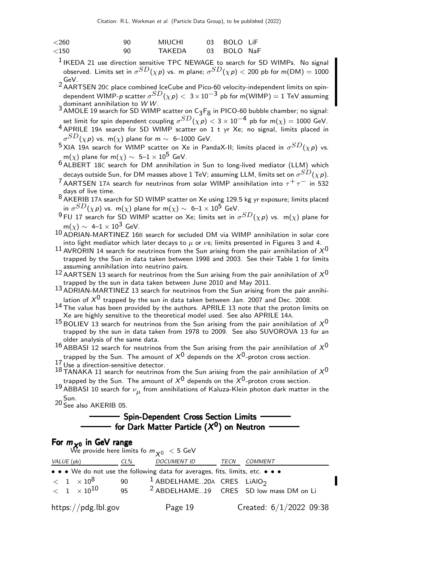| < 260    | 90 | <b>MIUCHI</b> | 03 BOLO LiF |  |
|----------|----|---------------|-------------|--|
| ${<}150$ | 90 | <b>TAKFDA</b> | 03 BOLO NaF |  |

- $<sup>1</sup>$  IKEDA 21 use direction sensitive TPC NEWAGE to search for SD WIMPs. No signal</sup> observed. Limits set in  $\sigma^{SD}(\chi \, {\sf p})$  vs. m plane;  $\sigma^{SD}(\chi \, {\sf p}) <$  200 pb for m(DM)  $=1000$
- GeV. 2 AARTSEN 20<sup>C</sup> place combined IceCube and Pico-60 velocity-independent limits on spindependent WIMP- $p$  scatter  $\sigma^{SD}(\chi p)<~3\times 10^{-3}$  pb for m(WIMP)  $=1$  TeV assuming
- 3 dominant annihilation to *W W*.<br><sup>3</sup> AMOLE 19 search for SD WIMP scatter on C<sub>3</sub>F<sub>8</sub> in PICO-60 bubble chamber; no signal: set limit for spin dependent coupling  $\sigma^{SD}(\chi \, p) < 3 \times 10^{-4}$  pb for m $(\chi) = 1000$  GeV.
- 4 APRILE 19<sup>A</sup> search for SD WIMP scatter on 1 t yr Xe; no signal, limits placed in  $\sigma^{SD}(\chi \, \rho)$  vs. m $(\chi)$  plane for m  $\sim$  6–1000 GeV.
- $^5$ XIA 19A search for WIMP scatter on Xe in PandaX-II; limits placed in  $\sigma^{SD}(\chi p)$  vs. m(x) plane for m(x)  $\sim 5-1 \times 10^5$  GeV.
- $6$  ALBERT 18C search for DM annihilation in Sun to long-lived mediator (LLM) which decays outside Sun, for DM masses above 1 TeV; assuming LLM, limits set on  $\sigma^{SD}(\chi\, p)$ .
- <sup>7</sup> AARTSEN 17A search for neutrinos from solar WIMP annihilation into  $\tau^+ \tau^-$  in 532 days of live time.
- $8$  AKERIB 17A search for SD WIMP scatter on Xe using 129.5 kg yr exposure; limits placed in  $\sigma^{SD}(\chi \, {\sf p})$  vs. m $(\chi)$  plane for m $(\chi) \sim~$  6– $1 \times 10^5$  GeV.
- $^9$ FU 17 search for SD WIMP scatter on Xe; limits set in  $\sigma^{SD}(\chi p)$  vs. m(x) plane for  $m(\chi) \sim 4-1 \times 10^3$  GeV.
- 10 ADRIAN-MARTINEZ 16<sup>B</sup> search for secluded DM via WIMP annihilation in solar core into light mediator which later decays to  $\mu$  or  $\nu$ s; limits presented in Figures 3 and 4.
- <sup>11</sup> AVRORIN 14 search for neutrinos from the Sun arising from the pair annihilation of  $X^0$ trapped by the Sun in data taken between 1998 and 2003. See their Table 1 for limits assuming annihilation into neutrino pairs.
- $12$  AARTSEN 13 search for neutrinos from the Sun arising from the pair annihilation of  $X^0$ trapped by the sun in data taken between June 2010 and May 2011.
- 13 ADRIAN-MARTINEZ 13 search for neutrinos from the Sun arising from the pair annihilation of  $X^0$  trapped by the sun in data taken between Jan. 2007 and Dec. 2008.
- 14 The value has been provided by the authors. APRILE 13 note that the proton limits on Xe are highly sensitive to the theoretical model used. See also APRILE 14A.
- $15$  BOLIEV 13 search for neutrinos from the Sun arising from the pair annihilation of  $X^0$ trapped by the sun in data taken from 1978 to 2009. See also SUVOROVA 13 for an older analysis of the same data.
- 16 ABBASI 12 search for neutrinos from the Sun arising from the pair annihilation of  $X^0$ trapped by the Sun. The amount of  $X^0$  depends on the  $X^0$ -proton cross section.<br><sup>17</sup> Use a direction-sensitive detector.
- 
- $18$  TANAKA 11 search for neutrinos from the Sun arising from the pair annihilation of  $X^0$ trapped by the Sun. The amount of  $X^0$  depends on the  $X^0$ -proton cross section.
- $^{19}$ ABBASI  $^{10}$  search for  $\nu_{\mu}$  from annihilations of Kaluza-Klein photon dark matter in the Sun. <sup>20</sup> See also AKERIB 05.
- 

### - Spin-Dependent Cross Section Limits for Dark Matter Particle  $(X^{\mathbf{0}})$  on Neutron

#### For  $m_{\times0}$  in GeV range

| We provide here limits fo $m_{\chi_0}$ $<$ 5 GeV |     |                                                                               |      |                                                    |  |
|--------------------------------------------------|-----|-------------------------------------------------------------------------------|------|----------------------------------------------------|--|
| VALUE (pb)                                       | CL% | <b>DOCUMENT ID</b>                                                            | TECN | <i>COMMENT</i>                                     |  |
|                                                  |     | • • • We do not use the following data for averages, fits, limits, etc. • • • |      |                                                    |  |
| $<$ 1 $\times10^8$                               | 90  | <sup>1</sup> ABDELHAME20A CRES LIAIO <sub>2</sub>                             |      |                                                    |  |
| $< 1 \times 10^{10}$                             | 95  |                                                                               |      | <sup>2</sup> ABDELHAME19 CRES SD low mass DM on Li |  |
| https://pdg.lbl.gov                              |     | Page 19                                                                       |      | Created: $6/1/2022$ 09:38                          |  |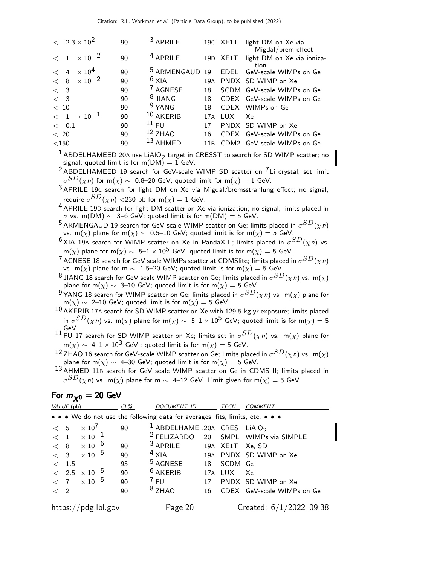|             | $< 2.3 \times 10^2$  | 90 | <sup>3</sup> APRILE       |     |            | 19C XE1T light DM on Xe via<br>Migdal/brem effect |
|-------------|----------------------|----|---------------------------|-----|------------|---------------------------------------------------|
|             | $< 1 \times 10^{-2}$ | 90 | <sup>4</sup> APRILE       |     | 19D XE1T   | light DM on Xe via ioniza-<br>tion                |
|             | $< 4 \times 10^4$    | 90 | <sup>5</sup> ARMENGAUD 19 |     | EDEL       | GeV-scale WIMPs on Ge                             |
|             | $< 8 \times 10^{-2}$ | 90 | $6$ XIA                   | 19A |            | PNDX SD WIMP on Xe                                |
| $\langle$ 3 |                      | 90 | <sup>7</sup> AGNESE       | 18  |            | SCDM GeV-scale WIMPs on Ge                        |
| $\langle$ 3 |                      | 90 | $8$ JIANG                 | 18  |            | CDEX GeV-scale WIMPs on Ge                        |
| < 10        |                      | 90 | $9$ YANG                  | 18  |            | CDEX WIMPs on Ge                                  |
| < 1         | $\times$ 10 $^{-1}$  | 90 | $10$ AKERIB               | 17A | <b>LUX</b> | Xe                                                |
| < 0.1       |                      | 90 | 11 FU                     | 17  |            | PNDX SD WIMP on Xe                                |
| < 20        |                      | 90 | $12$ ZHAO                 | 16  |            | CDEX GeV-scale WIMPs on Ge                        |
| $<$ 150     |                      | 90 | 13 AHMED                  |     |            | 11B CDM2 GeV-scale WIMPs on Ge                    |

 $1$  ABDELHAMEED 20A use LiAIO<sub>2</sub> target in CRESST to search for SD WIMP scatter; no signal; quoted limit is for m( $DM\tilde{)} = 1$  GeV.

 $2$  ABDELHAMEED 19 search for GeV-scale WIMP SD scatter on  $7$ Li crystal; set limit  $\sigma^{SD}(\chi\, n)$  for m $(\chi) \sim~$  0.8–20 GeV; quoted limit for m $(\chi) = 1$  GeV.

3 APRILE 19<sup>C</sup> search for light DM on Xe via Migdal/bremsstrahlung effect; no signal, require  $\sigma^{SD}(\chi\,\eta)<$ 230 pb for m $(\chi)=1$  GeV.

4 APRILE 19<sup>D</sup> search for light DM scatter on Xe via ionization; no signal, limits placed in  $σ$  vs. m(DM)  $\sim$  3–6 GeV; quoted limit is for m(DM) = 5 GeV.

 $^5$ ARMENGAUD 19 search for GeV scale WIMP scatter on Ge; limits placed in  $\sigma^{SD}(\chi n)$ vs. m(x) plane for m(x) ~ 0.5–10 GeV; quoted limit is for m(x) = 5 GeV.

 $^6$ XIA 19A search for WIMP scatter on Xe in PandaX-II; limits placed in  $\sigma^{SD}(\chi n)$  vs. m( $\chi$ ) plane for m( $\chi) \sim~$  5–1  $\times~10^5$  GeV; quoted limit is for m( $\chi) =$  5 GeV.

 $^7$  AGNESE 18 search for GeV scale WIMPs scatter at CDMSlite; limits placed in  $\sigma^{SD}(\chi n)$ vs. m(x) plane for m  $\sim 1.5-20$  GeV; quoted limit is for m(x) = 5 GeV.

 $^8$  JIANG 18 search for GeV scale WIMP scatter on Ge; limits placed in  $\sigma^{SD}(\chi \textit{n})$  vs.  $\textsf{m}(\chi)$ plane for m( $\chi$ ) ~ 3–10 GeV; quoted limit is for m( $\chi$ ) = 5 GeV.

 $^9$ YANG 18 search for WIMP scatter on Ge; limits placed in  $\sigma^{SD}(\chi \textit{n})$  vs. m $(\chi)$  plane for  $m(\chi) \sim 2$ –10 GeV; quoted limit is for  $m(\chi) = 5$  GeV.

10 AKERIB 17<sup>A</sup> search for SD WIMP scatter on Xe with 129.5 kg yr exposure; limits placed in  $\sigma^{SD}(\chi\,\!n)$  vs. m $(\chi)$  plane for m $(\chi)\sim\;$  5– $1\times 10^5$  GeV; quoted limit is for m $(\chi)=5$ 

 $^{11}$  GeV.<br> $^{11}$  FU 17 search for SD WIMP scatter on Xe; limits set in  $\sigma^{SD}(\chi \textit{n})$  vs. m $(\chi)$  plane for m $(\chi) \sim\;$  4–1  $\times\;$  10 $^{\textstyle 3}$  GeV.; quoted limit is for m $(\chi) =$  5 GeV.

 $^{12}$  ZHAO 16 search for GeV-scale WIMP scatter on Ge; limits placed in  $\sigma^{SD}(\chi \textit{n})$  vs.  $\textsf{m}(\chi)$ plane for m( $\chi$ ) ~ 4–30 GeV; quoted limit is for m( $\chi$ ) = 5 GeV.

13 AHMED 11B search for GeV scale WIMP scatter on Ge in CDMS II; limits placed in  $\sigma^{SD}(\chi\, n)$  vs. m $(\chi)$  plane for m  $\sim\,$  4–12 GeV. Limit given for m $(\chi)=$  5 GeV.

For  $m_{\chi0} = 20$  GeV

|         | VALUE (pb)                                                                    |                          | $CL\%$ | <b>DOCUMENT ID</b>                       |    | <b>TECN</b> | <b>COMMENT</b>                                  |  |  |  |
|---------|-------------------------------------------------------------------------------|--------------------------|--------|------------------------------------------|----|-------------|-------------------------------------------------|--|--|--|
|         | • • • We do not use the following data for averages, fits, limits, etc. • • • |                          |        |                                          |    |             |                                                 |  |  |  |
| < 5     |                                                                               | $\times$ 10 <sup>7</sup> | 90     | $1$ ABDELHAME20A CRES LIAIO <sub>2</sub> |    |             |                                                 |  |  |  |
|         |                                                                               | $< 1 \times 10^{-1}$     |        |                                          |    |             | <sup>2</sup> FELIZARDO 20 SMPL WIMPs via SIMPLE |  |  |  |
|         |                                                                               | $< 8 \times 10^{-6}$     | 90     | $3$ APRILE                               |    |             | 19A XE1T Xe, SD                                 |  |  |  |
|         |                                                                               | $< 3 \times 10^{-5}$     | 90     | $4$ XIA                                  |    |             | 19A PNDX SD WIMP on Xe                          |  |  |  |
|         | < 1.5                                                                         |                          | 95     | <sup>5</sup> AGNESE                      |    | 18 SCDM Ge  |                                                 |  |  |  |
|         |                                                                               | $< 2.5 \times 10^{-5}$   | 90     | $6$ AKERIB                               |    | 17A LUX Xe  |                                                 |  |  |  |
|         |                                                                               | $< 7 \times 10^{-5}$     | 90     | $7$ FU                                   | 17 |             | PNDX SD WIMP on Xe                              |  |  |  |
| $\lt$ 2 |                                                                               |                          | 90     | $8$ ZHAO                                 | 16 |             | CDEX GeV-scale WIMPs on Ge                      |  |  |  |
|         |                                                                               | https://pdg.lbl.gov      |        | Page 20                                  |    |             | Created: $6/1/2022$ 09:38                       |  |  |  |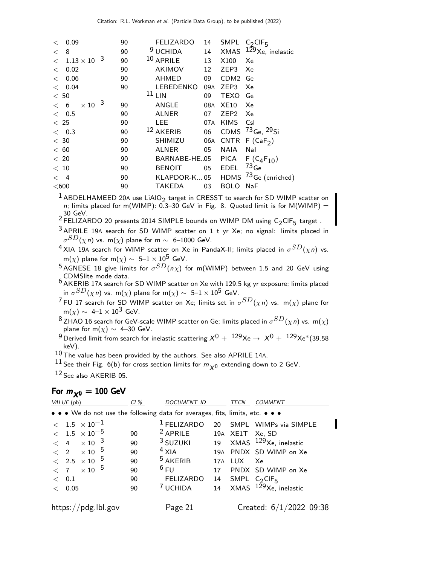| $\lt$   | 0.09                  |                           | 90 | <b>FELIZARDO</b> | 14  |                  | SMPL $C_2$ CIF <sub>5</sub>                  |
|---------|-----------------------|---------------------------|----|------------------|-----|------------------|----------------------------------------------|
| $\lt$   | 8                     |                           | 90 | $9$ UCHIDA       | 14  | XMAS             | $129$ Xe, inelastic                          |
| $\lt$   | $1.13 \times 10^{-3}$ |                           | 90 | $10$ APRILE      | 13  | X100             | Xe                                           |
| $\lt$   | 0.02                  |                           | 90 | <b>AKIMOV</b>    | 12  | ZEP3             | Xe                                           |
| $\lt$   | 0.06                  |                           | 90 | <b>AHMED</b>     | 09  | CDM <sub>2</sub> | Ge                                           |
| $\lt$   | 0.04                  |                           | 90 | LEBEDENKO        | 09A | ZEP3             | Xe                                           |
| < 50    |                       |                           |    | $11$ LIN         | 09  | TEXO             | Ge                                           |
| < 6     |                       | $\times$ 10 <sup>-3</sup> | 90 | ANGLE            | 08A | XE10             | Xe                                           |
| < 0.5   |                       |                           | 90 | <b>ALNER</b>     | 07  | ZEP <sub>2</sub> | Xe                                           |
| < 25    |                       |                           | 90 | <b>LEE</b>       | 07A | <b>KIMS</b>      | Csl                                          |
| < 0.3   |                       |                           | 90 | 12 AKERIB        | 06  | <b>CDMS</b>      | $^{73}$ Ge, $^{29}$ Si                       |
| $<$ 30  |                       |                           | 90 | SHIMIZU          | 06A |                  | CNTR $F(CaF2)$                               |
| < 60    |                       |                           | 90 | <b>ALNER</b>     | 05  | NAIA             | Nal                                          |
| < 20    |                       |                           | 90 | BARNABE-HE.05    |     | PICA             | $F(C_4F_{10})$                               |
| < 10    |                       |                           | 90 | <b>BENOIT</b>    | 05  | <b>EDEL</b>      | $^{73}$ Ge                                   |
| $\lt$ 4 |                       |                           | 90 |                  |     |                  | KLAPDOR-K05 HDMS <sup>73</sup> Ge (enriched) |
| $<$ 600 |                       |                           | 90 | TAKEDA           | 03  | <b>BOLO</b>      | NaF                                          |

<sup>1</sup> ABDELHAMEED 20A use LiAlO<sub>2</sub> target in CRESST to search for SD WIMP scatter on n; limits placed for m(WIMP):  $0.3-30$  GeV in Fig. 8. Quoted limit is for M(WIMP) =

30 GeV.<br><sup>2</sup> FELIZARDO 20 presents 2014 SIMPLE bounds on WIMP DM using C<sub>2</sub>CIF<sub>5</sub> target .<br>-

- 3 APRILE 19<sup>A</sup> search for SD WIMP scatter on 1 t yr Xe; no signal: limits placed in  $\sigma^{SD}(\chi\, n)$  vs. m $(\chi)$  plane for m  $\sim$  6–1000 GeV.
- $^4$ XIA 19A search for WIMP scatter on Xe in PandaX-II; limits placed in  $\sigma^{SD}(\chi n)$  vs. m(x) plane for m(x)  $\sim 5-1 \times 10^5$  GeV.
- $^5$ AGNESE 18 give limits for  $\sigma^{SD}(n\chi)$  for m(WIMP) between 1.5 and 20 GeV using CDMSlite mode data.
- 6 AKERIB 17<sup>A</sup> search for SD WIMP scatter on Xe with 129.5 kg yr exposure; limits placed in  $\sigma^{SD}(\chi\, n)$  vs. m $(\chi)$  plane for m $(\chi) \sim~$  5–1  $\times~$   $10^5~$  GeV.
- $^7$ FU 17 search for SD WIMP scatter on Xe; limits set in  $\sigma^{SD}(\chi \textit{n})$  vs.  $\textsf{m}(\chi)$  plane for  $m(\chi) \sim 4-1 \times 10^3$  GeV.
- $^8$ ZHAO 16 search for GeV-scale WIMP scatter on Ge; limits placed in  $\sigma^{SD}(\chi \textit{n})$  vs.  $\textsf{m}(\chi)$ plane for  $m(\chi) \sim 4-30$  GeV.

 $^9$ Derived limit from search for inelastic scattering  $\rm \chi^{0} +~^{129}Xe \rightarrow \rm \chi^{0} +~^{129}Xe^{*}$ (39.58 keV).

 $10$  The value has been provided by the authors. See also APRILE 14A.

 $^{11}$  See their Fig. 6(b) for cross section limits for  $m_{\chi^0}$  extending down to 2 GeV.

12 See also AKERIB 05.

#### For  $m_{\chi0} = 100$  GeV

| VALUE (pb)                                                                    | $CL\%$ | DOCUMENT ID            | <b>TECN</b> | <b>COMMENT</b>                         |
|-------------------------------------------------------------------------------|--------|------------------------|-------------|----------------------------------------|
| • • • We do not use the following data for averages, fits, limits, etc. • • • |        |                        |             |                                        |
| $<$ 1.5 $\times\,10^{-1}$                                                     |        | <sup>1</sup> FELIZARDO |             | 20 SMPL WIMPs via SIMPLE               |
| $< 1.5 \times 10^{-5}$                                                        | 90     | $2$ APRILE             |             | 19A XE1T Xe, SD                        |
| $< 4 \times 10^{-3}$                                                          | 90     |                        |             | $3$ SUZUKI 19 XMAS $129$ Xe, inelastic |
| $\langle$ 2 $\times 10^{-5}$                                                  | 90     | $4$ XIA                |             | 19A PNDX SD WIMP on Xe                 |
| $< 2.5 \times 10^{-5}$                                                        | 90     | $5$ AKERIB             | 17A LUX     | – Xe                                   |
| $< 7 \times 10^{-5}$                                                          | 90     | $6$ FU                 |             | 17 PNDX SD WIMP on Xe                  |
| $<$ 0.1                                                                       | 90     | <b>FELIZARDO</b>       |             | 14 SMPL $C_2$ CIF <sub>5</sub>         |
| < 0.05                                                                        | 90     | <sup>7</sup> UCHIDA    |             | 14 XMAS $129$ Xe, inelastic            |
| https://pdg.lbl.gov                                                           |        | Page 21                |             | Created: $6/1/2022$ 09:38              |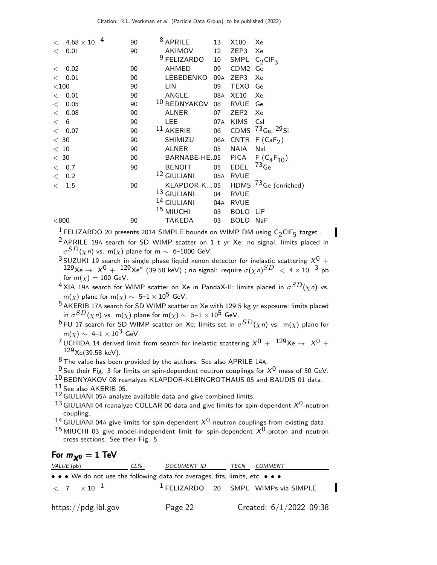|         | $< 4.68 \times 10^{-4}$ | 90 | <sup>8</sup> APRILE    | 13                                 | X100             | Xe                                            |
|---------|-------------------------|----|------------------------|------------------------------------|------------------|-----------------------------------------------|
|         | $<$ 0.01                | 90 |                        | AKIMOV<br>12 <sup>12</sup>         | ZEP3             | Xe                                            |
|         |                         |    | $9$ FELIZARDO          | 10 <sup>°</sup>                    |                  | SMPL $C_2$ CIF <sub>3</sub>                   |
| $\lt$   | 0.02                    | 90 | AHMED                  | 09                                 | CDM <sub>2</sub> | Ge                                            |
|         | $<$ 0.01                | 90 |                        | LEBEDENKO<br>09A                   | ZEP3             | Xe                                            |
| $<$ 100 |                         | 90 | <b>LIN</b>             | 09                                 | <b>TEXO</b>      | Ge                                            |
|         | $<$ 0.01                | 90 | ANGLE                  | 08A                                | XE10             | Xe                                            |
| $\lt$   | 0.05                    | 90 | 10 BEDNYAKOV           | 08                                 | <b>RVUE</b>      | Ge                                            |
| $\lt$   | 0.08                    | 90 | <b>ALNER</b>           | 07                                 | ZEP <sub>2</sub> | Xe                                            |
| < 6     |                         | 90 | LEE.                   | 07A                                | <b>KIMS</b>      | Csl                                           |
|         | < 0.07                  | 90 | $11$ AKERIB            | 06                                 |                  | CDMS $^{73}$ Ge, $^{29}$ Si                   |
| < 30    |                         | 90 |                        | SHIMIZU<br>06A                     |                  | CNTR $F(CaF2)$                                |
| < 10    |                         | 90 | <b>ALNER</b>           | 05                                 | NAIA             | Nal                                           |
| < 30    |                         | 90 |                        | BARNABE-HE.05 PICA F $(C_4F_{10})$ |                  |                                               |
|         | $<$ 0.7                 | 90 | <b>BENOIT</b>          |                                    | 05 EDEL          | $^{73}$ Ge                                    |
|         | $<$ 0.2                 |    | <sup>12</sup> GIULIANI | 05A                                | <b>RVUE</b>      |                                               |
|         | < 1.5                   | 90 |                        |                                    |                  | KLAPDOR-K 05 HDMS <sup>73</sup> Ge (enriched) |
|         |                         |    | <sup>13</sup> GIULIANI | 04                                 | <b>RVUE</b>      |                                               |
|         |                         |    | <sup>14</sup> GIULIANI | 04A                                | <b>RVUE</b>      |                                               |
|         |                         |    | <sup>15</sup> MIUCHI   | 03                                 | <b>BOLO</b>      | - LiF                                         |
| $<$ 800 |                         | 90 | <b>TAKEDA</b>          | 03                                 | <b>BOLO</b>      | NaF                                           |
|         |                         |    |                        |                                    |                  |                                               |

<sup>1</sup> FELIZARDO 20 presents 2014 SIMPLE bounds on WIMP DM using  $C_2$ CIF<sub>5</sub> target.  $2$  APRILE 19A search for SD WIMP scatter on 1 t yr Xe; no signal, limits placed in

 $\sigma^{SD}(\chi\, n)$  vs. m $(\chi)$  plane for m  $\sim$  6–1000 GeV.

 $3$  SUZUKI 19 search in single phase liquid xenon detector for inelastic scattering  $X^0$  +  $^{129}\text{Xe} \rightarrow$   $\,X^{0} \, + \,$   $^{129}\text{Xe}^{\ast}$  (39.58 keV) ; no signal: require  $\sigma(\chi\, n)^{SD} \, < \, 4 \times 10^{-3}$  pb for  $m(\chi) = 100$  GeV.

 $^4$ XIA 19A search for WIMP scatter on Xe in PandaX-II; limits placed in  $\sigma^{SD}(\chi n)$  vs. m(x) plane for m(x)  $\sim 5-1 \times 10^5$  GeV.

<sup>5</sup> AKERIB 17A search for SD WIMP scatter on Xe with 129.5 kg yr exposure; limits placed in  $\sigma^{SD}(\chi\, n)$  vs. m $(\chi)$  plane for m $(\chi) \sim~$  5–1  $\times~$   $10^5~$  GeV.

 $^6$ FU 17 search for SD WIMP scatter on Xe; limits set in  $\sigma^{SD}(\chi \textit{n})$  vs.  $\textsf{m}(\chi)$  plane for  $m(\chi) \sim 4-1 \times 10^3$  GeV.

<sup>7</sup> UCHIDA 14 derived limit from search for inelastic scattering  $X^0 + {}^{129}Xe \rightarrow X^0 +$  $129$ Xe(39.58 keV).

 $8$  The value has been provided by the authors. See also APRILE 14A.

 $9$  See their Fig. 3 for limits on spin-dependent neutron couplings for  $X^0$  mass of 50 GeV.

10 BEDNYAKOV 08 reanalyze KLAPDOR-KLEINGROTHAUS 05 and BAUDIS 01 data.

11 See also AKERIB 05.

12 GIULIANI 05<sup>A</sup> analyze available data and give combined limits.

13 GIULIANI 04 reanalyze COLLAR 00 data and give limits for spin-dependent  $X^0$ -neutron coupling.

<sup>14</sup> GIULIANI 04A give limits for spin-dependent  $X^0$ -neutron couplings from existing data.

<sup>15</sup> MIUCHI 03 give model-independent limit for spin-dependent  $X^0$ -proton and neutron cross sections. See their Fig. 5.

### For  $m_{\chi0} = 1$  TeV

| VALUE (pb)                                                                    | $CL\%$ | <i>DOCUMENT ID</i> | TECN | COMMENT                                |
|-------------------------------------------------------------------------------|--------|--------------------|------|----------------------------------------|
| • • • We do not use the following data for averages, fits, limits, etc. • • • |        |                    |      |                                        |
| $\epsilon$ 7 $\times 10^{-1}$                                                 |        |                    |      | $1$ FELIZARDO 20 SMPL WIMPs via SIMPLE |
| https://pdg.lbl.gov                                                           |        | Page 22            |      | Created: $6/1/2022$ 09:38              |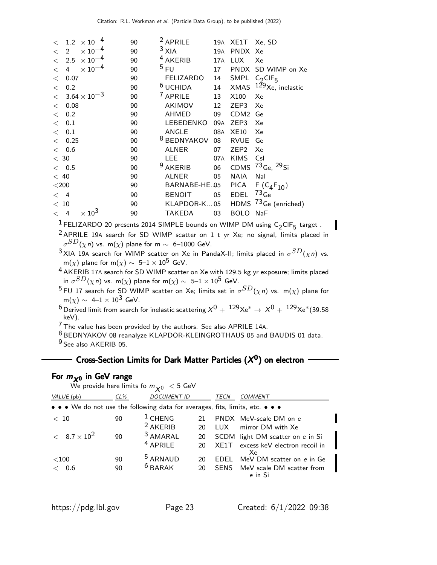|              | $< 1.2 \times 10^{-4}$                      | 90 | $2$ APRILE             |     | 19A XE1T Xe, SD  |                                              |
|--------------|---------------------------------------------|----|------------------------|-----|------------------|----------------------------------------------|
|              | $\times$ 10 $^{-4}$<br>$\langle$ 2          | 90 | $3$ XIA                | 19A | PNDX Xe          |                                              |
|              | $< 2.5 \times 10^{-4}$                      | 90 | <sup>4</sup> AKERIB    | 17A | <b>LUX</b>       | Xe                                           |
| $\lt$        | $\times$ 10 <sup>-4</sup><br>$\overline{4}$ | 90 | 5 FU                   | 17  |                  | PNDX SD WIMP on Xe                           |
| $\lt$        | 0.07                                        | 90 | FELIZARDO              | 14  |                  | SMPL $C_2$ CIF <sub>5</sub>                  |
| $\lt$        | 0.2                                         | 90 | $6$ UCHIDA             |     | 14 XMAS          | $129$ Xe, inelastic                          |
| $\lt$        | $3.64 \times 10^{-3}$                       | 90 | <sup>7</sup> APRILE    | 13  | X100             | Xe                                           |
| $\lt$        | 0.08                                        | 90 | AKIMOV                 | 12  | ZEP3             | Xe                                           |
| $\lt$        | 0.2                                         | 90 | AHMED                  | 09  | CDM <sub>2</sub> | Ge                                           |
| $\lt$        | 0.1                                         | 90 | LEBEDENKO              | 09A | ZEP3             | Xe                                           |
| $\lt$        | 0.1                                         | 90 | ANGLE                  | 08A | <b>XE10</b>      | Xe                                           |
| $\lt$        | 0.25                                        | 90 | <sup>8</sup> BEDNYAKOV | 08  | <b>RVUE</b>      | Ge                                           |
|              | $<$ 0.6                                     | 90 | <b>ALNER</b>           | 07  | ZEP <sub>2</sub> | Xe                                           |
| $<$ 30       |                                             | 90 | <b>LEE</b>             | 07A | <b>KIMS</b>      | Csl                                          |
|              | < 0.5                                       | 90 | <sup>9</sup> AKERIB    |     | 06 CDMS          | $^{73}$ Ge, $^{29}$ Si                       |
| < 40         |                                             | 90 | <b>ALNER</b>           | 05  | NAIA             | Nal                                          |
| $<$ 200 $\,$ |                                             | 90 | BARNABE-HE.05          |     | PICA             | $F(C_4F_{10})$                               |
| $\lt$ 4      |                                             | 90 | <b>BENOIT</b>          | 05  | <b>EDEL</b>      | $^{73}$ Ge                                   |
| < 10         |                                             | 90 |                        |     |                  | KLAPDOR-K05 HDMS <sup>73</sup> Ge (enriched) |
| $\lt$        | $\times$ 10 <sup>3</sup><br>$\overline{4}$  | 90 | <b>TAKEDA</b>          | 03  | <b>BOLO</b>      | <b>NaF</b>                                   |

 $\frac{1}{2}$ FELIZARDO 20 presents 2014 SIMPLE bounds on WIMP DM using C<sub>2</sub>CIF<sub>5</sub> target .

2<br>
<sup>2</sup> APRILE 19A search for SD WIMP scatter on 1 t yr Xe; no signal, limits placed in  $\sigma^{SD}(\chi\, n)$  vs. m $(\chi)$  plane for m  $\sim$  6–1000 GeV.

 $^3$ XIA 19A search for WIMP scatter on Xe in PandaX-II; limits placed in  $\sigma^{SD}(\chi n)$  vs. m(x) plane for m(x)  $\sim 5-1 \times 10^5$  GeV.

4 AKERIB 17A search for SD WIMP scatter on Xe with 129.5 kg yr exposure; limits placed in  $\sigma^{SD}(\chi\, n)$  vs. m $(\chi)$  plane for m $(\chi) \sim~$  5–1  $\times~$   $10^5~$  GeV.

 $^5$ FU 17 search for SD WIMP scatter on Xe; limits set in  $\sigma^{SD}(\chi \textit{n})$  vs.  $\textsf{m}(\chi)$  plane for  $m(\chi) \sim 4-1 \times 10^3$  GeV.

 $^6$  Derived limit from search for inelastic scattering  $X^0 + {^{129}}Xe^* \rightarrow X^0 + {^{129}}Xe^*(39.58)$ keV).

7 The value has been provided by the authors. See also APRILE 14A.

8 BEDNYAKOV 08 reanalyze KLAPDOR-KLEINGROTHAUS 05 and BAUDIS 01 data. <sup>9</sup> See also AKERIB 05.

## Cross-Section Limits for Dark Matter Particles  $(X^0)$  on electron

## For  $m_{\chi^0}$  in GeV range

|                                                                               | We provide here limits fo $m_{\chi_0} < 5$ GeV |                     |    |             |                                  |  |  |  |  |  |  |
|-------------------------------------------------------------------------------|------------------------------------------------|---------------------|----|-------------|----------------------------------|--|--|--|--|--|--|
| VALUE (pb)                                                                    | $CL\%$                                         | <b>DOCUMENT ID</b>  |    | TECN        | <b>COMMENT</b>                   |  |  |  |  |  |  |
| • • • We do not use the following data for averages, fits, limits, etc. • • • |                                                |                     |    |             |                                  |  |  |  |  |  |  |
| < 10                                                                          | 90                                             | $1$ CHENG           | 21 |             | PNDX MeV-scale DM on e           |  |  |  |  |  |  |
|                                                                               |                                                | $2$ AKERIB          | 20 | LUX         | mirror DM with Xe                |  |  |  |  |  |  |
| $< 8.7 \times 10^2$                                                           | 90                                             | <sup>3</sup> AMARAL | 20 |             | SCDM light DM scatter on e in Si |  |  |  |  |  |  |
|                                                                               |                                                | $4$ APRILE          | 20 | XF1T        | excess keV electron recoil in    |  |  |  |  |  |  |
| $<$ 100                                                                       | 90                                             | <sup>5</sup> ARNAUD | 20 | <b>FDFL</b> | Xe.<br>MeV DM scatter on e in Ge |  |  |  |  |  |  |
| < 0.6                                                                         | 90                                             | $6$ BARAK           | 20 |             | SENS MeV scale DM scatter from   |  |  |  |  |  |  |
|                                                                               |                                                |                     |    |             | e in Si                          |  |  |  |  |  |  |

П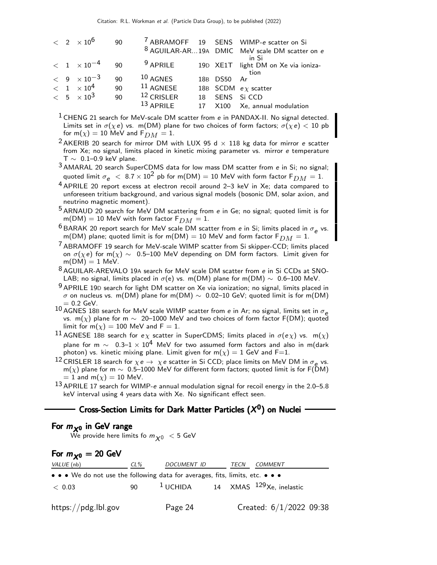|  | $< 2 \times 10^6$                 | 90 |              |    |             | <sup>7</sup> ABRAMOFF 19 SENS WIMP-e scatter on Si        |
|--|-----------------------------------|----|--------------|----|-------------|-----------------------------------------------------------|
|  |                                   |    |              |    |             | <sup>8</sup> AGUILAR-AR19A DMIC MeV scale DM scatter on e |
|  | $< 1 \times 10^{-4}$ 90           |    | $9$ APRILE   |    |             | in Si<br>19D XE1T light DM on Xe via ioniza-              |
|  | $< 9 \times 10^{-3}$              | 90 | 10 A GNES    |    | 18B DS50 Ar | tion                                                      |
|  | $<$ 1 $\times$ 10 <sup>4</sup> 90 |    | $11$ AGNESE  |    |             | 18B SCDM $e\chi$ scatter                                  |
|  | $< 5 \times 10^3$                 | 90 | 12 CRISLER   | 18 |             | SENS Si CCD                                               |
|  |                                   |    | $13$ APRIL F | 17 | X100        | Xe, annual modulation                                     |

 $1$  CHENG 21 search for MeV-scale DM scatter from e in PANDAX-II. No signal detected. Limits set in  $\sigma(\chi e)$  vs. m(DM) plane for two choices of form factors;  $\sigma(\chi e) < 10$  pb for  $m(\chi) = 10$  MeV and  $F_{DM} = 1$ .

- <sup>2</sup> AKERIB 20 search for mirror DM with LUX 95 d  $\times$  118 kg data for mirror e scatter from Xe; no signal, limits placed in kinetic mixing parameter vs. mirror e temperature  $T \sim 0.1 - 0.9$  keV plane.
- 3 AMARAL 20 search SuperCDMS data for low mass DM scatter from e in Si; no signal; quoted limit  $\sigma_{\rho}$  < 8.7 × 10<sup>2</sup> pb for m(DM) = 10 MeV with form factor F  $_{DM}$  = 1.
- $4$  APRILE 20 report excess at electron recoil around 2–3 keV in Xe; data compared to unforeseen tritium background, and various signal models (bosonic DM, solar axion, and neutrino magnetic moment).
- 5 ARNAUD 20 search for MeV DM scattering from e in Ge; no signal; quoted limit is for  $m(DM) = 10$  MeV with form factor  $F_{DM} = 1$ .
- <sup>6</sup> BARAK 20 report search for MeV scale DM scatter from e in Si; limits placed in  $\sigma_e$  vs. m(DM) plane; quoted limit is for m(DM) = 10 MeV and form factor  $F_{DM} = 1$ .
- <sup>7</sup> ABRAMOFF 19 search for MeV-scale WIMP scatter from Si skipper-CCD; limits placed on  $\sigma(\chi e)$  for m( $\chi$ ) ~ 0.5–100 MeV depending on DM form factors. Limit given for  $m(DM) = 1$  MeV.
- 8 AGUILAR-AREVALO 19<sup>A</sup> search for MeV scale DM scatter from e in Si CCDs at SNO-LAB; no signal, limits placed in  $\sigma(e)$  vs. m(DM) plane for m(DM) ~ 0.6–100 MeV.
- $9$  APRILE 19D search for light DM scatter on Xe via ionization; no signal, limits placed in  $\sigma$  on nucleus vs. m(DM) plane for m(DM) ~ 0.02–10 GeV; quoted limit is for m(DM)  $= 0.2$  GeV.
- $^{10}$  AGNES 18B search for MeV scale WIMP scatter from e in Ar; no signal, limits set in  $\sigma_{\rm e}$ vs. m(x) plane for m  $\sim$  20–1000 MeV and two choices of form factor F(DM); quoted limit for  $m(\chi) = 100$  MeV and F = 1.
- <sup>11</sup> AGNESE 18B search for  $e\chi$  scatter in SuperCDMS; limits placed in  $\sigma(e\chi)$  vs. m(x) plane for m  $\sim$  0.3–1  $\times$  10<sup>4</sup> MeV for two assumed form factors and also in m(dark photon) vs. kinetic mixing plane. Limit given for  $m(\chi) = 1$  GeV and F=1.
- <sup>12</sup> CRISLER 18 search for  $\chi e \to \chi e$  scatter in Si CCD; place limits on MeV DM in  $\sigma_e$  vs. m(x) plane for m  $\sim$  0.5–1000 MeV for different form factors; quoted limit is for F(DM)  $= 1$  and m( $\chi$ )  $= 10$  MeV.
- $13$  APRILE 17 search for WIMP-e annual modulation signal for recoil energy in the 2.0–5.8 keV interval using 4 years data with Xe. No significant effect seen.

## Cross-Section Limits for Dark Matter Particles  $(X^0)$  on Nuclei

#### For  $m_{\chi0}$  in GeV range

 $\sim$   $\sim$   $\sqrt{2}$ 

We provide here limits fo  $m_{\chi_0} < 5$  GeV

| For $m_{x0} = 20$ GeV                                                                                                 |        |                    |      |                                        |  |
|-----------------------------------------------------------------------------------------------------------------------|--------|--------------------|------|----------------------------------------|--|
| VALUE (nb)                                                                                                            | $CL\%$ | <b>DOCUMENT ID</b> | TECN | <b>COMMENT</b>                         |  |
| $\bullet \bullet \bullet$ We do not use the following data for averages, fits, limits, etc. $\bullet \bullet \bullet$ |        |                    |      |                                        |  |
| < 0.03                                                                                                                | 90.    |                    |      | $1$ UCHIDA 14 XMAS $129$ Xe, inelastic |  |
| https://pdg.lbl.gov                                                                                                   |        | Page 24            |      | Created: $6/1/2022$ 09:38              |  |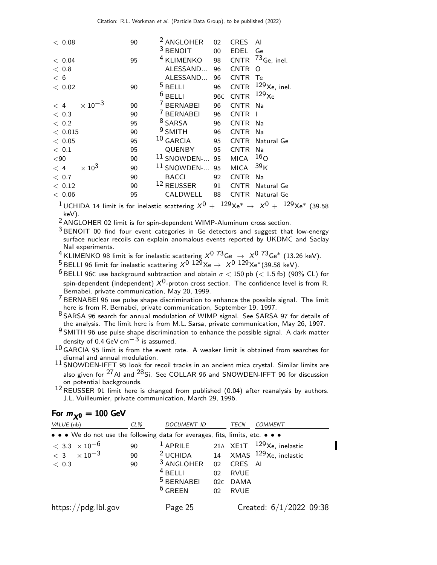| < 0.08                                   | 90 | <sup>2</sup> ANGLOHER  | 02              | <b>CRES</b> | Al              |
|------------------------------------------|----|------------------------|-----------------|-------------|-----------------|
|                                          |    | <sup>3</sup> BENOIT    | $00\,$          | EDEL        | Ge              |
| < 0.04                                   | 95 | <sup>4</sup> KLIMENKO  | 98              | <b>CNTR</b> | $73$ Ge, inel.  |
| < 0.8                                    |    | ALESSAND               | 96              | <b>CNTR</b> | Ω               |
| < 6                                      |    | ALESSAND               | 96              | <b>CNTR</b> | Te              |
| $<\,$ 0.02 $\,$                          | 90 | $5$ BELLI              | 96              | <b>CNTR</b> | $129$ Xe, inel. |
|                                          |    | $6$ BELLI              | 96 <sub>C</sub> | <b>CNTR</b> | $129\chi$ e     |
| $\times$ 10 <sup>-3</sup><br>$\langle 4$ | 90 | <sup>7</sup> BERNABEI  | 96              | <b>CNTR</b> | Na              |
| < 0.3                                    | 90 | <sup>7</sup> BERNABEI  | 96              | <b>CNTR</b> |                 |
| < 0.2                                    | 95 | <sup>8</sup> SARSA     | 96              | <b>CNTR</b> | Na              |
| < 0.015                                  | 90 | $9$ SMITH              | 96              | <b>CNTR</b> | Na              |
| < 0.05                                   | 95 | $10$ GARCIA            | 95              | <b>CNTR</b> | Natural Ge      |
| < 0.1                                    | 95 | QUENBY                 | 95              | <b>CNTR</b> | Na              |
| $90$                                     | 90 | <sup>11</sup> SNOWDEN- | 95              | <b>MICA</b> | 16 <sub>O</sub> |
| $\times 10^3$<br>< 4                     | 90 | $11$ SNOWDEN-          | 95              | <b>MICA</b> | 39 <sub>K</sub> |
| < 0.7                                    | 90 | <b>BACCI</b>           | 92              | <b>CNTR</b> | Na              |
| < 0.12                                   | 90 | 12 REUSSER             | 91              | <b>CNTR</b> | Natural Ge      |
| < 0.06                                   | 95 | CALDWELL               | 88              | CNTR        | Natural Ge      |

 $^1$ UCHIDA 14 limit is for inelastic scattering  $X^0 +~^{129}\mathrm{Xe}^* \rightarrow~X^0 +~^{129}\mathrm{Xe}^*$  (39.58 keV).

2 ANGLOHER 02 limit is for spin-dependent WIMP-Aluminum cross section.

 $3$  BENOIT 00 find four event categories in Ge detectors and suggest that low-energy surface nuclear recoils can explain anomalous events reported by UKDMC and Saclay NaI experiments.

 $^4$ KLIMENKO 98 limit is for inelastic scattering  $X^{\mathrm{0}}$   $^{73}$ Ge  $\;\rightarrow$   $\;X^{\mathrm{0}}$   $^{73}$ Ge\* (13.26 keV).

 $^5$ BELLI 96 limit for inelastic scattering  $\chi^0$   $^{129}\text{Xe} \rightarrow \ \chi^0$   $^{129}\text{Xe}^*(39.58 \text{ keV}).$ 

<sup>6</sup> BELLI 96C use background subtraction and obtain  $\sigma$  < 150 pb (< 1.5 fb) (90% CL) for spin-dependent (independent)  $X^{0}$ -proton cross section. The confidence level is from R. Bernabei, private communication, May 20, 1999.

7 BERNABEI 96 use pulse shape discrimination to enhance the possible signal. The limit here is from R. Bernabei, private communication, September 19, 1997.

8 SARSA 96 search for annual modulation of WIMP signal. See SARSA 97 for details of the analysis. The limit here is from M.L. Sarsa, private communication, May 26, 1997.

9 SMITH 96 use pulse shape discrimination to enhance the possible signal. A dark matter density of 0.4 GeV cm<sup> $-3$ </sup> is assumed.

10 GARCIA 95 limit is from the event rate. A weaker limit is obtained from searches for diurnal and annual modulation.

11 SNOWDEN-IFFT 95 look for recoil tracks in an ancient mica crystal. Similar limits are also given for  $^{27}$ Al and  $^{28}$ Si. See COLLAR 96 and SNOWDEN-IFFT 96 for discussion on potential backgrounds.

 $12$  REUSSER 91 limit here is changed from published (0.04) after reanalysis by authors. J.L. Vuilleumier, private communication, March 29, 1996.

#### For  $m_{\chi0} = 100$  GeV

| VALUE (nb)                                                                    | $CL\%$         | DOCUMENT ID                                                              |                              | TECN                                             | <b>COMMENT</b>                                                                                      |
|-------------------------------------------------------------------------------|----------------|--------------------------------------------------------------------------|------------------------------|--------------------------------------------------|-----------------------------------------------------------------------------------------------------|
| • • • We do not use the following data for averages, fits, limits, etc. • • • |                |                                                                          |                              |                                                  |                                                                                                     |
| $< 3.3 \times 10^{-6}$<br>$< 3 \times 10^{-3}$<br>< 0.3                       | 90<br>90<br>90 | <sup>3</sup> ANGLOHER<br>$4$ BELLI<br><sup>5</sup> BERNABEI<br>$6$ GREEN | 02 <sup>°</sup><br>02C<br>02 | 02 CRES AI<br><b>RVUE</b><br>DAMA<br><b>RVUE</b> | <sup>1</sup> APRILE 21A XE1T <sup>129</sup> Xe, inelastic<br>$2$ UCHIDA 14 XMAS $129$ Xe, inelastic |
| https://pdg.lbl.gov                                                           |                | Page 25                                                                  |                              |                                                  | Created: $6/1/2022$ 09:38                                                                           |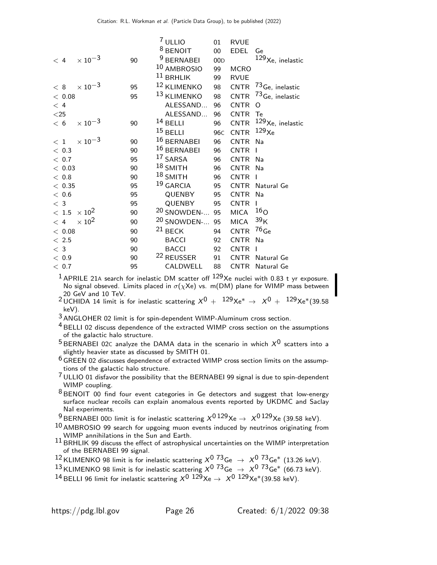|                |                           |    | $7$ ULLIO              | 01              | <b>RVUE</b> |                             |
|----------------|---------------------------|----|------------------------|-----------------|-------------|-----------------------------|
|                |                           |    | <sup>8</sup> BENOIT    | $00\,$          | <b>EDEL</b> | Ge                          |
| < 4            | $\times$ 10 <sup>-3</sup> | 90 | <sup>9</sup> BERNABEI  | 00D             |             | $129$ Xe, inelastic         |
|                |                           |    | 10 AMBROSIO            | 99              | <b>MCRO</b> |                             |
|                |                           |    | $11$ BRHLIK            | 99              | <b>RVUE</b> |                             |
| < 8            | $\times$ 10 <sup>-3</sup> | 95 | <sup>12</sup> KLIMENKO | 98              | <b>CNTR</b> | 73 Ge, inelastic            |
| < 0.08         |                           | 95 | 13 KLIMENKO            | 98              | <b>CNTR</b> | 73 <sub>Ge, inelastic</sub> |
| < 4            |                           |    | ALESSAND               | 96              | <b>CNTR</b> | O                           |
| $<$ 25 $\,$    |                           |    | ALESSAND               | 96              | <b>CNTR</b> | Te                          |
| < 6            | $\times 10^{-3}$          | 90 | $14$ BELLI             | 96              | <b>CNTR</b> | $129$ Xe, inelastic         |
|                |                           |    | $15$ BELLI             | 96 <sub>C</sub> | <b>CNTR</b> | $129\chi$ e                 |
| < 1            | $\times\,10^{-3}$         | 90 | 16 BERNABEI            | 96              | <b>CNTR</b> | Na                          |
| < 0.3          |                           | 90 | 16 BERNABEI            | 96              | <b>CNTR</b> | ı                           |
| < 0.7          |                           | 95 | 17 SARSA               | 96              | <b>CNTR</b> | Na                          |
| < 0.03         |                           | 90 | $18$ SMITH             | 96              | <b>CNTR</b> | Na                          |
| $<\,$ 0.8 $\,$ |                           | 90 | $18$ SMITH             | 96              | <b>CNTR</b> | ı                           |
| < 0.35         |                           | 95 | $19$ GARCIA            | 95              | <b>CNTR</b> | Natural Ge                  |
| < 0.6          |                           | 95 | QUENBY                 | 95              | <b>CNTR</b> | Na                          |
| $<$ 3          |                           | 95 | QUENBY                 | 95              | <b>CNTR</b> |                             |
| $<\,1.5$       | $\times 10^2$             | 90 | <sup>20</sup> SNOWDEN- | 95              | <b>MICA</b> | 16 <sub>O</sub>             |
| < 4            | $\times 10^{2}$           | 90 | <sup>20</sup> SNOWDEN- | 95              | <b>MICA</b> | 39 <sub>K</sub>             |
| < 0.08         |                           | 90 | $21$ BECK              | 94              | <b>CNTR</b> | $76$ Ge                     |
| $<\,2.5$       |                           | 90 | <b>BACCI</b>           | 92              | <b>CNTR</b> | Na                          |
| $<$ 3          |                           | 90 | <b>BACCI</b>           | 92              | <b>CNTR</b> | ı                           |
| $<\,0.9$       |                           | 90 | <sup>22</sup> REUSSER  | 91              | <b>CNTR</b> | Natural Ge                  |
| < 0.7          |                           | 95 | CALDWELL               | 88              | <b>CNTR</b> | Natural Ge                  |

 $1$  APRILE 21A search for inelastic DM scatter off  $129$ Xe nuclei with 0.83 t yr exposure. No signal obseved. Limits placed in  $\sigma(\chi Xe)$  vs. m(DM) plane for WIMP mass between 20 GeV and 10 TeV.

20 dev and 10 Tev.<br>
<sup>2</sup> UCHIDA 14 limit is for inelastic scattering  $X^0 + 129Xe^* \rightarrow X^0 + 129Xe^*(39.58)$ keV).

3 ANGLOHER 02 limit is for spin-dependent WIMP-Aluminum cross section.

 $4$  BELLI 02 discuss dependence of the extracted WIMP cross section on the assumptions of the galactic halo structure.

 $5$  BERNABEI 02C analyze the DAMA data in the scenario in which  $X^0$  scatters into a slightly heavier state as discussed by SMITH 01.

 $6$  GREEN 02 discusses dependence of extracted WIMP cross section limits on the assumptions of the galactic halo structure.

7 ULLIO 01 disfavor the possibility that the BERNABEI 99 signal is due to spin-dependent WIMP coupling.

8 BENOIT 00 find four event categories in Ge detectors and suggest that low-energy surface nuclear recoils can explain anomalous events reported by UKDMC and Saclay NaI experiments.

<sup>9</sup> BERNABEI 00D limit is for inelastic scattering  $X^{0.129}Xe \rightarrow X^{0.129}Xe$  (39.58 keV).

 $10$  AMBROSIO 99 search for upgoing muon events induced by neutrinos originating from WIMP annihilations in the Sun and Earth.

 $11$  BRHLIK 99 discuss the effect of astrophysical uncertainties on the WIMP interpretation of the BERNABEI 99 signal.

<sup>12</sup> KLIMENKO 98 limit is for inelastic scattering  $X^0$  <sup>73</sup>Ge  $\rightarrow X^0$  <sup>73</sup>Ge\* (13.26 keV).

13 KLIMENKO 98 limit is for inelastic scattering  $X^0$  73<sub>Ge</sub>  $\rightarrow X^0$  73<sub>Ge</sub>\* (66.73 keV).

14 BELLI 96 limit for inelastic scattering  $X^0$   $129$ Xe  $\rightarrow X^0$   $129$ Xe<sup>\*</sup>(39.58 keV).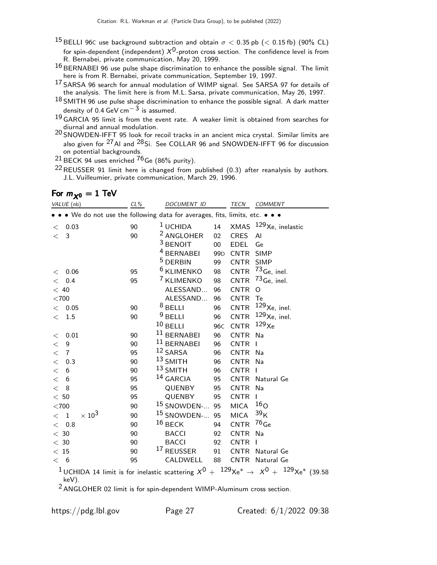- <sup>15</sup> BELLI 96C use background subtraction and obtain  $\sigma$  < 0.35 pb (< 0.15 fb) (90% CL) for spin-dependent (independent)  $X^{0}$ -proton cross section. The confidence level is from R. Bernabei, private communication, May 20, 1999.
- $16$  BERNABEI 96 use pulse shape discrimination to enhance the possible signal. The limit here is from R. Bernabei, private communication, September 19, 1997.
- 17 SARSA 96 search for annual modulation of WIMP signal. See SARSA 97 for details of the analysis. The limit here is from M.L. Sarsa, private communication, May 26, 1997.
- $18$  SMITH 96 use pulse shape discrimination to enhance the possible signal. A dark matter density of 0.4 GeV cm<sup> $-3$ </sup> is assumed.
- 19 GARCIA 95 limit is from the event rate. A weaker limit is obtained from searches for diurnal and annual modulation.

20 SNOWDEN-IFFT 95 look for recoil tracks in an ancient mica crystal. Similar limits are also given for  $27$  Al and  $28$  Si. See COLLAR 96 and SNOWDEN-IFFT 96 for discussion on potential backgrounds.

 $21$  BECK 94 uses enriched  $76$  Ge (86% purity).

22REUSSER 91 limit here is changed from published (0.3) after reanalysis by authors. J.L. Vuilleumier, private communication, March 29, 1996.

#### For  $m_{\chi0} = 1$  TeV

| VALUE (nb)                                                                        | CL% | DOCUMENT ID            |                 | TECN            | COMMENT                                                                                                             |
|-----------------------------------------------------------------------------------|-----|------------------------|-----------------|-----------------|---------------------------------------------------------------------------------------------------------------------|
| • • • We do not use the following data for averages, fits, limits, etc. • • •     |     |                        |                 |                 |                                                                                                                     |
| < 0.03                                                                            | 90  | $1$ UCHIDA             | 14              |                 | XMAS $129$ Xe, inelastic                                                                                            |
| $\langle$ 3                                                                       | 90  | <sup>2</sup> ANGLOHER  | 02              | <b>CRES</b>     | $\mathsf{A}$                                                                                                        |
|                                                                                   |     | $3$ BENOIT             | $00\,$          | <b>EDEL</b>     | Ge                                                                                                                  |
|                                                                                   |     | <sup>4</sup> BERNABEI  | 99 <sub>D</sub> | CNTR SIMP       |                                                                                                                     |
|                                                                                   |     | <sup>5</sup> DERBIN    | 99              | CNTR SIMP       |                                                                                                                     |
| 0.06<br>$\,<\,$                                                                   | 95  | <sup>6</sup> KLIMENKO  | 98              | <b>CNTR</b>     | $73$ Ge, inel.                                                                                                      |
| 0.4<br>$\lt$                                                                      | 95  | <sup>7</sup> KLIMENKO  | 98              | <b>CNTR</b>     | $^{73}$ Ge, inel.                                                                                                   |
| < 40                                                                              |     | ALESSAND               | 96              | <b>CNTR</b>     | $\Omega$                                                                                                            |
| $<$ 700 $\,$                                                                      |     | ALESSAND               | 96              | CNTR Te         |                                                                                                                     |
| < 0.05                                                                            | 90  | $8$ BELLI              | 96              | <b>CNTR</b>     | $129$ Xe, inel.                                                                                                     |
| 1.5<br>$\lt$                                                                      | 90  | $9$ BELLI              | 96              | CNTR            | $129$ Xe, inel.                                                                                                     |
|                                                                                   |     | $10$ BELLI             | 96 <sub>C</sub> | <b>CNTR</b>     | 129 <sub>Xe</sub>                                                                                                   |
| 0.01<br>$\lt$                                                                     | 90  | $11$ BERNABEI          | 96              | <b>CNTR</b>     | Na                                                                                                                  |
| $\boldsymbol{9}$<br>$\lt$                                                         | 90  | $11$ BERNABEI          | 96              | <b>CNTR</b>     | - 1                                                                                                                 |
| $\overline{7}$<br>$\,<\,$                                                         | 95  | 12 SARSA               | 96              | <b>CNTR</b>     | - Na                                                                                                                |
| $\lt$<br>0.3                                                                      | 90  | $13$ SMITH             | 96              | <b>CNTR</b>     | Na                                                                                                                  |
| $\lt$<br>6                                                                        | 90  | $13$ SMITH             | 96              | CNTR I          |                                                                                                                     |
| $\lt$<br>6                                                                        | 95  | $14$ GARCIA            | 95              |                 | CNTR Natural Ge                                                                                                     |
| < 8                                                                               | 95  | <b>QUENBY</b>          | 95              | <b>CNTR</b>     | Na                                                                                                                  |
| $<\,50$                                                                           | 95  | QUENBY                 | 95              | <b>CNTR</b>     | L                                                                                                                   |
| $<$ 700                                                                           | 90  | <sup>15</sup> SNOWDEN- | 95              | <b>MICA</b>     | 16 <sub>O</sub>                                                                                                     |
| $\times 10^3$<br>$\langle 1$                                                      | 90  | <sup>15</sup> SNOWDEN- | 95              | <b>MICA</b>     | 39 <sub>K</sub>                                                                                                     |
| $<$ 0.8                                                                           | 90  | $16$ BECK              | 94              | CNTR $^{76}$ Ge |                                                                                                                     |
| $<\,30$                                                                           | 90  | <b>BACCI</b>           | 92              | <b>CNTR</b>     | Na                                                                                                                  |
| $<\,30$                                                                           | 90  | <b>BACCI</b>           | 92              | <b>CNTR</b>     | $\mathbf{I}$                                                                                                        |
| < 15                                                                              | 90  | <sup>17</sup> REUSSER  | 91              | CNTR            | Natural Ge                                                                                                          |
| < 6                                                                               | 95  | CALDWELL               | 88              |                 | CNTR Natural Ge                                                                                                     |
| keV).<br>$2$ ANGLOHER 02 limit is for spin-dependent WIMP-Aluminum cross section. |     |                        |                 |                 | <sup>1</sup> UCHIDA 14 limit is for inelastic scattering $X^0 + {}^{129}Xe^* \rightarrow X^0 + {}^{129}Xe^*$ (39.58 |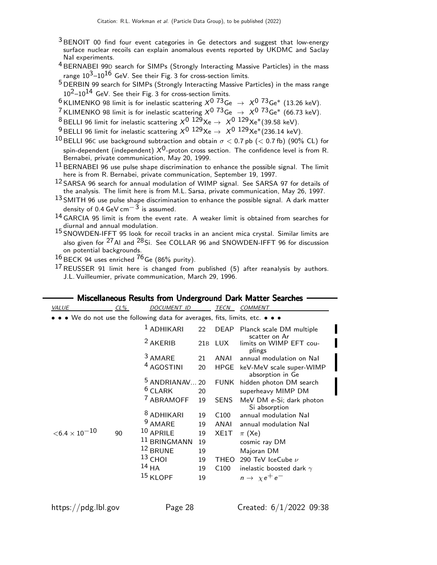- 3 BENOIT 00 find four event categories in Ge detectors and suggest that low-energy surface nuclear recoils can explain anomalous events reported by UKDMC and Saclay NaI experiments.
- <sup>4</sup> BERNABEI 99D search for SIMPs (Strongly Interacting Massive Particles) in the mass range  $10^3 - 10^{16}$  GeV. See their Fig. 3 for cross-section limits.
- 5 DERBIN 99 search for SIMPs (Strongly Interacting Massive Particles) in the mass range  $10^2$ – $10^{14}$  GeV. See their Fig. 3 for cross-section limits.
- $6$  KLIMENKO 98 limit is for inelastic scattering  $X^0$   $73\text{Ge} \rightarrow X^0$   $73\text{Ge}^*$  (13.26 keV).
- <sup>7</sup> KLIMENKO 98 limit is for inelastic scattering  $X^0$  <sup>73</sup>Ge  $\rightarrow X^0$  <sup>73</sup>Ge\* (66.73 keV).
- 8 BELLI 96 limit for inelastic scattering  $X^0$   $^{129}Xe \rightarrow X^0$   $^{129}Xe^*(39.58 \text{ keV})$ .
- <sup>9</sup> BELLI 96 limit for inelastic scattering  $X^0$   $129$ Xe  $\rightarrow X^0$   $129$ Xe\*(236.14 keV).
- 10 BELLI 96C use background subtraction and obtain  $\sigma$  < 0.7 pb (< 0.7 fb) (90% CL) for spin-dependent (independent)  $X^{0}$ -proton cross section. The confidence level is from R. Bernabei, private communication, May 20, 1999.
- $11$  BERNABEI 96 use pulse shape discrimination to enhance the possible signal. The limit here is from R. Bernabei, private communication, September 19, 1997.
- <sup>12</sup> SARSA 96 search for annual modulation of WIMP signal. See SARSA 97 for details of the analysis. The limit here is from M.L. Sarsa, private communication, May 26, 1997.
- $13$  SMITH 96 use pulse shape discrimination to enhance the possible signal. A dark matter density of 0.4 GeV cm<sup> $-3$ </sup> is assumed.
- 14 GARCIA 95 limit is from the event rate. A weaker limit is obtained from searches for diurnal and annual modulation.
- 15 SNOWDEN-IFFT 95 look for recoil tracks in an ancient mica crystal. Similar limits are also given for  $27$  AI and  $28$  Si. See COLLAR 96 and SNOWDEN-IFFT 96 for discussion on potential backgrounds.
- $16$  BECK 94 uses enriched  $76$  Ge (86% purity).
- $17$  REUSSER 91 limit here is changed from published (5) after reanalysis by authors. J.L. Vuilleumier, private communication, March 29, 1996.

| CL% | <b>DOCUMENT ID</b>    |                                                                                                                                         | TECN                   | COMMENT                                                                                                                             |
|-----|-----------------------|-----------------------------------------------------------------------------------------------------------------------------------------|------------------------|-------------------------------------------------------------------------------------------------------------------------------------|
|     |                       |                                                                                                                                         |                        |                                                                                                                                     |
|     | <sup>1</sup> ADHIKARI | 22                                                                                                                                      | <b>DEAP</b>            | Planck scale DM multiple<br>scatter on Ar                                                                                           |
|     | <sup>2</sup> AKERIB   | 21B                                                                                                                                     | <b>LUX</b>             | limits on WIMP EFT cou-<br>plings                                                                                                   |
|     | <sup>3</sup> AMARE    | 21                                                                                                                                      | ANAI                   | annual modulation on Nal                                                                                                            |
|     | <sup>4</sup> AGOSTINI | 20                                                                                                                                      | <b>HPGE</b>            | keV-MeV scale super-WIMP<br>absorption in Ge                                                                                        |
|     |                       | 20                                                                                                                                      | <b>FUNK</b>            | hidden photon DM search                                                                                                             |
|     |                       | 20                                                                                                                                      |                        | superheavy MIMP DM                                                                                                                  |
|     | <sup>7</sup> ABRAMOFF | 19                                                                                                                                      | <b>SENS</b>            | MeV DM e-Si; dark photon<br>Si absorption                                                                                           |
|     |                       | 19                                                                                                                                      | C <sub>100</sub>       | annual modulation Nal                                                                                                               |
|     |                       | 19                                                                                                                                      | ANAI                   | annual modulation Nal                                                                                                               |
| 90  |                       | 19                                                                                                                                      | XE1T                   | $\pi$ (Xe)                                                                                                                          |
|     |                       | 19                                                                                                                                      |                        | cosmic ray DM                                                                                                                       |
|     |                       | 19                                                                                                                                      |                        | Majoran DM                                                                                                                          |
|     |                       | 19                                                                                                                                      | <b>THEO</b>            | 290 TeV IceCube $\nu$                                                                                                               |
|     |                       | 19                                                                                                                                      | C <sub>100</sub>       | inelastic boosted dark $\gamma$                                                                                                     |
|     |                       | 19                                                                                                                                      |                        | $n \rightarrow \chi e^+ e^-$                                                                                                        |
|     |                       | $6$ CLARK<br><sup>8</sup> ADHIKARI<br><sup>9</sup> AMARE<br>$10$ APRILE<br>11 BRINGMANN<br>12 BRUNE<br>$13$ CHOI<br>$14$ HA<br>15 KLOPF | <sup>5</sup> ANDRIANAV | $\bullet\;\bullet\;\mathsf{We}$ do not use the following data for averages, fits, limits, etc. $\bullet\;\bullet\;\bullet\;\bullet$ |

Miscellaneous Results from Underground Dark Matter Searches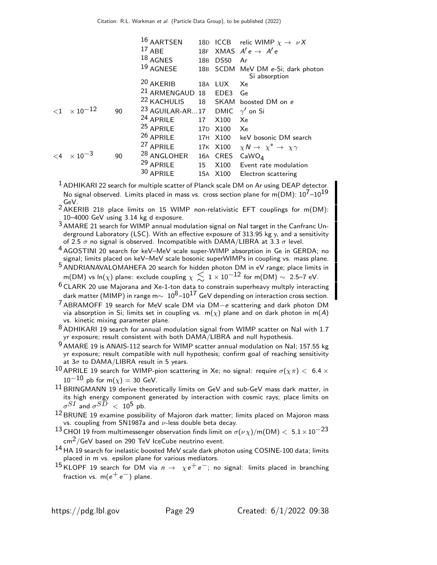|                            |    | 16 AARTSEN                                      |     |             | 18D ICCB relic WIMP $\chi \rightarrow \nu X$       |
|----------------------------|----|-------------------------------------------------|-----|-------------|----------------------------------------------------|
|                            |    | $17$ ABE                                        |     |             | 18F XMAS $A'e \rightarrow A'e$                     |
|                            |    | $18$ AGNES                                      | 18B | <b>DS50</b> | Ar                                                 |
|                            |    | $19$ AGNESE                                     |     |             | 18B SCDM MeV DM e-Si; dark photon<br>Si absorption |
|                            |    | <sup>20</sup> AKERIB                            |     | 18A LUX Xe  |                                                    |
|                            |    | <sup>21</sup> ARMENGAUD 18 EDE3 Ge              |     |             |                                                    |
|                            |    | <sup>22</sup> KACHULIS                          |     |             | 18 SKAM boosted DM on e                            |
| $<$ 1 $\times$ 10 $^{-12}$ | 90 | <sup>23</sup> AGUILAR-AR17 DMIC $\gamma'$ on Si |     |             |                                                    |
|                            |    | <sup>24</sup> APRILE                            | 17  | X100        | Xe                                                 |
|                            |    | <sup>25</sup> APRILE                            |     | 17D X100 Xe |                                                    |
|                            |    | <sup>26</sup> APRILE                            |     |             | 17H X100 keV bosonic DM search                     |
|                            |    | <sup>27</sup> APRILE                            |     |             | 17K X100 $\chi N \to \chi^* \to \chi \gamma$       |
| $\leq 4 \times 10^{-3}$    | 90 | <sup>28</sup> ANGLOHER                          |     | 16A CRES    | CaWO <sub>4</sub>                                  |
|                            |    | <sup>29</sup> APRILE                            | 15  | X100        | Event rate modulation                              |
|                            |    | 30 APRILE                                       |     | 15A X100    | Electron scattering                                |

 $<sup>1</sup>$  ADHIKARI 22 search for multiple scatter of Planck scale DM on Ar using DEAP detector.</sup> No signal observed. Limits placed in mass vs. cross section plane for m(DM):  $10^7-10^{19}$ GeV.

 $2$ AKERIB 21B place limits on 15 WIMP non-relativistic EFT couplings for m(DM): 10–4000 GeV using 3.14 kg d exposure.

3 AMARE 21 search for WIMP annual modulation signal on NaI target in the Canfranc Underground Laboratory (LSC). With an effective exposure of 313.95 kg y, and a sensitivity of 2.5  $\sigma$  no signal is observed. Incompatible with DAMA/LIBRA at 3.3  $\sigma$  level.

<sup>4</sup> AGOSTINI 20 search for keV-MeV scale super-WIMP absorption in Ge in GERDA; no signal; limits placed on keV–MeV scale bosonic superWIMPs in coupling vs. mass plane.

5 ANDRIANAVALOMAHEFA 20 search for hidden photon DM in eV range; place limits in m(DM) vs ln(x) plane: exclude coupling  $\chi \lesssim 1 \times 10^{-12}$  for m(DM) ~ 2.5–7 eV.

6 CLARK 20 use Majorana and Xe-1-ton data to constrain superheavy multply interacting dark matter (MIMP) in range m $\sim 10^8$ –10<sup>17</sup> GeV depending on interaction cross section.

7 ABRAMOFF 19 search for MeV scale DM via DM−e scattering and dark photon DM via absorption in Si; limits set in coupling vs.  $m(\chi)$  plane and on dark photon in  $m(A)$ vs. kinetic mixing parameter plane.

8 ADHIKARI 19 search for annual modulation signal from WIMP scatter on Nal with 1.7 yr exposure; result consistent with both DAMA/LIBRA and null hypothesis.

9 AMARE 19 is ANAIS-112 search for WIMP scatter annual modulation on NaI; 157.55 kg yr exposure; result compatible with null hypothesis; confirm goal of reaching sensitivity at  $3\sigma$  to DAMA/LIBRA result in 5 years.

10 APRILE 19 search for WIMP-pion scattering in Xe; no signal: require  $\sigma(\chi \pi) < 6.4 \times$  $10^{-10}$  pb for m( $\chi$ ) = 30 GeV.

 $11$  BRINGMANN 19 derive theoretically limits on GeV and sub-GeV mass dark matter, in its high energy component generated by interaction with cosmic rays; place limits on  $\sigma^{SI}$  and  $\sigma^{SD}~<~10^5$  pb.

 $12$  BRUNE 19 examine possibility of Majoron dark matter; limits placed on Majoron mass vs. coupling from SN1987a and  $\nu$ -less double beta decay.

<sup>13</sup> CHOI 19 from multimessenger observation finds limit on  $\sigma(\nu \chi)/m(DM) < 5.1 \times 10^{-23}$  $\rm cm^2/G$ eV based on 290 TeV IceCube neutrino event.

 $14$  HA 19 search for inelastic boosted MeV scale dark photon using COSINE-100 data; limits placed in m vs. epsilon plane for various mediators.

15 KLOPF 19 search for DM via  $n \to \chi e^+ e^-$ ; no signal: limits placed in branching fraction vs. m( $e^+e^-$ ) plane.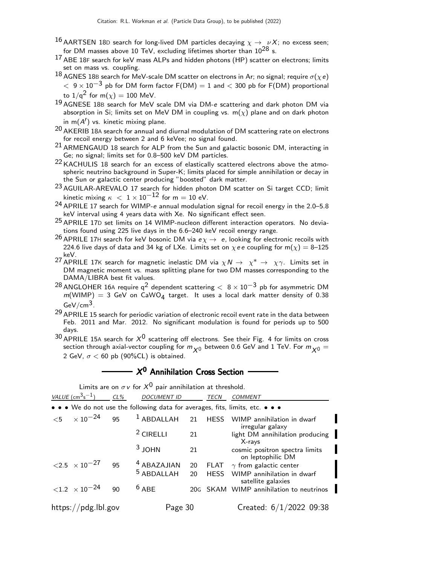- 16 AARTSEN 18D search for long-lived DM particles decaying  $\chi \to \nu X$ ; no excess seen; for DM masses above 10 TeV, excluding lifetimes shorter than  $10^{28}$  s.
- $17$  ABE 18F search for keV mass ALPs and hidden photons (HP) scatter on electrons; limits set on mass vs. coupling.
- 18 AGNES 18B search for MeV-scale DM scatter on electrons in Ar; no signal; require  $\sigma(\chi e)$  $<~9\times10^{-3}$  pb for DM form factor F(DM)  $=1$  and  $< 300$  pb for F(DM) proportional to  $1/q^2$  for  $m(\chi) = 100$  MeV.
- 19 AGNESE 18<sup>B</sup> search for MeV scale DM via DM-e scattering and dark photon DM via absorption in Si; limits set on MeV DM in coupling vs.  $m(\chi)$  plane and on dark photon in  $m(A')$  vs. kinetic mixing plane.
- <sup>20</sup> AKERIB 18A search for annual and diurnal modulation of DM scattering rate on electrons for recoil energy between 2 and 6 keVee; no signal found.
- <sup>21</sup> ARMENGAUD 18 search for ALP from the Sun and galactic bosonic DM, interacting in Ge; no signal; limits set for 0.8–500 keV DM particles.
- <sup>22</sup> KACHULIS 18 search for an excess of elastically scattered electrons above the atmospheric neutrino background in Super-K; limits placed for simple annihilation or decay in the Sun or galactic center producing "boosted" dark matter.
- 23 AGUILAR-AREVALO 17 search for hidden photon DM scatter on Si target CCD; limit kinetic mixing  $\kappa$  < 1 × 10<sup>-12</sup> for m = 10 eV.
- 24 APRILE 17 search for WIMP-e annual modulation signal for recoil energy in the 2.0–5.8 keV interval using 4 years data with Xe. No significant effect seen.
- 25 APRILE 17<sup>D</sup> set limits on 14 WIMP-nucleon different interaction operators. No deviations found using 225 live days in the 6.6–240 keV recoil energy range.
- <sup>26</sup> APRILE 17H search for keV bosonic DM via  $e\chi \rightarrow e$ , looking for electronic recoils with 224.6 live days of data and 34 kg of LXe. Limits set on  $\chi e e$  coupling for m( $\chi$ ) = 8–125 keV.
- <sup>27</sup> APRILE 17K search for magnetic inelastic DM via  $\chi N \to~\chi^* \to~\chi \gamma$ . Limits set in DM magnetic moment vs. mass splitting plane for two DM masses corresponding to the DAMA/LIBRA best fit values.
- $^{28}$  ANGLOHER 16A require q<sup>2</sup> dependent scattering  $<~8\times10^{-3}$  pb for asymmetric DM  $m(WIMP) = 3$  GeV on CaWO<sub>4</sub> target. It uses a local dark matter density of 0.38  $GeV/cm<sup>3</sup>$ .
- $29$  APRILE 15 search for periodic variation of electronic recoil event rate in the data between Feb. 2011 and Mar. 2012. No significant modulation is found for periods up to 500 days.
- $30$  APRILE 15A search for  $X^0$  scattering off electrons. See their Fig. 4 for limits on cross section through axial-vector coupling for  $m_{\chi0}$  between 0.6 GeV and 1 TeV. For  $m_{\chi0} =$ 2 GeV,  $\sigma$  < 60 pb (90%CL) is obtained.

## $X^0$  Annihilation Cross Section

Limits are on  $\sigma v$  for  $X^0$  pair annihilation at threshold.

| $VALUE$ (cm <sup>3</sup> s <sup>-1</sup> )                                    | $CL\%$ | <b>DOCUMENT ID</b>     |    | <b>TECN</b> | <i>COMMENT</i>                                      |
|-------------------------------------------------------------------------------|--------|------------------------|----|-------------|-----------------------------------------------------|
| • • • We do not use the following data for averages, fits, limits, etc. • • • |        |                        |    |             |                                                     |
| ${5 \times 10^{-24}}$                                                         |        | $95$ $1$ ABDALLAH 21   |    | <b>HESS</b> | WIMP annihilation in dwarf<br>irregular galaxy      |
|                                                                               |        | <sup>2</sup> CIRELLI   | 21 |             | light DM annihilation producing<br>$X$ -rays        |
|                                                                               |        | $3$ JOHN               | 21 |             | cosmic positron spectra limits<br>on leptophilic DM |
| $\langle 2.5 \times 10^{-27} \rangle$                                         | 95     | <sup>4</sup> ABAZAJIAN | 20 | FLAT        | $\gamma$ from galactic center                       |
|                                                                               |        | $5$ ABDALLAH           | 20 | <b>HESS</b> | WIMP annihilation in dwarf<br>satellite galaxies    |
| $\langle 1.2 \times 10^{-24} \rangle$                                         | 90     | $6$ ABE                |    |             | 20G SKAM WIMP annihilation to neutrinos             |
| https://pdg.lbl.gov                                                           |        | Page 30                |    |             | Created: $6/1/2022$ 09:38                           |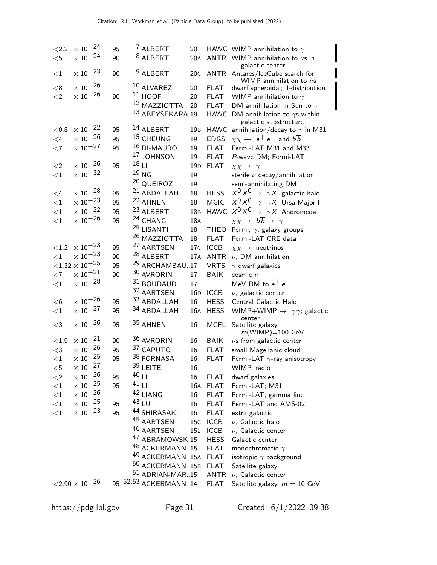| ${<}2.2$ | $\times$ $10^{-24}$        | 95       | <sup>7</sup> ALBERT             | 20              |                            | HAWC WIMP annihilation to $\gamma$                               |
|----------|----------------------------|----------|---------------------------------|-----------------|----------------------------|------------------------------------------------------------------|
| $<$ 5    | $\times$ $10^{-24}$        | 90       | 8 ALBERT                        | 20A             |                            | ANTR WIMP annihilation to $\nu s$ in                             |
|          |                            |          |                                 |                 |                            | galactic center                                                  |
| $<$ 1    | $\times$ $10^{-23}$        | 90       | <sup>9</sup> ALBERT             | 20C             |                            | ANTR Antares/IceCube search for                                  |
| < 8      | $\times$ $10^{-26}$        |          | 10 ALVAREZ                      | 20              | <b>FLAT</b>                | WIMP annihilation to $\nu$ s<br>dwarf spheroidal; J-distribution |
| $<$ 2    | $\times$ $10^{-26}$        | 90       | $11$ HOOF                       | 20              | <b>FLAT</b>                | WIMP annihilation to $\gamma$                                    |
|          |                            |          | 12 MAZZIOTTA                    | 20              | <b>FLAT</b>                | DM annihilation in Sun to $\gamma$                               |
|          |                            |          | 13 ABEYSEKARA 19                |                 | <b>HAWC</b>                | DM annihilation to $\gamma$ s within                             |
|          |                            |          |                                 |                 |                            | galactic substructure                                            |
| < 0.8    | $\times$ $10^{-22}$        | 95       | 14 ALBERT                       | 19 <sub>B</sub> | <b>HAWC</b>                | annihilation/decay to $\gamma$ in M31                            |
| $\leq 4$ | $\times$ $10^{-26}$        | 95       | 15 CHEUNG                       | 19              | <b>EDGS</b>                | $\chi \chi \rightarrow ~e^+e^-$ and $b \overline{b}$             |
| $<$ 7    | $\times$ $10^{-27}$        | 95       | 16 DI-MAURO                     | 19              | <b>FLAT</b>                | Fermi-LAT M31 and M33                                            |
|          |                            |          | 17 JOHNSON                      | 19              | <b>FLAT</b>                | P-wave DM; Fermi-LAT                                             |
| $<$ 2    | $\times$ $10^{-26}$        | 95       | 18 <sub>L1</sub>                | 19 <sub>D</sub> | <b>FLAT</b>                | $\chi \chi \rightarrow \gamma$                                   |
| ${<}1$   | $\times$ $10^{-32}$        |          | 19 <sub>NG</sub>                | 19              |                            | sterile $\nu$ decay/annihilation                                 |
|          |                            |          | <sup>20</sup> QUEIROZ           | 19              |                            | semi-annihilating DM                                             |
| $\leq 4$ | $\times$ 10 $^{-28}$       | 95       | <sup>21</sup> ABDALLAH          | 18              | <b>HESS</b>                | $X^0 X^0 \rightarrow \ \gamma X$ ; galactic halo                 |
| $<$ 1    | $\times$ 10 <sup>-23</sup> | 95       | 22 AHNEN                        | 18              | <b>MGIC</b>                | $X^0 X^0 \rightarrow \gamma X$ ; Ursa Major II                   |
| ${<}1$   | $\times$ $10^{-22}$        | 95       | 23 ALBERT                       | 18 <sub>B</sub> | <b>HAWC</b>                | $X^0 X^0 \rightarrow \gamma X$ ; Andromeda                       |
| ${<}1$   | $\times$ $10^{-26}$        | 95       | <sup>24</sup> CHANG             | 18A             |                            | $\chi \chi \to b\overline{b} \to \gamma$                         |
|          |                            |          | <sup>25</sup> LISANTI           | 18              | <b>THEO</b>                | Fermi, $\gamma$ ; galaxy groups                                  |
|          |                            |          | 26 MAZZIOTTA                    | 18              | <b>FLAT</b>                | Fermi-LAT CRE data                                               |
| ${<}1.2$ | $\times$ 10 <sup>-23</sup> | 95       | <sup>27</sup> AARTSEN           | 17 <sub>C</sub> | <b>ICCB</b>                | $\chi \chi \rightarrow$ neutrinos                                |
| ${<}1\,$ | $\times$ 10 <sup>-23</sup> | 90       | 28 ALBERT                       |                 | 17A ANTR                   | $\nu$ , DM annihilation                                          |
|          | ${<}1.32\times10^{-25}$    | 95       | <sup>29</sup> ARCHAMBAU17       |                 | <b>VRTS</b>                | $\gamma$ dwarf galaxies                                          |
| $<$ 7    | $\times$ $10^{-21}$        | 90       | 30 AVRORIN                      | 17              | <b>BAIK</b>                | cosmic $\nu$                                                     |
| ${<}1$   | $\times$ $10^{-28}$        |          | 31 BOUDAUD                      | 17              |                            | MeV DM to $e^+e^-$                                               |
|          |                            |          | 32 AARTSEN                      | 16D             | <b>ICCB</b>                | $\nu$ , galactic center                                          |
| $<$ 6    | $\times$ 10 $^{-26}$       | 95       | 33 ABDALLAH                     | 16              | <b>HESS</b>                | Central Galactic Halo                                            |
| $<$ 1    | $\times$ $10^{-27}$        | 95       | 34 ABDALLAH                     | 16A             | <b>HESS</b>                | WIMP+WIMP $\rightarrow \gamma \gamma$ ; galactic                 |
|          |                            |          |                                 |                 |                            | center                                                           |
| $<$ 3    | $\times$ $10^{-26}$        | 95       | 35 AHNEN                        | 16              | <b>MGFL</b>                | Satellite galaxy,                                                |
| $<1.9\,$ | $\times$ $10^{-21}$        | 90       | 36 AVRORIN                      |                 | <b>BAIK</b>                | $m(WIMP) = 100$ GeV                                              |
| $<$ 3    | $\times$ $10^{-26}$        | 95       | 37 CAPUTO                       | 16<br>16        | <b>FLAT</b>                | $\nu$ s from galactic center<br>small Magellanic cloud           |
|          | $\times$ $10^{-25}$        | 95       | 38 FORNASA                      | 16              | <b>FLAT</b>                | Fermi-LAT $\gamma$ -ray anisotropy                               |
| ${<}1$   | $\times$ $10^{-27}$        |          | $39$ LEITE                      | 16              |                            | WIMP, radio                                                      |
| $<$ 5    | $\times$ $10^{-26}$        |          | $40$ LI                         |                 |                            |                                                                  |
| ${<}2$   | $\times$ 10 <sup>-25</sup> | 95<br>95 | $41$ LI                         | 16              | <b>FLAT</b>                | dwarf galaxies                                                   |
| ${<}1$   | $\times$ $10^{-26}$        |          | 42 LIANG                        |                 | 16A FLAT<br><b>FLAT</b>    | Fermi-LAT; M31                                                   |
| $<$ 1    | $\times$ $10^{-25}$        |          | 43LU                            | 16              |                            | Fermi-LAT, gamma line<br>Fermi-LAT and AMS-02                    |
| ${<}1\,$ | $\times$ $10^{-23}$        | 95<br>95 | 44 SHIRASAKI                    | 16              | <b>FLAT</b>                |                                                                  |
| ${<}1$   |                            |          | 45 AARTSEN                      | 16              | <b>FLAT</b>                | extra galactic                                                   |
|          |                            |          | 46 AARTSEN                      | 15 <sub>C</sub> | <b>ICCB</b>                | $\nu$ , Galactic halo                                            |
|          |                            |          | <sup>47</sup> ABRAMOWSKI15      | 15E             | <b>ICCB</b>                | $\nu$ , Galactic center                                          |
|          |                            |          | <sup>48</sup> ACKERMANN 15      |                 | <b>HESS</b><br><b>FLAT</b> | Galactic center                                                  |
|          |                            |          | <sup>49</sup> ACKERMANN 15A     |                 | <b>FLAT</b>                | monochromatic $\gamma$<br>isotropic $\gamma$ background          |
|          |                            |          | $^{50}$ ACKERMANN $\,$ 15B $\,$ |                 | <b>FLAT</b>                | Satellite galaxy                                                 |
|          |                            |          | $51$ ADRIAN-MAR15               |                 | ANTR                       | $\nu$ , Galactic center                                          |
|          | $<\!\!2.90\times 10^{-26}$ |          | 95 52,53 ACKERMANN 14           |                 | <b>FLAT</b>                | Satellite galaxy, $m = 10$ GeV                                   |
|          |                            |          |                                 |                 |                            |                                                                  |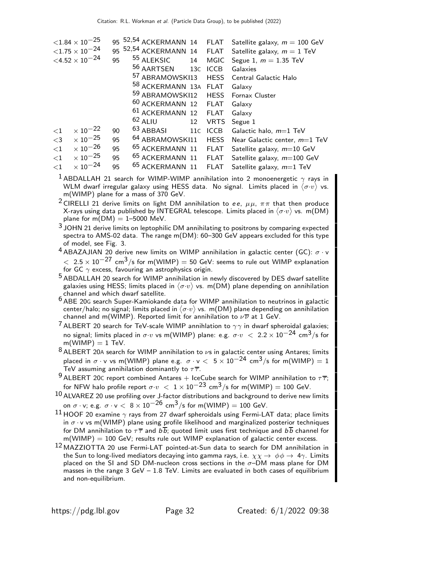|          | ${<}1.84\times10^{-25}$    |    | 95 <sup>52,54</sup> ACKERMANN 14 FLAT |    |             | Satellite galaxy, $m = 100$ GeV |
|----------|----------------------------|----|---------------------------------------|----|-------------|---------------------------------|
|          | ${<}1.75\times10^{-24}$    | 95 | 52,54 ACKERMANN 14 FLAT               |    |             | Satellite galaxy, $m = 1$ TeV   |
|          | $<\!\!4.52\times 10^{-24}$ | 95 | <sup>55</sup> ALEKSIC                 | 14 | MGIC        | Segue 1, $m = 1.35$ TeV         |
|          |                            |    | 56 AARTSEN                            |    | 13C ICCB    | Galaxies                        |
|          |                            |    | <sup>57</sup> ABRAMOWSKI13            |    |             | HESS Central Galactic Halo      |
|          |                            |    | 58 ACKERMANN 13A FLAT                 |    |             | Galaxy                          |
|          |                            |    | 59 ABRAMOWSKI12 HESS Fornax Cluster   |    |             |                                 |
|          |                            |    | <sup>60</sup> ACKERMANN 12 FLAT       |    |             | Galaxy                          |
|          |                            |    | <sup>61</sup> ACKERMANN 12 FLAT       |    |             | Galaxy                          |
|          |                            |    | $62$ ALIU                             | 12 | <b>VRTS</b> | Segue 1                         |
| $\leq$ 1 | $\times$ 10 $^{-22}$       | 90 | $63$ ABBASI                           |    | 11C ICCB    | Galactic halo, m=1 TeV          |
| $<$ 3    | $\times$ 10 $^{-25}$       | 95 | <sup>64</sup> ABRAMOWSKI11            |    | <b>HESS</b> | Near Galactic center, $m=1$ TeV |
| $<$ 1    | $\times$ 10 $^{-26}$       | 95 | <sup>65</sup> ACKERMANN 11 FLAT       |    |             | Satellite galaxy, $m=10$ GeV    |
| ${<}1$   | $\times$ 10 $^{-25}$       | 95 | <sup>65</sup> ACKERMANN 11            |    | FLAT        | Satellite galaxy, $m=100$ GeV   |
| $<$ 1    | $\times$ 10 <sup>-24</sup> | 95 | <sup>65</sup> ACKERMANN 11            |    | FLAT        | Satellite galaxy, $m=1$ TeV     |

- <sup>1</sup> ABDALLAH 21 search for WIMP-WIMP annihilation into 2 monoenergetic  $\gamma$  rays in WLM dwarf irregular galaxy using HESS data. No signal. Limits placed in  $\langle \sigma\cdot v\rangle$  vs. m(WIMP) plane for a mass of 370 GeV.
- <sup>2</sup> CIRELLI 21 derive limits on light DM annihilation to ee,  $\mu\mu$ ,  $\pi\pi$  that then produce X-rays using data published by INTEGRAL telescope. Limits placed in  $\langle \sigma \cdot v \rangle$  vs. m(DM) plane for  $m(DM) = 1-5000$  MeV.
- <sup>3</sup> JOHN 21 derive limits on leptophilic DM annihilating to positrons by comparing expected spectra to AMS-02 data. The range m(DM): 60–300 GeV appears excluded for this type of model, see Fig. 3.
- <sup>4</sup> ABAZAJIAN 20 derive new limits on WIMP annihilation in galactic center (GC):  $σ · v$  $<~2.5\times10^{-27}$  cm $^3/$ s for m(WIMP)  $=50$  GeV: seems to rule out WIMP explanation for GC  $\gamma$  excess, favouring an astrophysics origin.
- 5 ABDALLAH 20 search for WIMP annihilation in newly discovered by DES dwarf satellite galaxies using HESS; limits placed in  $\langle \sigma\cdot v\rangle$  vs. m(DM) plane depending on annihilation channel and which dwarf satellite.
- 6 ABE 20<sup>G</sup> search Super-Kamiokande data for WIMP annihilation to neutrinos in galactic center/halo; no signal; limits placed in  $\langle \sigma\cdot v\rangle$  vs. m(DM) plane depending on annihilation channel and m(WIMP). Reported limit for annihilation to  $\nu \overline{\nu}$  at 1 GeV.
- <sup>7</sup> ALBERT 20 search for TeV-scale WIMP annihlation to  $\gamma\gamma$  in dwarf spheroidal galaxies; no signal; limits placed in  $\sigma \cdot v$  vs m(WIMP) plane: e.g.  $\sigma \cdot v$   $\langle 2.2 \times 10^{-24} \text{ cm}^3/\text{s}$  for  $m(WIMP) = 1 TeV$ .
- $8$  ALBERT 20A search for WIMP annihilation to  $\nu$ s in galactic center using Antares; limits placed in  $\sigma \cdot v$  vs m(WIMP) plane e.g.  $\sigma \cdot v < 5 \times 10^{-24}$  cm<sup>3</sup>/s for m(WIMP) = 1 TeV assuming annihilation dominantly to  $\tau\overline{\tau}$ .
- 9 ALBERT 20C report combined Antares + IceCube search for WIMP annihilation to  $\tau \overline{\tau}$ ; for NFW halo profile report  $\sigma \cdot v < 1 \times 10^{-23}$  cm<sup>3</sup>/s for m(WIMP) = 100 GeV.
- $10$  ALVAREZ 20 use profiling over J-factor distributions and background to derive new limits on  $\sigma \cdot v$ ; e.g.  $\sigma \cdot v < 8 \times 10^{-26}$  cm<sup>3</sup>/s for m(WIMP) = 100 GeV.
- <sup>11</sup> HOOF 20 examine  $\gamma$  rays from 27 dwarf spheroidals using Fermi-LAT data; place limits in  $\sigma \cdot v$  vs m(WIMP) plane using profile likelihood and marginalized posterior techniques for DM annihilation to  $\tau\bar{\tau}$  and  $b\bar{b}$ ; quoted limit uses first technique and  $b\bar{b}$  channel for  $m(WIMP) = 100 GeV$ ; results rule out WIMP explanation of galactic center excess.
- 12 MAZZIOTTA 20 use Fermi-LAT pointed-at-Sun data to search for DM annihilation in the Sun to long-lived mediators decaying into gamma rays, i.e.  $\chi\chi\to\ \phi\phi\to\ 4\gamma$ . Limits placed on the SI and SD DM-nucleon cross sections in the  $\sigma$ -DM mass plane for DM masses in the range  $3 \text{ GeV} - 1.8 \text{ TeV}$ . Limits are evaluated in both cases of equilibrium and non-equilibrium.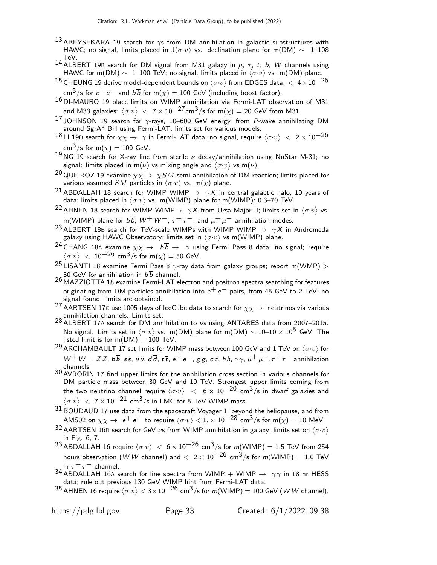- 13 ABEYSEKARA 19 search for  $\gamma s$  from DM annihilation in galactic substructures with HAWC; no signal, limits placed in J $\langle \sigma \cdot v \rangle$  vs. declination plane for m(DM)  $\sim$   $\,$  1–108  $\,$ TeV.
- 14 ALBERT 19B search for DM signal from M31 galaxy in  $\mu$ ,  $\tau$ , t, b, W channels using HAWC for m(DM)  $\sim~$  1–100 TeV; no signal, limits placed in  $\langle \sigma \cdot v \rangle$  vs. m(DM) plane.
- $^{15}$  CHEUNG 19 derive model-dependent bounds on  $\langle \sigma \cdot v \rangle$  from EDGES data:  $<\,$  4  $\times$   $10^{-26}$ cm<sup>3</sup>/s for  $e^+e^-$  and  $b\overline{b}$  for m( $\chi$ ) = 100 GeV (including boost factor).
- 16 DI-MAURO 19 place limits on WIMP annihilation via Fermi-LAT observation of M31 and M33 galaxies:  $\langle \sigma \cdot v \rangle \ <\ 7 \times 10^{-27}$ cm $^3 /$ s for m $(\chi) = 20$  GeV from M31.
- 17 JOHNSON 19 search for  $\gamma$ -rays, 10–600 GeV energy, from P-wave annihilating DM around SgrA\* BH using Fermi-LAT; limits set for various models.
- $^{18}$ LI 19D search for  $\chi\chi\to~\gamma$  in Fermi-LAT data; no signal, require  $\langle\sigma\cdot v\rangle~<~2\times10^{-26}$ cm<sup>3</sup>/s for m( $\chi$ ) = 100 GeV.
- <sup>19</sup> NG 19 search for X-ray line from sterile  $\nu$  decay/annihilation using NuStar M-31; no signal: limits placed in m $(\nu)$  vs mixing angle and  $\langle \sigma\mathord{\cdot} v\rangle$  vs m $(\nu).$
- <sup>20</sup> QUEIROZ 19 examine  $\chi\chi\to\ \chi SM$  semi-annihilation of DM reaction; limits placed for various assumed  $SM$  particles in  $\langle \sigma \cdot v \rangle$  vs. m $(\chi)$  plane.
- <sup>21</sup> ABDALLAH 18 search for WIMP WIMP  $\rightarrow \gamma X$  in central galactic halo, 10 years of data; limits placed in  $\langle \sigma \cdot v \rangle$  vs. m(WIMP) plane for m(WIMP): 0.3–70 TeV.
- $^{22}$ AHNEN 18 search for WIMP WIMP $\rightarrow \ \gamma X$  from Ursa Major II; limits set in  $\langle \sigma \cdot v \rangle$  vs. m(WIMP) plane for  $b\overline{b}$ ,  $W^+ W^-$ ,  $\tau^+ \tau^-$ , and  $\mu^+ \mu^-$  annihilation modes.
- <sup>23</sup> ALBERT 18B search for TeV-scale WIMPs with WIMP WIMP  $\rightarrow \gamma X$  in Andromeda galaxy using HAWC Observatory; limits set in  $\langle \sigma\mathord{\cdot} v\rangle$  vs m(WIMP) plane.
- <sup>24</sup> CHANG 18A examine  $\chi\chi \to b\overline{b} \to \gamma$  using Fermi Pass 8 data; no signal; require  $\langle \sigma \cdot v \rangle \ < \ 10^{-26}$  cm $^3 /$ s for m $(\chi) = 50$  GeV.
- $25$  LISANTI 18 examine Fermi Pass 8  $\gamma$ -ray data from galaxy groups; report m(WMP)  $>$ 30 GeV for annihilation in  $b\overline{b}$  channel.
- 26 MAZZIOTTA 18 examine Fermi-LAT electron and positron spectra searching for features originating from DM particles annihilation into  $e^+e^-$  pairs, from 45 GeV to 2 TeV; no signal found, limits are obtained.
- <sup>27</sup> AARTSEN 17C use 1005 days of IceCube data to search for  $\chi\chi\to\;$  neutrinos via various annihilation channels. Limits set.
- 28 ALBERT 17A search for DM annihilation to νs using ANTARES data from 2007–2015. No signal. Limits set in  $\langle \sigma \cdot v \rangle$  vs. m(DM) plane for m(DM)  $\sim 10–10 \times 10^5$  GeV. The listed limit is for  $m(DM) = 100$  TeV.
- $^{29}$  ARCHAMBAULT 17 set limits for WIMP mass between 100 GeV and 1 TeV on  $\langle \sigma \cdot v \rangle$  for  $W^+W^-, ZZ, b\overline{b}, s\overline{s}, u\overline{u}, d\overline{d}, t\overline{t}, e^+e^-, gg, c\overline{c}, hh, \gamma\gamma, \mu^+\mu^-, \tau^+\tau^-$  annihilation channels.
- 30 AVRORIN 17 find upper limits for the annhilation cross section in various channels for DM particle mass between 30 GeV and 10 TeV. Strongest upper limits coming from the two neutrino channel require  $\langle \sigma \cdot v \rangle \ < \ 6 \times 10^{-20}$  cm $^3 /$ s in dwarf galaxies and  $\langle \sigma \cdot v \rangle \ < \ 7 \times 10^{-21}$  cm<sup>3</sup>/s in LMC for 5 TeV WIMP mass.
- $^{31}\,$ BOUDAUD 17 use data from the spacecraft Voyager 1, beyond the heliopause, and from AMS02 on  $\chi\chi\to~e^+e^-$  to require  $\langle\sigma\cdot v\rangle < 1. \times 10^{-28}$  cm $^3/$ s for m $(\chi)=10$  MeV.
- 32 AARTSEN 16D search for GeV  $\nu$ s from WIMP annihilation in galaxy; limits set on  $\langle \sigma \cdot v \rangle$ in Fig. 6, 7.
- $^{33}$ ABDALLAH 16 require  $\langle \sigma \cdot v \rangle \ < \ 6 \times 10^{-26}$  cm $^3/$ s for m(WIMP)  $= 1.5$  TeV from 254 hours observation (W W channel) and  $< 2 \times 10^{-26}$  cm<sup>3</sup>/s for m(WIMP) = 1.0 TeV in  $\tau^+ \tau^-$  channel.
- 34 ABDALLAH 16A search for line spectra from WIMP + WIMP  $\rightarrow \gamma \gamma$  in 18 hr HESS data; rule out previous 130 GeV WIMP hint from Fermi-LAT data.
- $^{35}$ AHNEN 16 require  $\langle \sigma \cdot v \rangle <$  3 $\times$ 10 $^{-26}$  cm $^3$ /s for m(WIMP)  $=$  100 GeV (*W W* channel).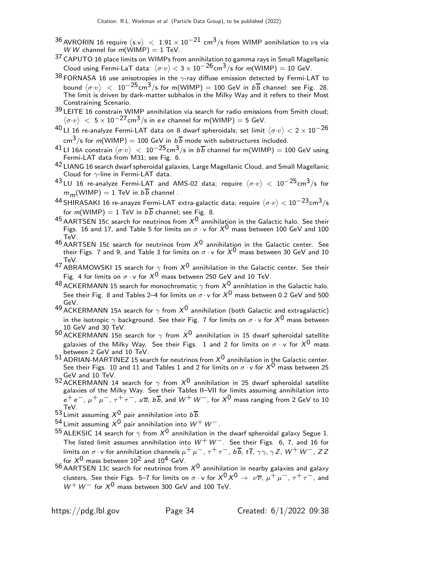- $^{36}$  AVRORIN 16 require  $\langle$ s.v $\rangle~<~$  1.91  $\times$  10 $^{-21}$  cm $^3$ /s from WIMP annihilation to  $\nu$ s via W W channel for  $m(\hat{\text{W}}|\text{MP}) = 1$  TeV.
- 37 CAPUTO 16 place limits on WIMPs from annihilation to gamma rays in Small Magellanic Cloud using Fermi-LaT data:  $\langle \sigma \cdot v \rangle < 3 \times 10^{-26}$ cm $^3/$ s for m(WIMP) = 10 GeV.
- $38$  FORNASA 16 use anisotropies in the  $\gamma$ -ray diffuse emission detected by Fermi-LAT to bound  $\langle \sigma \cdot v \rangle$   $\ < \ 10^{-25}$ cm $^3/$ s for m(WIMP) = 100 GeV in  $b \, \overline{b}$  channel: see Fig. 28. The limit is driven by dark-matter subhalos in the Milky Way and it refers to their Most Constraining Scenario.
- 39 LEITE 16 constrain WIMP annihilation via search for radio emissions from Smith cloud;  $\langle \sigma \cdot v \rangle$   $\langle 5 \times 10^{-27} \text{cm}^3/\text{s}$  in ee channel for m(WIMP) = 5 GeV.
- $^{40}$ LI 16 re-analyze Fermi-LAT data on 8 dwarf spheroidals; set limit  $\langle \sigma \cdot v \rangle <$  2  $\times$  10 $^{-26}$ cm $^3$ /s for *m*(WIMP) = 100 GeV in  $b\overline{b}$  mode with substructures included.
- $^{41}$ LI 16A constrain  $\langle \sigma \cdot v \rangle \ <\ 10^{-25}$ cm $^3/$ s in  $b \, \overline{b}$  channel for m(WIMP)  $=100$  GeV using Fermi-LAT data from M31; see Fig. 6.
- 42 LIANG 16 search dwarf spheroidal galaxies, Large Magellanic Cloud, and Small Magellanic Cloud for  $\gamma$ -line in Fermi-LAT data.
- $^{43}$ LU 16 re-analyze Fermi-LAT and AMS-02 data; require  $\langle \sigma \cdot v \rangle \, < \, 10^{-25}$ cm $^3 /$ s for  $m_m(\text{WIMP}) = 1 \text{ TeV in } b\overline{b}$  channel.
- $^{44}$ SHIRASAKI 16 re-anayze Fermi-LAT extra-galactic data; require  $\langle \sigma \cdot v \rangle < 10^{-23}$ cm $^3 /$ s for  $m(WIMP) = 1$  TeV in  $b\overline{b}$  channel; see Fig. 8.
- <sup>45</sup> AARTSEN 15C search for neutrinos from  $X^0$  annihilation in the Galactic halo. See their Figs. 16 and 17, and Table 5 for limits on  $\sigma \cdot v$  for  $X^0$  mass between 100 GeV and 100 TeV.
- $^{46}$  AARTSEN 15E search for neutrinos from  $X^0$  annihilation in the Galactic center. See their Figs. 7 and 9, and Table 3 for limits on  $\sigma \cdot$  v for  $X^{\mathsf{0}}$  mass between 30 GeV and 10 TeV.
- 47 ABRAMOWSKI 15 search for  $\gamma$  from  $X^0$  annihilation in the Galactic center. See their Fig. 4 for limits on  $\sigma \cdot v$  for  $X^0$  mass between 250 GeV and 10 TeV.
- 48 ACKERMANN 15 search for monochromatic  $\gamma$  from  $X^0$  annihlation in the Galactic halo. See their Fig. 8 and Tables 2–4 for limits on  $\sigma \cdot v$  for  $X^0$  mass between 0.2 GeV and 500 GeV.
- 49 ACKERMANN 15A search for  $\gamma$  from  $X^0$  annihilation (both Galactic and extragalactic) in the isotropic  $\gamma$  background. See their Fig. 7 for limits on  $\sigma \cdot v$  for  $X^0$  mass between 10 GeV and 30 TeV.
- 50 ACKERMANN 15B search for  $\gamma$  from  $X^0$  annihilation in 15 dwarf spheroidal satellite galaxies of the Milky Way. See their Figs. 1 and 2 for limits on  $\sigma \cdot v$  for  $X^0$  mass between 2 GeV and 10 TeV.
- $51$  ADRIAN-MARTINEZ 15 search for neutrinos from  $X^0$  annihilation in the Galactic center. See their Figs. 10 and 11 and Tables 1 and 2 for limits on  $\sigma \cdot v$  for  $X^0$  mass between 25 GeV and 10 TeV.
- 52 ACKERMANN 14 search for  $\gamma$  from  $X^0$  annihilation in 25 dwarf spheroidal satellite galaxies of the Milky Way. See their Tables II–VII for limits assuming annihilation into  $e^+ e^-, \mu^+ \mu^-, \tau^+ \tau^-, \mu \overline{u}, b \overline{b}$ , and  $W^+ W^-,$  for  $X^0$  mass ranging from 2 GeV to 10 TeV.
- 53 Limit assuming  $X^0$  pair annihilation into  $b\overline{b}$ .
- 54 Limit assuming  $X^0$  pair annihilation into  $W^+W^-$ .
- <sup>55</sup> ALEKSIC 14 search for  $\gamma$  from  $X^0$  annihilation in the dwarf spheroidal galaxy Segue 1. The listed limit assumes annihilation into  $W^+ W^-$ . See their Figs. 6, 7, and 16 for limits on  $\sigma \cdot v$  for annihilation channels  $\mu^+ \mu^-$ ,  $\tau^+ \tau^-$ ,  $b\overline{b}$ ,  $t\overline{t}$ ,  $\gamma\gamma$ ,  $\gamma Z$ ,  $W^+ W^-$ ,  $ZZ$ for  $X^0$  mass between  $10^2$  and  $10^4$  GeV.
- $56$  AARTSEN 13C search for neutrinos from  $X^0$  annihilation in nearby galaxies and galaxy clusters. See their Figs. 5–7 for limits on  $\sigma \cdot v$  for  $X^0 X^0 \to \nu \overline{\nu}$ ,  $\mu^+ \mu^-$ ,  $\tau^+ \tau^-$ , and  $W^+W^-$  for  $X^0$  mass between 300 GeV and 100 TeV.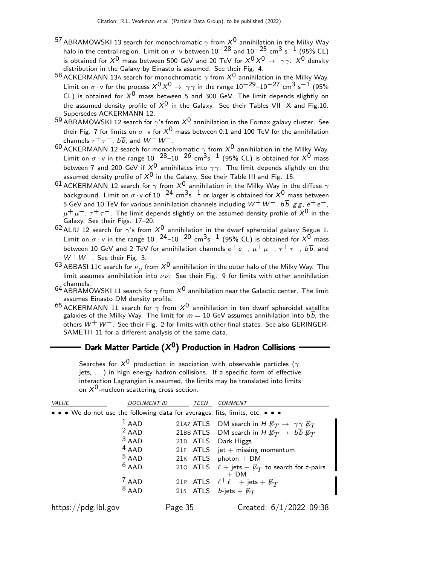- $^{57}$ ABRAMOWSKI 13 search for monochromatic  $\gamma$  from  $X^{\rm 0}$  annihilation in the Milky Way halo in the central region. Limit on  $\sigma \cdot v$  between  $10^{-28}$  and  $10^{-25}$  cm<sup>3</sup> s<sup>-1</sup> (95% CL) is obtained for  $X^0$  mass between 500 GeV and 20 TeV for  $X^0 X^0 \rightarrow \gamma \gamma$ .  $X^0$  density distribution in the Galaxy by Einasto is assumed. See their Fig. 4.
- 58 ACKERMANN 13A search for monochromatic  $\gamma$  from  $X^0$  annihilation in the Milky Way. Limit on  $\sigma \cdot v$  for the process  $X^0 X^0 \to \gamma \gamma$  in the range 10<sup>-29</sup>–10<sup>-27</sup> cm<sup>3</sup> s<sup>-1</sup> (95% CL) is obtained for  $X^0$  mass between 5 and 300 GeV. The limit depends slightly on the assumed density profile of  $X^0$  in the Galaxy. See their Tables VII–X and Fig.10. Supersedes ACKERMANN 12.
- 59 ABRAMOWSKI 12 search for  $\gamma$ 's from  $X^0$  annihilation in the Fornax galaxy cluster. See their Fig. 7 for limits on  $\sigma \cdot v$  for  $X^0$  mass between 0.1 and 100 TeV for the annihilation channels  $\tau^+ \tau^-$ ,  $b\overline{b}$ , and  $W^+ W^-$ .
- 60 ACKERMANN 12 search for monochromatic  $\gamma$  from  $X^0$  annihilation in the Milky Way. Limit on  $\sigma \cdot v$  in the range 10<sup>-28</sup>-10<sup>-26</sup> cm<sup>3</sup>s<sup>-1</sup> (95% CL) is obtained for  $X^0$  mass between 7 and 200 GeV if  $X^0$  annihilates into  $\gamma\gamma$ . The limit depends slightly on the assumed density profile of  $X^0$  in the Galaxy. See their Table III and Fig. 15.
- $^{61}$  ACKERMANN 12 search for  $\gamma$  from  $X^0$  annihilation in the Milky Way in the diffuse  $\gamma$ background. Limit on  $\sigma \cdot$ v of 10 $^{-24}$  cm $^3$ s $^{-1}$  or larger is obtained for  $X^0$  mass between 5 GeV and 10 TeV for various annihilation channels including  $W^+W^-$ ,  $b\overline{b}$ ,  $gg$ ,  $e^+e^-$ ,  $\mu^+ \mu^-, \tau^+ \tau^-$ . The limit depends slightly on the assumed density profile of  $X^0$  in the Galaxy. See their Figs. 17–20.
- 62 ALIU 12 search for  $\gamma$ 's from  $X^0$  annihilation in the dwarf spheroidal galaxy Segue 1. Limit on  $\sigma \cdot v$  in the range 10<sup>-24</sup>–10<sup>-20</sup> cm<sup>3</sup>s<sup>-1</sup> (95% CL) is obtained for  $X^{0}$  mass between 10 GeV and 2 TeV for annihilation channels  $e^+e^-$ ,  $\mu^+\mu^-$ ,  $\tau^+\tau^-$ ,  $b\overline{b}$ , and  $W^+W^-$ . See their Fig. 3.
- $^{63}$  ABBASI 11C search for  $\nu_{\mu}$  from  $X^0$  annihilation in the outer halo of the Milky Way. The limit assumes annihilation into  $\nu \nu$ . See their Fig. 9 for limits with other annihilation channels.
- <sup>64</sup> ABRAMOWSKI 11 search for  $\gamma$  from  $X^0$  annihilation near the Galactic center. The limit assumes Einasto DM density profile.
- $^{65}$ ACKERMANN 11 search for  $\gamma$  from  $X^0$  annihilation in ten dwarf spheroidal satellite galaxies of the Milky Way. The limit for  $m = 10$  GeV assumes annihilation into  $b\overline{b}$ , the others  $W^+ W^-$ . See their Fig. 2 for limits with other final states. See also GERINGER-SAMETH 11 for a different analysis of the same data.

## Dark Matter Particle  $(X^0)$  Production in Hadron Collisions

| on $X^0$ -nucleon scattering cross section.                                   |                    |         |          |                                                                                    |
|-------------------------------------------------------------------------------|--------------------|---------|----------|------------------------------------------------------------------------------------|
| <b>VALUE</b>                                                                  | <b>DOCUMENT ID</b> |         | TECN     | <b>COMMENT</b>                                                                     |
| • • • We do not use the following data for averages, fits, limits, etc. • • • |                    |         |          |                                                                                    |
|                                                                               | $1$ AAD            |         |          | 21AZ ATLS DM search in H $\not{\!\! E_T} \rightarrow \gamma \gamma \not{\!\! E_T}$ |
| $2$ AAD                                                                       |                    |         |          | 21BB ATLS DM search in H $\not{\!\! E_T} \rightarrow b \cdot \not{\!\! E_T}$       |
| $3$ AAD                                                                       |                    |         | 21D ATLS | Dark Higgs                                                                         |
| $4$ AAD                                                                       |                    |         |          | 21F $ATLS$ jet + missing momentum                                                  |
| $5$ AAD                                                                       |                    |         |          | 21 $K$ ATLS photon + DM                                                            |
| $6$ AAD                                                                       |                    |         | 210 ATLS | $\ell$ + jets + $\not\!\!E_T$ to search for <i>t</i> -pairs                        |
|                                                                               |                    |         |          | $+$ DM                                                                             |
| $7$ AAD                                                                       |                    |         |          | 21P ATLS $\ell^+ \ell^-$ + jets + $\not\!\!E_T$                                    |
| $8$ AAD                                                                       |                    |         |          | 21s ATLS <i>b</i> -jets + $\not\hspace{-1.2mm}E_{T}$                               |
| https://pdg.lbl.gov                                                           |                    | Page 35 |          | Created: $6/1/2022$ 09:38                                                          |

Searches for  $X^0$  production in asociation with observable particles ( $\gamma$ , jets, ...) in high energy hadron collisions. If a specific form of effective interaction Lagrangian is assumed, the limits may be translated into limits on  $X^0$ -nucleon scattering cross section.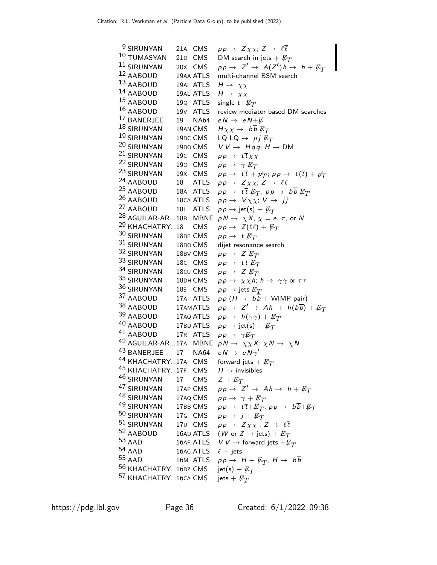| <sup>9</sup> SIRUNYAN            | 21A CMS   | $pp \rightarrow Z \chi \chi$ ; $Z \rightarrow \ell \overline{\ell}$                          |
|----------------------------------|-----------|----------------------------------------------------------------------------------------------|
| 10 TUMASYAN                      | 21D CMS   | DM search in jets $+ E_T$                                                                    |
| 11 SIRUNYAN<br>12 AABOUD         | 20X CMS   | $pp \rightarrow Z' \rightarrow A(Z')h \rightarrow h + E_T$                                   |
|                                  | 19AA ATLS | multi-channel BSM search                                                                     |
| 13 AABOUD<br>14 AABOUD           | 19AI ATLS | $H \rightarrow \chi \chi$                                                                    |
|                                  | 19AL ATLS | $H \rightarrow \chi \chi$                                                                    |
| 15 AABOUD                        | 19Q ATLS  | single $t+\not{\!\! E}_T$                                                                    |
| 16 AABOUD                        | 19V ATLS  | review mediator based DM searches                                                            |
| 17 BANERJEE                      | 19 NA64   | $e N \rightarrow e N + E$                                                                    |
| $18$ SIRUNYAN                    | 19AN CMS  | $H\chi\chi \to b\overline{b}E_T$                                                             |
| <sup>19</sup> SIRUNYAN           | 19BC CMS  | LQ LQ $\rightarrow \mu j \not\!\! E_T$                                                       |
| <sup>20</sup> SIRUNYAN 19BO CMS  |           | $VV \rightarrow Hqq; H \rightarrow DM$                                                       |
| <sup>21</sup> SIRUNYAN 19C CMS   |           | $pp \rightarrow t\overline{t}\chi\chi$                                                       |
| <sup>22</sup> SIRUNYAN 190 CMS   |           | $pp \rightarrow \gamma \not\!\!E_T$                                                          |
| <sup>23</sup> SIRUNYAN           | 19X CMS   | $pp \rightarrow t\,\overline{t} + p_T';\, pp \rightarrow t(\overline{t}) + p_T'$             |
| <sup>24</sup> AABOUD             | 18 ATLS   | $pp \rightarrow Z \chi \chi$ ; Z $\rightarrow \ell \ell$                                     |
| $25$ AABOUD                      | 18A ATLS  | $pp \rightarrow t\overline{t}$ $\not\!\!E_T$ ; $pp \rightarrow b\overline{b}$ $\not\!\!E_T$  |
| <sup>26</sup> AABOUD 18CA ATLS   |           | $pp \rightarrow V \chi \chi$ ; $V \rightarrow jj$                                            |
| <sup>27</sup> AABOUD             | 181 ATLS  | $pp \rightarrow \text{jet(s)} + \not\!\!{E_T}$                                               |
| <sup>28</sup> AGUILAR-AR18B MBNE |           | $p N \rightarrow \chi X$ , $\chi = e$ , $\pi$ , or N                                         |
| <sup>29</sup> KHACHATRY18 CMS    |           | $pp \rightarrow Z(\ell\ell)+E_T$                                                             |
| 30 SIRUNYAN 18BF CMS             |           | $pp \rightarrow t \not\!\!E_T$                                                               |
| 31 SIRUNYAN 18BO CMS             |           | dijet resonance search                                                                       |
| 32 SIRUNYAN 18BV CMS             |           | $pp \rightarrow Z E_T$                                                                       |
| 33 SIRUNYAN 18C CMS              |           | $pp \rightarrow t\overline{t}$ $\not{\!\! E_T}$                                              |
| 34 SIRUNYAN 18CU CMS             |           | $pp \rightarrow Z \not\!\!E_T$                                                               |
| 35 SIRUNYAN 18DH CMS             |           | $pp \rightarrow \chi \chi h$ ; $h \rightarrow \gamma \gamma$ or $\tau \overline{\tau}$       |
| 36 SIRUNYAN                      | 185 CMS   | $p \, p \rightarrow$ jets $\not\hspace{-1.2mm}E_{T}$                                         |
| 37 AABOUD                        | 17A ATLS  | $p p (H \rightarrow b\overline{b} +$ WIMP pair)                                              |
| 38 AABOUD 17AMATLS               |           | $pp \rightarrow Z' \rightarrow Ah \rightarrow h(b\overline{b}) + E_T$                        |
| 39 AABOUD 17AQ ATLS              |           | $pp \rightarrow h(\gamma \gamma) + E_T$                                                      |
| 40 AABOUD 17BD ATLS              |           | $pp \rightarrow jet(s) + E_T$                                                                |
| <sup>41</sup> AABOUD             | 17R ATLS  | $pp \rightarrow \gamma E_T$                                                                  |
|                                  |           | <sup>42</sup> AGUILAR-AR17A MBNE $pN \rightarrow \chi \chi X$ ; $\chi N \rightarrow \chi N$  |
| <sup>43</sup> BANERJEE 17 NA64   |           | $e N \rightarrow e N \gamma'$                                                                |
| <sup>44</sup> KHACHATRY17A CMS   |           | forward jets + $\not{\!\! E_T}$                                                              |
| 45 KHACHATRY17F CMS              |           | $H \rightarrow$ invisibles                                                                   |
| 46 SIRUNYAN                      | 17 CMS    | $Z + E_T$                                                                                    |
| <sup>47</sup> SIRUNYAN           | 17AP CMS  | $pp \rightarrow Z' \rightarrow Ah \rightarrow h + E_T$                                       |
| <sup>48</sup> SIRUNYAN           | 17AQ CMS  | $pp \rightarrow \gamma + \not\!\!{E_T}$                                                      |
| <sup>49</sup> SIRUNYAN 17BB CMS  |           | $pp \rightarrow t\overline{t} + \not\!\!{E_T}; pp \rightarrow b\overline{b} + \not\!\!{E_T}$ |
| 50 SIRUNYAN                      | 17G CMS   | $pp \rightarrow j + \not\!\!{E_T}$                                                           |
| 51 SIRUNYAN                      | 170 CMS   | $pp \rightarrow Z \chi \chi$ ; $Z \rightarrow \ell \overline{\ell}$                          |
| 52 AABOUD                        |           | 16AD ATLS ( <i>W</i> or $Z \rightarrow$ jets) + $\not\hspace{-1.2mm}E_T$                     |
| $53$ AAD                         | 16AF ATLS | $V\,V\rightarrow$ forward jets $+\not\!\!{E_T}$                                              |
| 54 AAD                           | 16AG ATLS | $\ell$ + jets                                                                                |
| 55 AAD                           | 16M ATLS  | $pp \rightarrow H + \not\!\!{E_T}, H \rightarrow b\overline{b}$                              |
| <sup>56</sup> KHACHATRY16BZ CMS  |           | $jet(s) + E_T$                                                                               |
| <sup>57</sup> KHACHATRY16ca CMS  |           | jets + $\not{\!\! E_T}$                                                                      |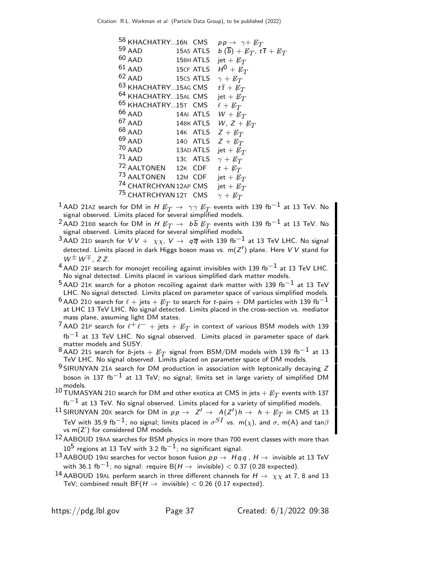| 58 KHACHATRY16N CMS             |                  | $pp \rightarrow \gamma + \not\!\!{E_T}$                          |
|---------------------------------|------------------|------------------------------------------------------------------|
| $59$ AAD                        | 15AS ATLS        | $b(\overline{b}) + \not\!\!{E_T}, t\overline{t} + \not\!\!{E_T}$ |
| $60$ AAD                        | <b>15BH ATLS</b> | jet + $\not{\!\! E_T}$                                           |
| $61$ AAD                        | <b>15CF ATLS</b> | $H^0 + E_T$                                                      |
| $62$ AAD                        | 15CS ATLS        | $\gamma + \not\!\!{E_T}$                                         |
| <sup>63</sup> KHACHATRY15AG CMS |                  | $t\bar{t} + \not\!\!{E_T}$                                       |
| 64 KHACHATRY15AL CMS            |                  | jet + $\not{\!\! E_T}$                                           |
| 65 KHACHATRY15T CMS             |                  | $\ell + \not\!\!{E_T}$                                           |
| $66$ AAD                        | 14AI ATLS        | $W + E_T$                                                        |
| $67$ AAD                        | 14BK ATLS        | W, $Z + E_T$                                                     |
| 68 AAD                          | 14K ATLS         | $Z + E_T$                                                        |
| 69 AAD                          | 140 ATLS         | $Z + E_T$                                                        |
| $70$ AAD                        | 13AD ATLS        | jet + $\not{\!\! E_T}$                                           |
| $71$ AAD                        | 13C ATLS         | $\gamma + \not\!\!{E_T}$                                         |
| 72 AALTONEN 12K CDF             |                  | $t + \not\!\!{E_T}$                                              |
| <sup>73</sup> AALTONEN 12M CDF  |                  | jet + $\not{\!\! E_T}$                                           |
| 74 CHATRCHYAN 12AP CMS          |                  | jet + $\not{\!\! E_T}$                                           |
| 75 CHATRCHYAN 12T CMS           |                  | $\gamma + \not\!\!{E_T}$                                         |
|                                 |                  |                                                                  |

- $^1$  AAD 21AZ search for DM in  $H\not\!\!E_T \rightarrow \gamma\gamma \not\!\!E_T$  events with 139 fb $^{-1}$  at 13 TeV. No signal observed. Limits placed for several simplified models.
- $^2$ AAD 21BB search for DM in  $H\not\!\!E_T \rightarrow~b\overline{b}\not\!\!E_T$  events with 139 fb $^{-1}$  at 13 TeV. No signal observed. Limits placed for several simplified models.
- <sup>3</sup> AAD 21D search for  $VV+ \chi\chi$ ,  $V\rightarrow q\overline{q}$  with 139 fb<sup>-1</sup> at 13 TeV LHC. No signal detected. Limits placed in dark Higgs boson mass vs.  $\mathsf{m}(Z')$  plane. Here  $V\,V$  stand for  $W^{\pm}W^{\mp}$ , ZZ.
- $4$  AAD 21F search for monojet recoiling against invisibles with 139 fb<sup>-1</sup> at 13 TeV LHC. No signal detected. Limits placed in various simplified dark matter models.
- $5$  AAD 21K search for a photon recoiling against dark matter with 139 fb<sup>-1</sup> at 13 TeV LHC. No signal detected. Limits placed on parameter space of various simplified models.
- $^6$  AAD 210 search for  $\ell + {\rm jets} + E_T$  to search for  $t$ -pairs  $+$  DM particles with 139 fb $^{-1}$ at LHC 13 TeV LHC. No signal detected. Limits placed in the cross-section vs. mediator mass plane, assuming light DM states.
- $^7$ AAD 21P search for  $\ell^+\ell^ +$  jets  $+$   $\not\!\!E_T$  in context of various BSM models with 139  $fb^{-1}$  at 13 TeV LHC. No signal observed. Limits placed in parameter space of dark matter models and SUSY.
- 8 AAD 21S search for b-jets +  $\not\!\!E_T$  signal from BSM/DM models with 139 fb<sup>-1</sup> at 13 TeV LHC. No signal observed. Limits placed on parameter space of DM models.
- 9 SIRUNYAN 21A search for DM production in association with leptonically decaying Z boson in 137 fb<sup>-1</sup> at 13 TeV; no signal; limits set in large variety of simplified DM models.
- $^{10}$ TUMASYAN 21D search for DM and other exotica at CMS in jets  $+$   $\not\!\!E_{T}$  events with 137 fb $^{-1}$  at 13 TeV. No signal observed. Limits placed for a variety of simplified models.
- $11$  SIRUNYAN 20X search for DM in  $p p \to Z' \to A(Z') h \to h + E_T$  in CMS at 13 TeV with 35.9 fb $^{-1}$ ; no signal; limits placed in  $\sigma^{SI}$  vs. m( $\chi$ ), and  $\sigma$ , m(A) and tan $\beta$ vs m(Z') for considered DM models.
- 12 AABOUD 19AA searches for BSM physics in more than 700 event classes with more than  $10^5$  regions at 13 TeV with 3.2 fb<sup>-1</sup>; no significant signal.
- 13 AABOUD 19AI searches for vector boson fusion  $p p \rightarrow H q q$ ,  $H \rightarrow$  invisible at 13 TeV with 36.1 fb<sup>-1</sup>; no signal: require B( $H \rightarrow$  invisible) < 0.37 (0.28 expected).
- 14 AABOUD 19AL perform search in three different channels for  $H \to \chi \chi$  at 7, 8 and 13 TeV; combined result  $BF(H \rightarrow$  invisible) < 0.26 (0.17 expected).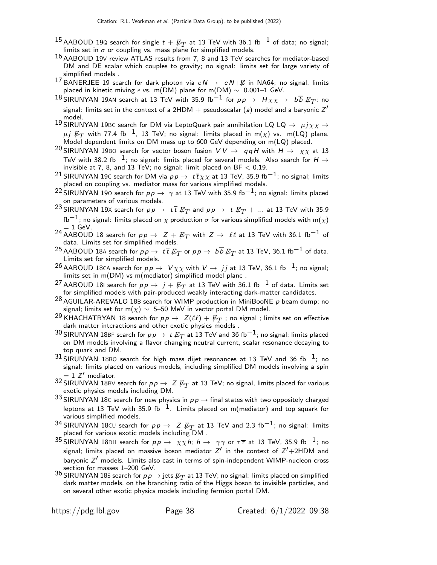- $^{15}$  AABOUD 19Q search for single  $t + \not\!\!{E}_T$  at 13 TeV with 36.1 fb $^{-1}$  of data; no signal; limits set in  $\sigma$  or coupling vs. mass plane for simplified models.
- 16 AABOUD 19<sup>V</sup> review ATLAS results from 7, 8 and 13 TeV searches for mediator-based DM and DE scalar which couples to gravity; no signal: limits set for large variety of simplified models .
- <sup>17</sup> BANERJEE 19 search for dark photon via  $e N \rightarrow e N + E$  in NA64; no signal, limits placed in kinetic mixing  $\epsilon$  vs. m(DM) plane for m(DM)  $\sim$  0.001–1 GeV.
- $^{18}$ SIRUNYAN 19AN search at 13 TeV with 35.9 fb $^{-1}$  for  $p \, \rightarrow \, \, H \chi \chi \rightarrow \, \, b \, \overline{b} \, \, \not\!\! E_{T}$ ; no signal: limits set in the context of a 2HDM  $+$  pseudoscalar (a) model and a baryonic  $Z^\prime$ model.
- 19 SIRUNYAN 19BC search for DM via LeptoQuark pair annihilation LQ LQ  $\rightarrow \mu j \chi \chi \rightarrow 19$  $\mu j \not\!\! E_T$  with 77.4 fb $^{-1}$ , 13 TeV; no signal: limits placed in m( $\chi$ ) vs. m(LQ) plane.<br>Model dependent limits on DM mass up to 600 GeV depending on m(LQ) placed.
- <sup>20</sup> SIRUNYAN 19BO search for vector boson fusion  $VV \rightarrow q\overline{q}H$  with  $H \rightarrow \chi \chi$  at 13 TeV with 38.2 fb $^{-1}$ ; no signal: limits placed for several models. Also search for  $H\to$ invisible at 7, 8, and 13 TeV; no signal: limit placed on  $BF < 0.19$ .
- $^{21}$ SIRUNYAN 19 $\epsilon$  search for DM via  $p \, p \to \, t \overline{t} \chi \chi$  at 13 TeV, 35.9 fb $^{-1}$ ; no signal; limits placed on coupling vs. mediator mass for various simplified models.
- <sup>22</sup> SIRUNYAN 190 search for  $p p \rightarrow \gamma$  at 13 TeV with 35.9 fb<sup>-1</sup>; no signal: limits placed on parameters of various models.
- $^{23}$ SIRUNYAN 19X search for  $p \, p \, \rightarrow \, \, t \, \overline{t} \not \!\! E_{T}$  and  $p \, p \, \rightarrow \, \, t \not \!\! E_{T} + ...$  at 13 TeV with 35.9 fb<sup>-1</sup>; no signal: limits placed on  $\chi$  production  $\sigma$  for various simplified models with m( $\chi$ )
- $= 1$  GeV.<br><sup>24</sup> AABOUD 18 search for  $p p \rightarrow Z + \not\!\! E_T$  with  $Z \rightarrow \ell \ell$  at 13 TeV with 36.1 fb<sup>−1</sup> of data. Limits set for simplified models.
- $^{25}$  AABOUD 18A search for  $p \, p \to \; t\, \overline{t} \, \not \!\! E_{T}$  or  $p \, p \to \; b \, \overline{b} \, \not \!\! E_{T}$  at 13 TeV, 36.1 fb $^{-1}$  of data. Limits set for simplified models.
- $^{26}$ AABOUD 18CA search for  $p \, p \, \rightarrow \, \, V \chi \chi$  with  $V \rightarrow \, jj$  at 13 TeV, 36.1 fb $^{-1}$ ; no signal; limits set in m(DM) vs m(mediator) simplified model plane .
- $^{27}$  AABOUD 181 search for  $p \, p \, \rightarrow \,$   $j + \not \! \! E_{T}$  at 13 TeV with 36.1 fb $^{-1}$  of data. Limits set for simplified models with pair-produced weakly interacting dark-matter candidates.
- 28 AGUILAR-AREVALO 18B search for WIMP production in MiniBooNE p beam dump; no signal; limits set for m( $\chi$ ) ~ 5–50 MeV in vector portal DM model.
- $^{29}$ KHACHATRYAN 18 search for  $\rho \rho \to \ Z(\ell\ell) + \not \!\! E_{T}$  ; no signal ; limits set on effective dark matter interactions and other exotic physics models .
- $^{30}$ SIRUNYAN 18BF search for  $p \, p \rightarrow \; t \not\!\! E_T$  at 13 TeV and 36 fb $^{-1}$ ; no signal; limits placed on DM models involving a flavor changing neutral current, scalar resonance decaying to top quark and DM.
- $31$  SIRUNYAN 18BO search for high mass dijet resonances at 13 TeV and 36 fb<sup>-1</sup>; no signal: limits placed on various models, including simplified DM models involving a spin  $= 1$   $Z'$  mediator.
- $^{32}$  SIRUNYAN 18BV search for  $p \, \rightarrow \, Z \, \not\!\!E_T$  at 13 TeV; no signal, limits placed for various exotic physics models including DM.
- 33 SIRUNYAN 18C search for new physics in  $p p \rightarrow$  final states with two oppositely charged leptons at 13 TeV with 35.9 fb<sup>-1</sup>. Limits placed on m(mediator) and top squark for various simplified models.
- $^{34}$ SIRUNYAN 18<code>CU</code> search for  $p \, p \, \rightarrow \, \, Z \not\!\! E_T$  at 13 TeV and 2.3 fb $^{-1}$ ; no signal: limits placed for various exotic models including DM .
- $^{35}$ SIRUNYAN 18DH search for  $p \, p \, \rightarrow \, \, \chi \chi \, h; \; h \, \rightarrow \, \, \gamma \gamma$  or  $\tau \overline{\tau}$  at 13 TeV, 35.9 fb $^{-1};$  no signal; limits placed on massive boson mediator  $Z'$  in the context of  $Z'+2{\sf HDM}$  and baryonic  $Z'$  models. Limits also cast in terms of spin-independent WIMP-nucleon cross section for masses 1–200 GeV.
- $36$  SIRUNYAN 18S search for  $pp \rightarrow$  jets  $\not\!\!E_T$  at 13 TeV; no signal: limits placed on simplified dark matter models, on the branching ratio of the Higgs boson to invisible particles, and on several other exotic physics models including fermion portal DM.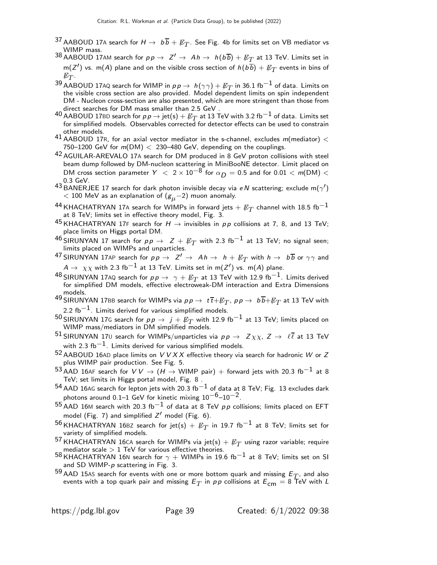- $^{37}$  AABOUD 17A search for  $H \rightarrow~b\overline{b} + E_T$ . See Fig. 4b for limits set on VB mediator vs WIMP mass.
- $^{38}$  AABOUD 17AM search for  $p \, p \to \ Z^\prime \to \ A \, h \to \ h(b \, \overline{b}) + \not\!\!E_T$  at 13 TeV. Limits set in  $\mathsf{m}(Z')$  vs.  $\mathsf{m}(A)$  plane and on the visible cross section of  $h(b\overline{b}) + \not\!\!{E}_T$  events in bins of  $\not{\!\! E_T}.$
- $^{39}$  AABOUD 17AQ search for WIMP in  $p \, p \to \, h (\gamma \gamma) + E_T$  in 36.1 fb $^{-1}$  of data. Limits on the visible cross section are also provided. Model dependent limits on spin independent DM - Nucleon cross-section are also presented, which are more stringent than those from direct searches for DM mass smaller than 2.5 GeV .
- $^{40}$  AABOUD 17BD search for  $p \, p \to \mathrm{jet}(\mathrm{s}) + \not\!\!E_{T}$  at 13 TeV with 3.2 fb $^{-1}$  of data. Limits set for simplified models. Observables corrected for detector effects can be used to constrain other models.
- 41 AABOUD 17R, for an axial vector mediator in the s-channel, excludes  $m(\text{mediator}) <$ 750–1200 GeV for  $m(DM) < 230$ –480 GeV, depending on the couplings.
- <sup>42</sup> AGUILAR-AREVALO 17A search for DM produced in 8 GeV proton collisions with steel beam dump followed by DM-nucleon scattering in MiniBooNE detector. Limit placed on DM cross section parameter  $Y < 2 \times 10^{-8}$  for  $\alpha_D = 0.5$  and for 0.01  $< m(DM) <$ 0.3 GeV.
- $^{43}$ BANERJEE 17 search for dark photon invisible decay via e $N$  scattering; exclude m( $\gamma^\prime)$  $<$  100 MeV as an explanation of  $(g<sub>µ</sub>−2)$  muon anomaly.
- $^{44}$ KHACHATRYAN 17A search for WIMPs in forward jets  $+$   $\not\!\!E_T$  channel with 18.5 fb $^{-1}$ at 8 TeV; limits set in effective theory model, Fig. 3.
- 45 KHACHATRYAN 17F search for  $H \to$  invisibles in  $pp$  collisions at 7, 8, and 13 TeV; place limits on Higgs portal DM.
- 46 SIRUNYAN 17 search for  $pp \rightarrow Z + \not\!\!{E}_T$  with 2.3 fb<sup>-1</sup> at 13 TeV; no signal seen; limits placed on WIMPs and unparticles.
- $^{47}$ SIRUNYAN 17AP search for  $p \, p \, \rightarrow \, \; Z' \, \rightarrow \, \; Ah \, \rightarrow \, \; h \, + \, \not\!\!E_{T}$  with  $h \, \rightarrow \, \; b \, \overline{b}$  or  $\gamma \gamma$  and  $A \rightarrow \ \chi \chi$  with 2.3 fb $^{-1}$  at 13 TeV. Limits set in m(Z $^\prime$ ) vs. m(A) plane.
- $^{48}$ SIRUNYAN 17AQ search for  $p \, p \, \rightarrow \, \gamma + \not\!\!E_{T}$  at 13 TeV with 12.9 fb $^{-1}$ . Limits derived for simplified DM models, effective electroweak-DM interaction and Extra Dimensions models.
- $^{49}$ SIRUNYAN 17BB search for WIMPs via  $p \, p \to \; t\, \overline{t} + {\not\!\! E_T}$ ,  $p \, p \to \; b\, \overline{b} + {\not\!\! E_T}$  at 13 TeV with 2.2 fb<sup> $-1$ </sup>. Limits derived for various simplified models.
- <sup>50</sup> SIRUNYAN 17G search for  $p p \rightarrow j + \not\!\! E_{T}$  with 12.9 fb $^{-1}$  at 13 TeV; limits placed on WIMP mass/mediators in DM simplified models.
- $^{51}$ SIRUNYAN 17 $\scriptstyle\rm U$  search for WIMPs/unparticles via  $p \, p \, \rightarrow \, \; Z \, \chi \chi, \, Z \, \rightarrow \, \, \ell \, \overline{\ell}$  at 13 TeV with 2.3 fb<sup>-1</sup>. Limits derived for various simplified models.
- $52$  AABOUD 16AD place limits on  $VVXX$  effective theory via search for hadronic W or Z plus WIMP pair production. See Fig. 5.
- $^{53}$ AAD 16AF search for  $V\,V \rightarrow (H \rightarrow$  WIMP pair)  $+$  forward jets with 20.3 fb $^{-1}$  at 8 TeV; set limits in Higgs portal model, Fig. 8 .
- $^{54}$  AAD 16AG search for lepton jets with 20.3 fb<sup>-1</sup> of data at 8 TeV; Fig. 13 excludes dark photons around 0.1–1 GeV for kinetic mixing 10−6–10−2.
- $^{55}$  AAD 16M search with 20.3 fb<sup>-1</sup> of data at 8 TeV pp collisions; limits placed on EFT model (Fig. 7) and simplified  $Z'$  model (Fig. 6).
- $^{56}\,$ KHACHATRYAN 16BZ search for jet(s)  $+ \not\!\!{E}_T$  in 19.7 fb $^{-1}$  at 8 TeV; limits set for variety of simplified models.
- $^{57}$ KHACHATRYAN 16CA search for WIMPs via jet(s)  $+$   $\not\!\!E_{T}$  using razor variable; require mediator scale  $> 1$  TeV for various effective theories.
- 58 KHACHATRYAN 16N search for  $\gamma$  + WIMPs in 19.6 fb<sup>-1</sup> at 8 TeV; limits set on SI and SD WIMP-p scattering in Fig. 3.
- <sup>59</sup> AAD 15AS search for events with one or more bottom quark and missing  $E_T$ , and also events with a top quark pair and missing  $E^{}_T$  in  $\rho\,\rho$  collisions at  $E^{}_{\mathsf{cm}}=$  8 TeV with  $L$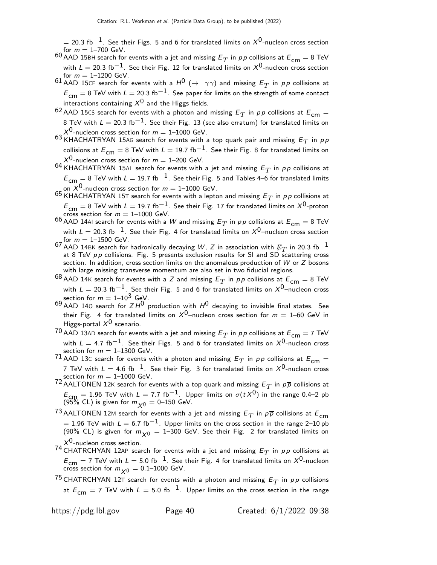$=$  20.3 fb $^{-1}$ . See their Figs. 5 and 6 for translated limits on  $\mathsf{\mathsf{X}}^0$ -nucleon cross section for  $m = 1 - 700$  GeV.

 $^{60}$  AAD 15BH search for events with a jet and missing  $E_T$  in  $\rho \rho$  collisions at  $E_{\mathsf{cm}}=$  8 TeV with  $L = 20.3$  fb<sup>-1</sup>. See their Fig. 12 for translated limits on  $X<sup>0</sup>$ -nucleon cross section for  $m = 1 - 1200$  GeV.

61 AAD 15CF search for events with a  $H^0$  ( $\rightarrow \gamma \gamma$ ) and missing  $E_T$  in pp collisions at  $E_{\text{cm}} = 8$  TeV with  $L = 20.3$  fb $^{-1}$ . See paper for limits on the strength of some contact interactions containing  $X^0$  and the Higgs fields.

<sup>62</sup> AAD 15CS search for events with a photon and missing  $E_T$  in pp collisions at  $E_{cm} =$ 8 TeV with  $L = 20.3 \text{ fb}^{-1}$ . See their Fig. 13 (see also erratum) for translated limits on  $X^0$ -nucleon cross section for  $m = 1$ –1000 GeV.

 $^{63}\,$ KHACHATRYAN 15AG search for events with a top quark pair and missing  $E_T$  in  $\rho\, p$ collisions at  $E_{cm} = 8$  TeV with  $L = 19.7$  fb<sup>-1</sup>. See their Fig. 8 for translated limits on  $X^{0}$ -nucleon cross section for  $m = 1-200$  GeV.

 $^{64}\,$ KHACHATRYAN 15AL search for events with a jet and missing  $E_T$  in  $\rho\rho$  collisions at  $E_{\textsf{cm}}=8$  TeV with  $L=19.7$  fb $^{-1}$ . See their Fig. 5 and Tables 4–6 for translated limits on  $X^{\mathsf{0}}$ -nucleon cross section for  $m=1\text{--}1000$  GeV.

 $^{65}$  KHACHATRYAN 15T search for events with a lepton and missing  $E_T$  in  $\rho \rho$  collisions at  $E_{\text{cm}} = 8 \text{ TeV}$  with  $L = 19.7 \text{ fb}^{-1}$ . See their Fig. 17 for translated limits on  $X^0$ -proton cross section for  $m = 1-1000$  GeV.

 $^{66}$  AAD 14AI search for events with a  $W$  and missing  $E^{}_T$  in  $\rho\,p$  collisions at  $E^{}_{\sf cm} =$  8 TeV with  $L = 20.3$  fb<sup>-1</sup>. See their Fig. 4 for translated limits on  $X<sup>0</sup>$ -nucleon cross section for  $m = 1 - 1500$  GeV.

67 AAD 14BK search for hadronically decaying W, Z in association with  $\not\!\!E_T$  in 20.3 fb<sup>-1</sup> at 8 TeV  $pp$  collisions. Fig. 5 presents exclusion results for SI and SD scattering cross section. In addition, cross section limits on the anomalous production of W or Z bosons with large missing transverse momentum are also set in two fiducial regions.

 $^{68}$  AAD 14K search for events with a Z and missing  $E_T$  in pp collisions at  $E_{\textsf{cm}}=$  8 TeV with  $L = 20.3$  fb<sup>-1</sup>. See their Fig. 5 and 6 for translated limits on  $X^0$ -nucleon cross section for  $m = 1 - 10^3$  GeV.

 $^{69}$  AAD 140 search for  $ZH^0$  production with  $H^0$  decaying to invisible final states. See their Fig. 4 for translated limits on  $X^0$ –nucleon cross section for  $m = 1$ –60 GeV in Higgs-portal  $X^0$  scenario.

 $^{70}$  AAD 13AD search for events with a jet and missing  $E^{}_T$  in  $\rho\, \rho$  collisions at  $E^{}_{\sf cm} =$  7 TeV with  $L=$  4.7 fb $^{-1}$ . See their Figs. 5 and 6 for translated limits on  $\mathsf{\mathsf{X}}^0$ -nucleon cross section for  $m = 1 - 1300$  GeV.

 $71$  AAD 13C search for events with a photon and missing  $E_T$  in pp collisions at  $E_{\mathsf{cm}}=0$ 7 TeV with  $L = 4.6~{\rm fb}^{-1}$ . See their Fig. 3 for translated limits on  $X^0$ -nucleon cross section for  $m = 1 - 1000$  GeV.

 $^{72}$  AALTONEN 12K search for events with a top quark and missing  $E_T$  in  $\rho\overline{\rho}$  collisions at  $E_{\text{CFR}} = 1.96$  TeV with  $L = 7.7$  fb<sup>-1</sup>. Upper limits on  $\sigma(tX^0)$  in the range 0.4–2 pb (95% CL) is given for  $m_{\chi^0}=$  0–150 GeV.

 $^{73}$ AALTONEN 12M search for events with a jet and missing  $E_T$  in  $\rho\overline{\rho}$  collisions at  $E_{\mathsf{cm}}$  $= 1.96$  TeV with  $L = 6.7$  fb $^{-1}$ . Upper limits on the cross section in the range 2–10 pb (90% CL) is given for  $m_{\chi0} = 1$ –300 GeV. See their Fig. 2 for translated limits on  $X^{\mathsf{U}}$ -nucleon cross section.

 $^{74}$  CHATRCHYAN 12AP search for events with a jet and missing  $E_T$  in  $\rho\rho$  collisions at  $E_{\text{cm}} = 7$  TeV with  $L = 5.0 \text{ fb}^{-1}$ . See their Fig. 4 for translated limits on  $X^0$ -nucleon cross section for  $m_{\chi^0}=$  0.1–1000 GeV.

 $^{75}$  CHATRCHYAN 12T search for events with a photon and missing  $E_T$  in  $\rho\rho$  collisions at  $E_{cm} = 7$  TeV with  $L = 5.0$  fb<sup>-1</sup>. Upper limits on the cross section in the range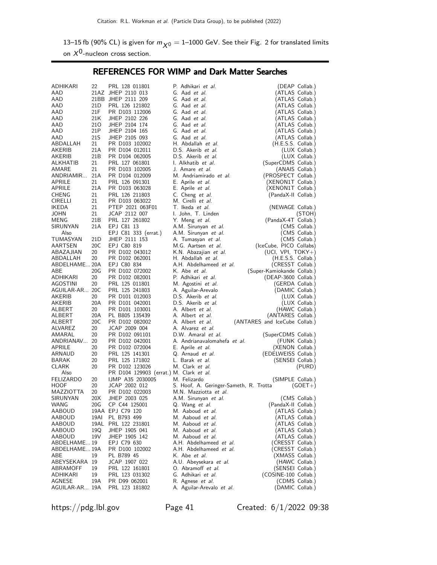13–15 fb (90% CL) is given for  $m_{\chi0} = 1$ –1000 GeV. See their Fig. 2 for translated limits on  $X^0$ -nucleon cross section.

REFERENCES FOR WIMP and Dark Matter Searches

| ADHIKARI                | 22              | PRL 128 011801                                              | P. Adhikari et al.                     | (DEAP Collab.)                |
|-------------------------|-----------------|-------------------------------------------------------------|----------------------------------------|-------------------------------|
| AAD                     |                 | 21AZ JHEP 2110 013                                          | G. Aad et al.                          | (ATLAS Collab.)               |
| AAD                     |                 | 21BB JHEP 2111 209                                          | G. Aad et al.                          | (ATLAS Collab.)               |
| AAD                     | 21 <sub>D</sub> | PRL 126 121802                                              | G. Aad et al.                          | (ATLAS Collab.)               |
| AAD                     | 21F             | PR D103 112006                                              | G. Aad et al.                          | (ATLAS Collab.)               |
| AAD                     | 21K             | JHEP 2102 226                                               | G. Aad et al.                          | (ATLAS Collab.)               |
| AAD                     | 210             | JHEP 2104 174                                               | G. Aad et al.                          | (ATLAS Collab.)               |
| AAD                     | 21P             | JHEP 2104 165                                               | G. Aad et al.                          | (ATLAS Collab.)               |
| AAD                     | 21S             | JHEP 2105 093                                               | G. Aad et al.                          | (ATLAS Collab.)               |
| ABDALLAH                | 21              | PR D103 102002                                              | H. Abdallah et al.                     | (H.E.S.S. Collab.)            |
| AKERIB                  | 21 A            | PR D104 012011                                              | D.S. Akerib et al.                     | (LUX Collab.)                 |
| AKERIB                  | 21 <sub>B</sub> | PR D104 062005                                              | D.S. Akerib et al.                     | (LUX Collab.)                 |
| ALKHATIB                | 21              | PRL 127 061801                                              | I. Alkhatib <i>et al.</i>              | (SuperCDMS Collab.)           |
| AMARE                   | 21              | PR D103 102005                                              | J. Amare <i>et al.</i>                 | (ANAIS Collab.)               |
| ANDRIAMIR               | 21A             | PR D104 012009                                              | M. Andriamirado et al.                 | (PROSPECT Collab.)            |
| APRILE<br><b>APRILE</b> | 21              | PRL 126 091301                                              | E. Aprile et al.                       | (XENON1T Collab.)             |
| CHENG                   | 21A<br>21       | PR D103 063028                                              | E. Aprile et al.                       | (XENON1T Collab.)             |
| CIRELLI                 | 21              | PRL 126 211803<br>PR D103 063022                            | C. Cheng et al.<br>M. Cirelli et al.   | (PandaX-II Collab.)           |
| IKEDA                   | 21              | PTEP 2021 063F01                                            | T. Ikeda <i>et al.</i>                 | (NEWAGE Collab.)              |
| JOHN                    | 21              | JCAP 2112 007                                               | I. John, T. Linden                     | (STOH)                        |
| MENG                    | 21 <sub>B</sub> | PRL 127 261802                                              | Y. Meng <i>et al.</i>                  | (PandaX-4T Collab.)           |
| SIRUNYAN                | 21A             | EPJ C81 13                                                  | A.M. Sirunyan et al.                   | (CMS Collab.)                 |
| Also                    |                 | EPJ C81 333 (errat.)                                        | A.M. Sirunyan et al.                   | (CMS Collab.)                 |
| TUMASYAN                | 21 <sub>D</sub> | JHEP 2111 153                                               | A. Tumasyan et al.                     | (CMS Collab.)                 |
| AARTSEN                 | 20C             | EPJ C80 819                                                 | M.G. Aartsen et al.                    | (IceCube, PICO Collabs)       |
| ABAZAJIAN               | 20              | PR D102 043012                                              | K.N. Abazajian et al.                  | (UCI, VPI, $TOKY+)$           |
| ABDALLAH                | 20              | PR D102 062001                                              | H. Abdallah et al.                     | $(H.E.S.S.$ Collab.)          |
| ABDELHAME 20A           |                 | EPJ C80 834                                                 | A.H. Abdelhameed et al.                | (CRESST Collab.)              |
| ABE                     | 20G             | PR D102 072002                                              | K. Abe et al.                          | (Super-Kamiokande Collab.)    |
| ADHIKARI                | 20              | PR D102 082001                                              | P. Adhikari et al.                     | (DEAP-3600 Collab.)           |
| AGOSTINI                | 20              | PRL 125 011801                                              | M. Agostini et al.                     | (GERDA Collab.)               |
| AGUILAR-AR 20C          |                 | PRL 125 241803                                              | A. Aguilar-Arevalo                     | (DAMIC Collab.)               |
| AKERIB                  | 20              | PR D101 012003                                              | D.S. Akerib et al.                     | (LUX Collab.)                 |
| AKERIB                  | 20A             | PR D101 042001                                              | D.S. Akerib et al.                     | (LUX Collab.)                 |
| ALBERT                  | 20              | PR D101 103001                                              | A. Albert et al.                       | (HAWC Collab.)                |
| ALBERT                  | 20A             | PL B805 135439                                              | A. Albert et al.                       | (ANTARES Collab.)             |
| ALBERT                  | 20C             | PR D102 082002                                              | A. Albert et al.                       | (ANTARES and IceCube Collab.) |
| ALVAREZ                 | 20              | JCAP 2009 004                                               | A. Alvarez et al.                      |                               |
| AMARAL                  | 20              | PR D102 091101                                              | D.W. Amaral et al.                     | (SuperCDMS Collab.)           |
| ANDRIANAV               | 20              | PR D102 042001                                              | A. Andrianavalomahefa et al.           | (FUNK Collab.)                |
| APRILE                  | 20              | PR D102 072004                                              | E. Aprile et al.                       | (XENON Collab.)               |
| ARNAUD                  | 20              | PRL 125 141301                                              | Q. Arnaud et al.                       | (EDELWEISS Collab.)           |
| <b>BARAK</b>            | 20              | PRL 125 171802                                              | L. Barak <i>et al.</i>                 | (SENSEI Collab.)              |
| <b>CLARK</b>            | 20              | PR D102 123026                                              | M. Clark et al.                        | (PURD)                        |
| Also<br>FELIZARDO       | 20              | PR D104 129903 (errat.) M. Clark et al.<br>IJMP A35 2030005 | M. Felizardo                           | (SIMPLE Collab.)              |
| HOOF                    | 20              | JCAP 2002 012                                               | S. Hoof, A. Geringer-Sameth, R. Trotta | $(GOET+)$                     |
| MAZZIOTTA               | 20              | PR D102 022003                                              | M.N. Mazziotta et al.                  |                               |
| SIRUNYAN                | 20X             | JHEP 2003 025                                               | A.M. Sirunyan et al.                   | (CMS Collab.)                 |
| WANG                    | 20G             | CP C44 125001                                               | Q. Wang et al.                         | (PandaX-II Collab.)           |
| AABOUD                  |                 | 19AA EPJ C79 120                                            | M. Aaboud et al.                       | (ATLAS Collab.)               |
| AABOUD                  | 19AI            | PL B793 499                                                 | M. Aaboud et al.                       | (ATLAS Collab.)               |
| AABOUD                  | 19AL            | PRL 122 231801                                              | M. Aaboud et al.                       | (ATLAS Collab.)               |
| AABOUD                  | 19Q             | JHEP 1905 041                                               | M. Aaboud et al.                       | (ATLAS Collab.)               |
| AABOUD                  | 19V             | JHEP 1905 142                                               | M. Aaboud et al.                       | (ATLAS Collab.)               |
| ABDELHAME 19            |                 | EPJ C79 630                                                 | A.H. Abdelhameed et al.                | (CRESST Collab.)              |
| ABDELHAME 19A           |                 | PR D100 102002                                              | A.H. Abdelhameed et al.                | (CRESST Collab.)              |
| ABE                     | 19              | PL B789 45                                                  | K. Abe <i>et al.</i>                   | (XMASS Collab.)               |
| ABEYSEKARA              | - 19            | JCAP 1907 022                                               | A.U. Abeysekara et al.                 | (HAWC Collab.)                |
| ABRAMOFF                | 19              | PRL 122 161801                                              | O. Abramoff et al.                     | (SENSEI Collab.)              |
| ADHIKARI                | 19              | PRL 123 031302                                              | G. Adhikari et al.                     | (COSINE-100 Collab.)          |
| AGNESE                  | 19A             | PR D99 062001                                               | R. Agnese <i>et al.</i>                | (CDMS Collab.)                |
| AGUILAR-AR 19A          |                 | PRL 123 181802                                              | A. Aguilar-Arevalo et al.              | (DAMIC Collab.)               |

https://pdg.lbl.gov Page 41 Created: 6/1/2022 09:38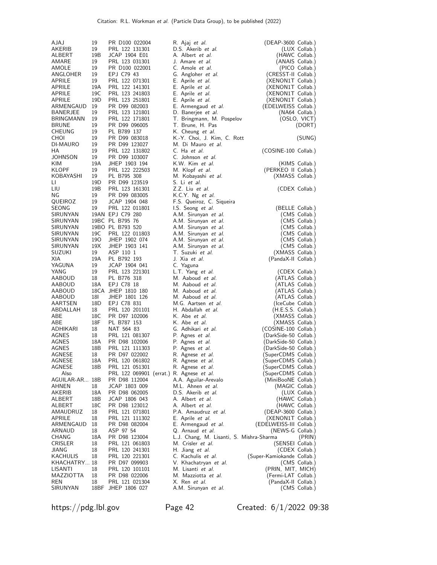| AJAJ           | 19              | PR D100 022004                           | R. Ajaj <i>et al.</i>                      | (DEAP-3600 Collab.)                            |                 |
|----------------|-----------------|------------------------------------------|--------------------------------------------|------------------------------------------------|-----------------|
| AKERIB         | 19              | PRL 122 131301                           | D.S. Akerib et al.                         |                                                | (LUX Collab.)   |
| ALBERT         | 19B             | JCAP 1904 E01                            | A. Albert et al.                           |                                                | (HAWC Collab.)  |
| AMARE          | 19              | PRL 123 031301                           | J. Amare et al.                            |                                                | (ANAIS Collab.) |
| AMOLE          | 19              | PR D100 022001                           | C. Amole et al.                            |                                                | (PICO Collab.)  |
| ANGLOHER       | 19              | EPJ C79 43                               | G. Angloher et al.                         | (CRESST-II Collab.)                            |                 |
| APRILE         | 19              | PRL 122 071301                           | E. Aprile <i>et al.</i>                    | (XENON1T Collab.)                              |                 |
| APRILE         | 19A             | PRL 122 141301                           | E. Aprile <i>et al.</i>                    | (XENON1T Collab.)                              |                 |
| APRILE         | 19C             | PRL 123 241803                           | E. Aprile et al.                           | (XENON1T Collab.)                              |                 |
| APRILE         | 19 <sub>D</sub> | PRL 123 251801                           | E. Aprile et al.                           | (XENON1T Collab.)                              |                 |
| ARMENGAUD      | 19              | PR D99 082003                            | E. Armengaud et al.                        | (EDELWEISS Collab.)                            |                 |
| BANERJEE       | 19              | PRL 123 121801                           | D. Banerjee <i>et al.</i>                  |                                                | (NA64 Collab.)  |
| BRINGMANN      | 19              | PRL 122 171801                           | T. Bringmann, M. Pospelov                  |                                                | (OSLO, VICT)    |
| <b>BRUNE</b>   | 19              | PR D99 096005                            | T. Brune, H. Pas                           |                                                | (DORT)          |
| CHEUNG         | 19              | PL B789 137                              | K. Cheung <i>et al.</i>                    |                                                |                 |
| CHOI           | 19              | PR D99 083018                            | K.-Y. Choi, J. Kim, C. Rott                |                                                | (SUNG)          |
| DI-MAURO       | 19              | PR D99 123027                            | M. Di Mauro et al.                         |                                                |                 |
| НA             | 19              | PRL 122 131802                           | C. Ha et al.                               | (COSINE-100 Collab.)                           |                 |
| JOHNSON        | 19              | PR D99 103007                            | C. Johnson et al.                          |                                                |                 |
| KIM            | 19A             | JHEP 1903 194                            | K.W. Kim et al.                            |                                                | (KIMS Collab.)  |
| KLOPF          | 19              | PRL 122 222503                           | M. Klopf et al.                            | (PERKEO II Collab.)                            |                 |
| KOBAYASHI      | 19              | PL B795 308<br>PR D99 123519             | M. Kobayashi et al.                        | (XMASS Collab.)                                |                 |
| LI.            | 19D<br>19B      | PRL 123 161301                           | S. Li et al.                               |                                                |                 |
| LIU<br>ΝG      | 19              | PR D99 083005                            | Z.Z. Liu et al.<br>K.C.Y. Ng et al.        |                                                | (CDEX Collab.)  |
| QUEIROZ        | 19              | JCAP 1904 048                            | F.S. Queiroz, C. Siqueira                  |                                                |                 |
| SEONG          | 19              | PRL 122 011801                           | I.S. Seong <i>et al.</i>                   | (BELLE Collab.)                                |                 |
| SIRUNYAN       |                 | 19AN EPJ C79 280                         | A.M. Sirunyan et al.                       |                                                | (CMS Collab.)   |
| SIRUNYAN       |                 | 19BC PL B795 76                          | A.M. Sirunyan et al.                       |                                                | (CMS Collab.)   |
| SIRUNYAN       |                 | 19BO PL B793 520                         | A.M. Sirunyan et al.                       |                                                | (CMS Collab.)   |
| SIRUNYAN       | 19C             | PRL 122 011803                           | A.M. Sirunyan et al.                       |                                                | (CMS Collab.)   |
| SIRUNYAN       | 190             | JHEP 1902 074                            | A.M. Sirunyan et al.                       |                                                | (CMS Collab.)   |
| SIRUNYAN       | 19X             | JHEP 1903 141                            | A.M. Sirunyan et al.                       |                                                | (CMS Collab.)   |
| SUZUKI         | 19              | ASP 110 1                                | T. Suzuki et al.                           | (XMASS Collab.)                                |                 |
| XIA            | 19A             | PL B792 193                              | J. Xia et al.                              | (PandaX-II Collab.)                            |                 |
| YAGUNA         | 19              | JCAP 1904 041                            | C. Yaguna                                  |                                                |                 |
| YANG           | 19              | PRL 123 221301                           | L.T. Yang et al.                           |                                                | (CDEX Collab.)  |
| AABOUD         | 18              | PL B776 318                              | M. Aaboud <i>et al.</i>                    | (ATLAS Collab.)                                |                 |
| AABOUD         | 18A             | EPJ C78 18                               | M. Aaboud et al.                           | (ATLAS Collab.)                                |                 |
| AABOUD         |                 | 18CA JHEP 1810 180                       | M. Aaboud <i>et al.</i>                    | (ATLAS Collab.)                                |                 |
| AABOUD         | 18I             | JHEP 1801 126                            | M. Aaboud et al.                           | (ATLAS Collab.)                                |                 |
| AARTSEN        | 18D             | EPJ C78 831                              | M.G. Aartsen et al.                        | (IceCube Collab.)                              |                 |
| ABDALLAH       | 18              | PRL 120 201101                           | H. Abdallah et al.                         | (H.E.S.S. Collab.)                             |                 |
| ABE            | 18C             | PR D97 102006                            | K. Abe et al.                              | (XMASS Collab.)                                |                 |
| ABE            | 18F             | PL B787 153                              | K. Abe et al.                              | (XMASS Collab.)                                |                 |
| ADHIKARI       | 18              | NAT 564 83                               | G. Adhikari et al.                         | (COSINE-100 Collab.)                           |                 |
| AGNES          | 18<br>18A       | PRL 121 081307                           | P. Agnes et al.                            | (DarkSide-50 Collab.)                          |                 |
| AGNES<br>AGNES | 18B             | PR D98 102006<br>PRL 121 111303          | P. Agnes <i>et al.</i>                     | (DarkSide-50 Collab.)<br>(DarkSide-50 Collab.) |                 |
| AGNESE         | 18              | PR D97 022002                            | P. Agnes <i>et al.</i><br>R. Agnese et al. | (SuperCDMS Collab.)                            |                 |
| AGNESE         | 18A             | PRL 120 061802                           | R. Agnese <i>et al.</i>                    | (SuperCDMS Collab.)                            |                 |
| AGNESE         | 18B             | PRL 121 051301                           | R. Agnese <i>et al.</i>                    | (SuperCDMS Collab.)                            |                 |
| Also           |                 | PRL 122 069901 (errat.) R. Agnese et al. |                                            | (SuperCDMS Collab.)                            |                 |
| AGUILAR-AR 18B |                 | PR D98 112004                            | A.A. Aguilar-Arevalo                       | (MiniBooNE Collab.)                            |                 |
| AHNEN          | 18              | JCAP 1803 009                            | M.L. Ahnen et al.                          | (MAGIC Collab.)                                |                 |
| AKERIB         | 18A             | PR D98 062005                            | D.S. Akerib et al.                         |                                                | (LUX Collab.)   |
| ALBERT         | 18B             | JCAP 1806 043                            | A. Albert et al.                           |                                                | (HAWC Collab.)  |
| ALBERT         | 18C             | PR D98 123012                            | A. Albert <i>et al.</i>                    | (HAWC Collab.)                                 |                 |
| AMAUDRUZ       | 18              | PRL 121 071801                           | P.A. Amaudruz et al.                       | (DEAP-3600 Collab.)                            |                 |
| APRILE         | 18              | PRL 121 111302                           | E. Aprile et al.                           | (XENON1T Collab.)                              |                 |
| ARMENGAUD      | 18              | PR D98 082004                            | E. Armengaud et al.                        | (EDELWEISS-III Collab.)                        |                 |
| ARNAUD         | 18              | ASP 97 54                                | Q. Arnaud <i>et al.</i>                    | (NEWS-G Collab.)                               |                 |
| CHANG          | 18A             | PR D98 123004                            | L.J. Chang, M. Lisanti, S. Mishra-Sharma   |                                                | (PRIN)          |
| CRISLER        | 18              | PRL 121 061803                           | M. Crisler et al.                          | (SENSEI Collab.)                               |                 |
| JIANG          | 18              | PRL 120 241301                           | H. Jiang et al.                            |                                                | (CDEX Collab.)  |
| KACHULIS       | 18              | PRL 120 221301                           | C. Kachulis et al.                         | (Super-Kamiokande Collab.)                     |                 |
| KHACHATRY 18   |                 | PR D97 099903                            | V. Khachatryan et al.                      |                                                | (CMS Collab.)   |
| LISANTI        | 18              | PRL 120 101101                           | M. Lisanti <i>et al.</i>                   | (PRIN, MIT, MICH)                              |                 |
| MAZZIOTTA      | 18              | PR D98 022006                            | M. Mazziotta <i>et al.</i>                 | (Fermi-LAT Collab.)                            |                 |
| REN            | 18              | PRL 121 021304                           | X. Ren <i>et al.</i>                       | (PandaX-II Collab.)                            |                 |
| SIRUNYAN       | 18BF            | JHEP 1806 027                            | A.M. Sirunyan et al.                       |                                                | (CMS Collab.)   |

https://pdg.lbl.gov Page 42 Created: 6/1/2022 09:38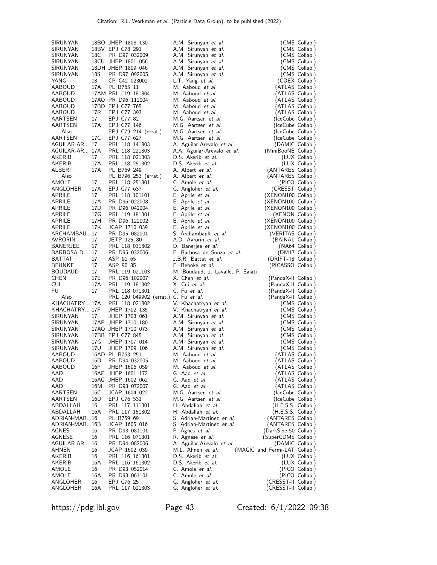| SIRUNYAN               |                 | 18BO JHEP 1808 130                     | A.M. Sirunyan et al.                                   | (CMS Collab.)                                  |
|------------------------|-----------------|----------------------------------------|--------------------------------------------------------|------------------------------------------------|
| SIRUNYAN               |                 | 18BV EPJ C78 291                       | A.M. Sirunyan et al.                                   | (CMS Collab.)                                  |
| SIRUNYAN               | 18C             | PR D97 032009                          | A.M. Sirunyan et al.                                   | (CMS Collab.)                                  |
| SIRUNYAN               |                 | 18CU JHEP 1801 056                     | A.M. Sirunyan et al.                                   | (CMS Collab.)                                  |
| SIRUNYAN               |                 | 18DH JHEP 1809 046                     | A.M. Sirunyan et al.                                   | (CMS Collab.)                                  |
| SIRUNYAN               | 18S             | PR D97 092005<br>CP C42 023002         | A.M. Sirunyan et al.                                   | (CMS Collab.)                                  |
| YANG<br>AABOUD         | 18<br>17A       | PL B765 11                             | L.T. Yang et al.<br>M. Aaboud et al.                   | (CDEX Collab.)<br>(ATLAS Collab.)              |
| AABOUD                 |                 | 17AM PRL 119 181804                    | M. Aaboud et al.                                       | (ATLAS Collab.)                                |
| AABOUD                 |                 | 17AQ PR D96 112004                     | M. Aaboud et al.                                       | (ATLAS Collab.)                                |
| AABOUD                 |                 | 17BD EPJ C77 765                       | M. Aaboud et al.                                       | (ATLAS Collab.)                                |
| AABOUD                 | 17R             | EPJ C77 393                            | M. Aaboud et al.                                       | (ATLAS Collab.)                                |
| AARTSEN                | 17              | EPJ C77 82                             | M.G. Aartsen et al.                                    | (IceCube Collab.)                              |
| AARTSEN                | 17A             | EPJ C77 146                            | M.G. Aartsen et al.                                    | (IceCube Collab.)                              |
| Also                   |                 | EPJ C79 214 (errat.)                   | M.G. Aartsen et al.                                    | (IceCube Collab.)                              |
| AARTSEN                | 17C             | EPJ C77 627                            | M.G. Aartsen et al.                                    | (IceCube Collab.)                              |
| AGUILAR-AR 17          |                 | PRL 118 141803                         | A. Aguilar-Arevalo et al.                              | (DAMIC Collab.)                                |
| AGUILAR-AR 17A         |                 | PRL 118 221803                         | A.A. Aguilar-Arevalo et al.                            | (MiniBooNE Collab.)                            |
| AKERIB                 | 17              | PRL 118 021303                         | D.S. Akerib et al.                                     | (LUX Collab.)                                  |
| AKERIB                 | 17A             | PRL 118 251302                         | D.S. Akerib <i>et al.</i>                              | (LUX Collab.)                                  |
| ALBERT<br>Also         | 17A             | PL B769 249                            | A. Albert et al.<br>A. Albert et al.                   | (ANTARES Collab.)                              |
| AMOLE                  | 17              | PL B796 253 (errat.)<br>PRL 118 251301 | C. Amole et al.                                        | (ANTARES Collab.)<br>(PICO Collab.)            |
| ANGLOHER               | 17A             | EPJ C77 637                            | G. Angloher et al.                                     | (CRESST Collab.)                               |
| APRILE                 | 17              | PRL 118 101101                         | E. Aprile <i>et al.</i>                                | (XENON100 Collab.)                             |
| APRILE                 | 17A             | PR D96 022008                          | E. Aprile et al.                                       | (XENON100 Collab.)                             |
| APRILE                 | 17D             | PR D96 042004                          | E. Aprile et al.                                       | (XENON100 Collab.)                             |
| APRILE                 | 17 <sub>G</sub> | PRL 119 181301                         | E. Aprile <i>et al.</i>                                | (XENON Collab.)                                |
| APRILE                 | 17H             | PR D96 122002                          | E. Aprile <i>et al.</i>                                | (XENON100 Collab.)                             |
| APRILE                 | 17K             | JCAP 1710 039                          | E. Aprile et al.                                       | (XENON100 Collab.)                             |
| ARCHAMBAU17            |                 | PR D95 082001                          | S. Archambault et al.                                  | (VERITAS Collab.)                              |
| AVRORIN                | 17              | JETP 125 80                            | A.D. Avrorin et al.                                    | (BAIKAL Collab.)                               |
| BANERJEE               | 17              | PRL 118 011802                         | D. Banerjee et al.                                     | (NA64 Collab.)                                 |
| BARBOSA-D 17           |                 | PR D95 032006                          | E. Barbosa de Souza et al.                             | (DM17 Collab.)                                 |
| BATTAT<br>BEHNKE       | 17<br>17        | ASP 91 65<br>ASP 90 85                 | J.B.R. Battat <i>et al.</i><br>E. Behnke et al.        | (DRIFT-IId Collab.)<br>(PICASSO Collab.)       |
| <b>BOUDAUD</b>         | 17              | PRL 119 021103                         | M. Boudaud, J. Lavalle, P. Salati                      |                                                |
| CHEN                   | 17E             | PR D96 102007                          | X. Chen <i>et al</i> .                                 | (PandaX-II Collab.)                            |
| CUI                    | 17A             | PRL 119 181302                         | X. Cui et al.                                          | (PandaX-II Collab.)                            |
| FU                     | 17              | PRL 118 071301                         | C. Fu et al.                                           | (PandaX-II Collab.)                            |
| Also                   |                 | PRL 120 049902 (errat.) C. Fu et al.   |                                                        | (PandaX-II Collab.)                            |
| KHACHATRY 17A          |                 | PRL 118 021802                         | V. Khachatryan et al.                                  | (CMS Collab.)                                  |
| KHACHATRY 17F          |                 | JHEP 1702 135                          | V. Khachatryan et al.                                  | (CMS Collab.)                                  |
| SIRUNYAN               | 17              | JHEP 1703 061                          | A.M. Sirunyan et al.                                   | (CMS Collab.)                                  |
| SIRUNYAN               |                 | 17AP JHEP 1710 180                     | A.M. Sirunyan et al.                                   | (CMS Collab.)                                  |
| SIRUNYAN               |                 | 17AQ JHEP 1710 073                     | A.M. Sirunyan et al.                                   | (CMS Collab.)                                  |
| SIRUNYAN               |                 | 17BB EPJ C77 845                       | A.M. Sirunyan et al.                                   | (CMS Collab.)                                  |
| SIRUNYAN<br>SIRUNYAN   | 17G<br>17U      | JHEP 1707 014<br>JHEP 1709 106         | A.M. Sirunyan et al.<br>A.M. Sirunyan et al.           | (CMS Collab.)<br>(CMS Collab.)                 |
| AABOUD                 |                 | 16AD PL B763 251                       | M. Aaboud et al.                                       | (ATLAS Collab.)                                |
| AABOUD                 | 16D             | PR D94 032005                          | M. Aaboud et al.                                       | (ATLAS Collab.)                                |
| AABOUD                 | 16F             | JHEP 1606 059                          | M. Aaboud et al.                                       | (ATLAS Collab.)                                |
| AAD                    | 16AF            | JHEP 1601 172                          | G. Aad et al.                                          | (ATLAS Collab.)                                |
| AAD                    |                 | 16AG JHEP 1602 062                     | G. Aad et al.                                          | (ATLAS Collab.)                                |
| AAD                    | 16M             | PR D93 072007                          | G. Aad et al.                                          | (ATLAS Collab.)                                |
| AARTSEN                | 16C             | JCAP 1604 022                          | M.G. Aartsen et al.                                    | (IceCube Collab.)                              |
| AARTSEN                | 16D             | EPJ C76 531                            | M.G. Aartsen et al.                                    | (IceCube Collab.)                              |
| ABDALLAH               | 16              | PRL 117 111301                         | H. Abdallah et al.                                     | (H.E.S.S. Collab.)                             |
| ABDALLAH               | 16A             | PRL 117 151302                         | H. Abdallah et al.                                     | (H.E.S.S. Collab.)                             |
| ADRIAN-MAR16           |                 | PL B759 69                             | S. Adrian-Martinez et al.<br>S. Adrian-Martinez et al. | (ANTARES Collab.)                              |
| ADRIAN-MAR16B<br>AGNES | 16              | JCAP 1605 016<br>PR D93 081101         | P. Agnes et al.                                        | (ANTARES Collab.)<br>(DarkSide-50 Collab.)     |
| AGNESE                 |                 |                                        |                                                        | (SuperCDMS Collab.)                            |
| AGUILAR-AR 16          |                 |                                        |                                                        |                                                |
|                        | 16              | PRL 116 071301                         | R. Agnese et al.                                       |                                                |
| AHNEN                  | 16              | PR D94 082006<br>JCAP 1602 039         | A. Aguilar-Arevalo et al.<br>M.L. Ahnen et al.         | (DAMIC Collab.)                                |
| AKERIB                 | 16              | PRL 116 161301                         | D.S. Akerib et al.                                     | (MAGIC and Fermi-LAT Collab.)<br>(LUX Collab.) |
| AKERIB                 | 16A             | PRL 116 161302                         | D.S. Akerib et al.                                     | (LUX Collab.)                                  |
| AMOLE                  | 16              | PR D93 052014                          | C. Amole et al.                                        | (PICO Collab.)                                 |
| AMOLE                  | 16A             | PR D93 061101                          | C. Amole et al.                                        | (PICO Collab.)                                 |
| ANGLOHER<br>ANGLOHER   | 16<br>16A       | EPJ C76 25<br>PRL 117 021303           | G. Angloher et al.<br>G. Angloher et al.               | (CRESST-II Collab.)<br>(CRESST-II Collab.)     |

https://pdg.lbl.gov Page 43 Created: 6/1/2022 09:38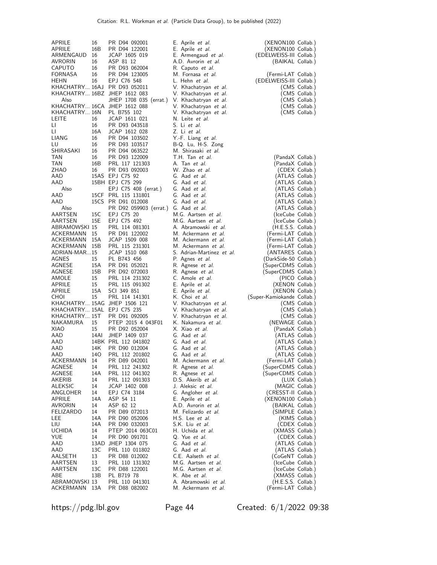| APRILE<br>APRILE                      | 16<br>16B      | PR D94 092001<br>PR D94 122001                 | E. Aprile <i>et al.</i><br>E. Aprile et al.                    | (XENON100 Collab.)<br>(XENON100 Collab.)    |                |
|---------------------------------------|----------------|------------------------------------------------|----------------------------------------------------------------|---------------------------------------------|----------------|
| ARMENGAUD<br>AVRORIN<br><b>CAPUTO</b> | 16<br>16<br>16 | JCAP 1605 019<br>ASP 81 12<br>PR D93 062004    | E. Armengaud et al.<br>A.D. Avrorin et al.<br>R. Caputo et al. | (EDELWEISS-III Collab.)<br>(BAIKAL Collab.) |                |
| FORNASA                               | 16             | PR D94 123005                                  | M. Fornasa et al.                                              | (Fermi-LAT Collab.)                         |                |
| HEHN                                  | 16             | EPJ C76 548<br>KHACHATRY 16AJ PR D93 052011    | L. Hehn <i>et al.</i><br>V. Khachatryan et al.                 | (EDELWEISS-III Collab.)                     | (CMS Collab.)  |
|                                       |                | KHACHATRY 16BZ JHEP 1612 083                   | V. Khachatryan et al.                                          |                                             | (CMS Collab.)  |
| Also                                  |                | JHEP 1708 035 (errat.) V. Khachatryan et al.   |                                                                |                                             | (CMS Collab.)  |
|                                       |                | KHACHATRY 16CA JHEP 1612 088                   | V. Khachatryan et al.                                          |                                             | (CMS Collab.)  |
| KHACHATRY 16N PL B755 102             |                |                                                | V. Khachatryan et al.                                          |                                             | (CMS Collab.)  |
| LEITE                                 | 16             | JCAP 1611 021                                  | N. Leite et al.                                                |                                             |                |
| LI.                                   | 16             | PR D93 043518                                  | S. Li et al.                                                   |                                             |                |
| LI.<br>LIANG                          | 16A<br>16      | JCAP 1612 028<br>PR D94 103502                 | Z. Li et al.<br>Y.-F. Liang et al.                             |                                             |                |
| LU                                    | 16             | PR D93 103517                                  | B-Q. Lu, H-S. Zong                                             |                                             |                |
| SHIRASAKI                             | 16             | PR D94 063522                                  | M. Shirasaki et al.                                            |                                             |                |
| TAN                                   | 16             | PR D93 122009                                  | T.H. Tan et al.                                                | (PandaX Collab.)                            |                |
| TAN                                   | 16B            | PRL 117 121303                                 | A. Tan et al.                                                  | (PandaX Collab.)                            |                |
| ZHAO                                  | 16             | PR D93 092003                                  | W. Zhao et al.                                                 |                                             | (CDEX Collab.) |
| AAD                                   |                | 15AS EPJ C75 92                                | G. Aad et al.                                                  | (ATLAS Collab.)                             |                |
| AAD                                   |                | 15BH EPJ C75 299                               | G. Aad et al.                                                  | (ATLAS Collab.)                             |                |
| Also<br>AAD                           |                | EPJ C75 408 (errat.)<br>15CF PRL 115 131801    | G. Aad et al.<br>G. Aad et al.                                 | (ATLAS Collab.)<br>(ATLAS Collab.)          |                |
| AAD                                   |                | 15CS PR D91 012008                             | G. Aad et al.                                                  | (ATLAS Collab.)                             |                |
| Also                                  |                | PR D92 059903 (errat.) G. Aad et al.           |                                                                | (ATLAS Collab.)                             |                |
| AARTSEN                               | 15C            | EPJ C75 20                                     | M.G. Aartsen et al.                                            | (IceCube Collab.)                           |                |
| AARTSEN                               | 15E            | EPJ C75 492                                    | M.G. Aartsen et al.                                            | (IceCube Collab.)                           |                |
| ABRAMOWSKI 15                         |                | PRL 114 081301                                 | A. Abramowski et al.                                           | (H.E.S.S. Collab.)                          |                |
| ACKERMANN                             | 15             | PR D91 122002                                  | M. Ackermann et al.                                            | (Fermi-LAT Collab.)                         |                |
| ACKERMANN                             | 15A            | JCAP 1509 008                                  | M. Ackermann et al.                                            | (Fermi-LAT Collab.)                         |                |
| ACKERMANN<br>ADRIAN-MAR15             | 15B            | PRL 115 231301<br>JCAP 1510 068                | M. Ackermann et al.<br>S. Adrian-Martinez et al.               | (Fermi-LAT Collab.)<br>(ANTARES Collab.)    |                |
| AGNES                                 | 15             | PL B743 456                                    | P. Agnes <i>et al.</i>                                         | (DarkSide-50 Collab.)                       |                |
| AGNESE                                | 15A            | PR D91 052021                                  | R. Agnese <i>et al.</i>                                        | (SuperCDMS Collab.)                         |                |
| AGNESE                                | 15B            | PR D92 072003                                  | R. Agnese <i>et al.</i>                                        | (SuperCDMS Collab.)                         |                |
| AMOLE                                 | 15             | PRL 114 231302                                 | C. Amole <i>et al.</i>                                         |                                             | (PICO Collab.) |
| APRILE                                | 15             | PRL 115 091302                                 | E. Aprile et al.                                               | (XENON Collab.)                             |                |
| APRILE                                | 15A            | SCI 349 851                                    | E. Aprile <i>et al.</i>                                        | (XENON Collab.)                             |                |
| CHOI                                  | 15             | PRL 114 141301<br>KHACHATRY 15AG JHEP 1506 121 | K. Choi et al.                                                 | (Super-Kamiokande Collab.)                  | (CMS Collab.)  |
| KHACHATRY 15AL EPJ C75 235            |                |                                                | V. Khachatryan et al.<br>V. Khachatryan et al.                 |                                             | (CMS Collab.)  |
| KHACHATRY 15T                         |                | PR D91 092005                                  | V. Khachatryan et al.                                          |                                             | (CMS Collab.)  |
| NAKAMURA                              | 15             | PTEP 2015 4 043F01                             | K. Nakamura et al.                                             | (NEWAGE Collab.)                            |                |
| <b>XIAO</b>                           | 15             | PR D92 052004                                  | X. Xiao et al.                                                 | (PandaX Collab.)                            |                |
| AAD                                   | 14AI           | JHEP 1409 037                                  | G. Aad et al.                                                  | (ATLAS Collab.)                             |                |
| AAD                                   |                | 14BK PRL 112 041802                            | G. Aad et al.                                                  | (ATLAS Collab.)                             |                |
| AAD                                   | 14K            | PR D90 012004                                  | G. Aad et al.                                                  | (ATLAS Collab.)                             |                |
| AAD<br>ACKERMANN                      | 140<br>14      | PRL 112 201802                                 | G. Aad et al.<br>M. Ackermann et al.                           | (ATLAS Collab.)                             |                |
| AGNESE                                | 14             | PR D89 042001<br>PRL 112 241302                | R. Agnese <i>et al.</i>                                        | (Fermi-LAT Collab.)<br>(SuperCDMS Collab.)  |                |
| AGNESE                                | 14A            | PRL 112 041302                                 | R. Agnese et al.                                               | (SuperCDMS Collab.)                         |                |
| AKERIB                                | 14             | PRL 112 091303                                 | D.S. Akerib et al.                                             |                                             | (LUX Collab.)  |
| <b>ALEKSIC</b>                        | 14             | JCAP 1402 008                                  | J. Aleksic et al.                                              | (MAGIC Collab.)                             |                |
| ANGLOHER                              | 14             | EPJ C74 3184                                   | G. Angloher et al.                                             | (CRESST-II Collab.)                         |                |
| APRILE                                | 14A            | ASP 54 11                                      | E. Aprile et al.                                               | (XENON100 Collab.)                          |                |
| AVRORIN                               | 14             | ASP 62 12                                      | A.D. Avrorin et al.                                            | (BAIKAL Collab.)                            |                |
| FELIZARDO<br>LEE                      | 14<br>14A      | PR D89 072013<br>PR D90 052006                 | M. Felizardo et al.<br>H.S. Lee et al.                         | (SIMPLE Collab.)                            | (KIMS Collab.) |
| LIU                                   | 14A            | PR D90 032003                                  | S.K. Liu et al.                                                |                                             | (CDEX Collab.) |
| <b>UCHIDA</b>                         | 14             | PTEP 2014 063C01                               | H. Uchida et al.                                               | (XMASS Collab.)                             |                |
| YUE                                   | 14             | PR D90 091701                                  | Q. Yue et al.                                                  |                                             | (CDEX Collab.) |
| AAD                                   |                | 13AD JHEP 1304 075                             | G. Aad et al.                                                  | (ATLAS Collab.)                             |                |
| AAD                                   | 13C            | PRL 110 011802                                 | G. Aad et al.                                                  | (ATLAS Collab.)                             |                |
| AALSETH                               | 13             | PR D88 012002                                  | C.E. Aalseth et al.                                            | (CoGeNT Collab.)                            |                |
| AARTSEN                               | 13             | PRL 110 131302                                 | M.G. Aartsen et al.                                            | (IceCube Collab.)                           |                |
| AARTSEN<br>ABE                        | 13C<br>13B     | PR D88 122001<br>PL B719 78                    | M.G. Aartsen et al.<br>K. Abe <i>et al.</i>                    | (IceCube Collab.)<br>(XMASS Collab.)        |                |
| ABRAMOWSKI 13                         |                | PRL 110 041301                                 | A. Abramowski et al.                                           | (H.E.S.S. Collab.)                          |                |
| ACKERMANN                             | 13A            | PR D88 082002                                  | M. Ackermann et al.                                            | (Fermi-LAT Collab.)                         |                |
|                                       |                |                                                |                                                                |                                             |                |

https://pdg.lbl.gov Page 44 Created: 6/1/2022 09:38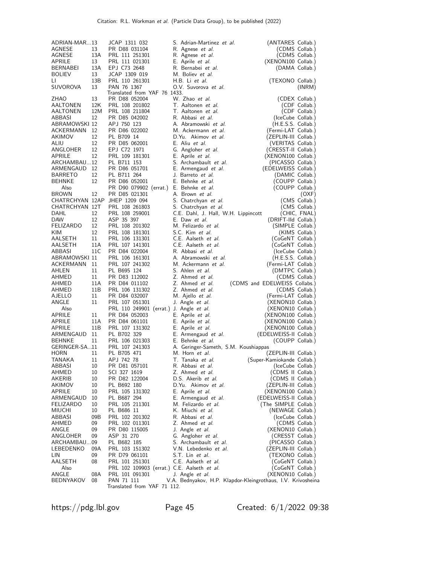| ADRIAN-MAR13<br>AGNESE<br>AGNESE<br>APRILE<br>BERNABEI<br><b>BOLIEV</b>                   | 13<br>13A<br>13<br>13A<br>13       | JCAP 1311 032<br>PR D88 031104<br>PRL 111 251301<br>PRL 111 021301<br>EPJ C73 2648<br>JCAP 1309 019                                       | S. Adrian-Martinez et al.<br>R. Agnese <i>et al.</i><br>R. Agnese et al.<br>E. Aprile <i>et al.</i><br>R. Bernabei et al.<br>M. Boliev et al.                          | (ANTARES Collab.)<br>(XENON100 Collab.)                                                                                                        | (CDMS Collab.)<br>(CDMS Collab.)<br>(DAMA Collab.)      |
|-------------------------------------------------------------------------------------------|------------------------------------|-------------------------------------------------------------------------------------------------------------------------------------------|------------------------------------------------------------------------------------------------------------------------------------------------------------------------|------------------------------------------------------------------------------------------------------------------------------------------------|---------------------------------------------------------|
| LI.<br>SUVOROVA                                                                           | 13B<br>13                          | PRL 110 261301<br>PAN 76 1367<br>Translated from YAF 76 1433.                                                                             | H.B. Li et al.<br>O.V. Suvorova et al.                                                                                                                                 | (TEXONO Collab.)                                                                                                                               | (INRM)                                                  |
| ZHAO<br>AALTONEN<br>AALTONEN<br>ABBASI<br>ABRAMOWSKI 12<br>ACKERMANN 12<br>AKIMOV<br>ALIU | 13<br>12K<br>12M<br>12<br>12<br>12 | PR D88 052004<br>PRL 108 201802<br>PRL 108 211804<br>PR D85 042002<br>APJ 750 123<br>PR D86 022002<br>PL B709 14<br>PR D85 062001         | W. Zhao et al.<br>T. Aaltonen et al.<br>T. Aaltonen et al.<br>R. Abbasi et al.<br>A. Abramowski et al.<br>M. Ackermann et al.<br>D.Yu. Akimov et al.<br>E. Aliu et al. | (IceCube Collab.)<br>$(H.E.S.S.$ Collab.)<br>(Fermi-LAT Collab.)<br>(ZEPLIN-III Collab.)<br>(VERITAS Collab.)                                  | (CDEX Collab.)<br>(CDF Collab.)<br>(CDF Collab.)        |
| ANGLOHER<br>APRILE<br>ARCHAMBAU12<br>ARMENGAUD 12<br>BARRETO<br>BEHNKE<br>Also            | 12<br>12<br>12<br>12               | EPJ C72 1971<br>PRL 109 181301<br>PL B711 153<br>PR D86 051701<br>PL B711 264<br>PR D86 052001<br>PR D90 079902 (errat.) E. Behnke et al. | G. Angloher et al.<br>E. Aprile <i>et al.</i><br>S. Archambault et al.<br>E. Armengaud <i>et al.</i><br>J. Barreto <i>et al.</i><br>E. Behnke et al.                   | (CRESST-II Collab.)<br>(XENON100 Collab.)<br>(PICASSO Collab.)<br>(EDELWEISS Collab.)<br>(DAMIC Collab.)<br>(COUPP Collab.)<br>(COUPP Collab.) |                                                         |
| <b>BROWN</b><br>CHATRCHYAN 12T<br>DAHL<br>DAW<br>FELIZARDO                                | 12<br>12<br>12<br>12               | PR D85 021301<br>CHATRCHYAN 12AP JHEP 1209 094<br>PRL 108 261803<br>PRL 108 259001<br>ASP 35 397<br>PRL 108 201302                        | A. Brown et al.<br>S. Chatrchyan et al.<br>S. Chatrchyan et al.<br>C.E. Dahl, J. Hall, W.H. Lippincott<br>E. Daw et al.<br>M. Felizardo et al.                         | (DRIFT-Ild Collab.)<br>(SIMPLE Collab.)                                                                                                        | (OXF)<br>(CMS Collab.)<br>(CMS Collab.)<br>(CHIC, FNAL) |
| KIM<br>AALSETH<br>AALSETH<br>ABBASI<br>ABRAMOWSKI 11                                      | 12<br>11<br>11A<br>11C             | PRL 108 181301<br>PRL 106 131301<br>PRL 107 141301<br>PR D84 022004<br>PRL 106 161301                                                     | S.C. Kim et al.<br>C.E. Aalseth et al.<br>C.E. Aalseth et al.<br>R. Abbasi et al.<br>A. Abramowski et al.                                                              | (CoGeNT Collab.)<br>(CoGeNT Collab.)<br>(IceCube Collab.)<br>$(H.E.S.S.$ Collab.)                                                              | (KIMS Collab.)                                          |
| ACKERMANN 11<br>AHLEN<br>AHMED<br>AHMED<br>AHMED<br>AJELLO                                | 11<br>11<br>11A<br>11B<br>11       | PRL 107 241302<br>PL B695 124<br>PR D83 112002<br>PR D84 011102<br>PRL 106 131302<br>PR D84 032007                                        | M. Ackermann et al.<br>S. Ahlen et al.<br>Z. Ahmed <i>et al.</i><br>Z. Ahmed et al.<br>Z. Ahmed et al.<br>M. Ajello <i>et al.</i>                                      | (Fermi-LAT Collab.)<br>(DMTPC Collab.)<br>(CDMS and EDELWEISS Collabs.)<br>(Fermi-LAT Collab.)                                                 | (CDMS Collab.)<br>(CDMS Collab.)                        |
| ANGLE<br>Also<br>APRILE<br>APRILE<br>APRILE                                               | 11<br>11<br>11A<br>11B             | PRL 107 051301<br>PRL 110 249901 (errat.) J. Angle et al.<br>PR D84 052003<br>PR D84 061101<br>PRL 107 131302                             | J. Angle <i>et al.</i><br>E. Aprile et al.<br>E. Aprile <i>et al.</i><br>E. Aprile et al.                                                                              | (XENON10 Collab.)<br>(XENON10 Collab.)<br>(XENON100 Collab.)<br>(XENON100 Collab.)<br>(XENON100 Collab.)                                       |                                                         |
| ARMENGAUD 11<br><b>BEHNKE</b><br>GERINGER-SA11<br><b>HORN</b><br>TANAKA                   | 11<br>11<br>11                     | PL B702 329<br>PRL 106 021303<br>PRL 107 241303<br>PL B705 471<br>APJ 742 78                                                              | E. Armengaud et al.<br>E. Behnke et al.<br>A. Geringer-Sameth, S.M. Koushiappas<br>M. Horn et al.<br>T. Tanaka <i>et al.</i>                                           | (EDELWEISS-II Collab.)<br>(COUPP Collab.)<br>(ZEPLIN-III Collab.)<br>(Super-Kamiokande Collab.)                                                |                                                         |
| ABBASI<br>AHMED<br>AKERIB<br>AKIMOV<br>APRILE<br>ARMENGAUD                                | 10<br>10<br>10<br>10<br>10<br>10   | PR D81 057101<br>SCI 327 1619<br>PR D82 122004<br>PL B692 180<br>PRL 105 131302<br>PL B687 294                                            | R. Abbasi <i>et al.</i><br>Z. Ahmed et al.<br>D.S. Akerib et al.<br>D.Yu. Akimov et al.<br>E. Aprile et al.<br>E. Armengaud et al.                                     | (IceCube Collab.)<br>(CDMS II Collab.)<br>(CDMS II Collab.)<br>(ZEPLIN-III Collab.)<br>(XENON100 Collab.)<br>(EDELWEISS-II Collab.)            |                                                         |
| FELIZARDO<br>MIUCHI<br>ABBASI<br>AHMED<br>ANGLE                                           | 10<br>10<br>09B<br>09<br>09        | PRL 105 211301<br>PL B686 11<br>PRL 102 201302<br>PRL 102 011301<br>PR D80 115005                                                         | M. Felizardo et al.<br>K. Miuchi et al.<br>R. Abbasi et al.<br>Z. Ahmed <i>et al.</i><br>J. Angle et al.                                                               | (The SIMPLE Collab.)<br>(NEWAGE Collab.)<br>(IceCube Collab.)<br>(XENON10 Collab.)                                                             | (CDMS Collab.)                                          |
| ANGLOHER<br>ARCHAMBAU09<br>LEBEDENKO<br>LIN<br>AALSETH                                    | 09<br>09A<br>09<br>08              | ASP 31 270<br>PL B682 185<br>PRL 103 151302<br>PR D79 061101<br>PRL 101 251301                                                            | G. Angloher et al.<br>S. Archambault et al.<br>V.N. Lebedenko et al.<br>S.T. Lin et al.<br>C.E. Aalseth et al.                                                         | (CRESST Collab.)<br>(PICASSO Collab.)<br>(ZEPLIN-III Collab.)<br>(TEXONO Collab.)<br>(CoGeNT Collab.)                                          |                                                         |
| Also<br>ANGLE<br>BEDNYAKOV                                                                | 08A<br>08                          | PRL 102 109903 (errat.) C.E. Aalseth et al.<br>PRL 101 091301<br>PAN 71 111<br>Translated from YAF 71 112.                                | J. Angle <i>et al.</i>                                                                                                                                                 | (CoGeNT Collab.)<br>(XENON10 Collab.)<br>V.A. Bednyakov, H.P. Klapdor-Kleingrothaus, I.V. Krivosheina                                          |                                                         |

https://pdg.lbl.gov Page 45 Created: 6/1/2022 09:38